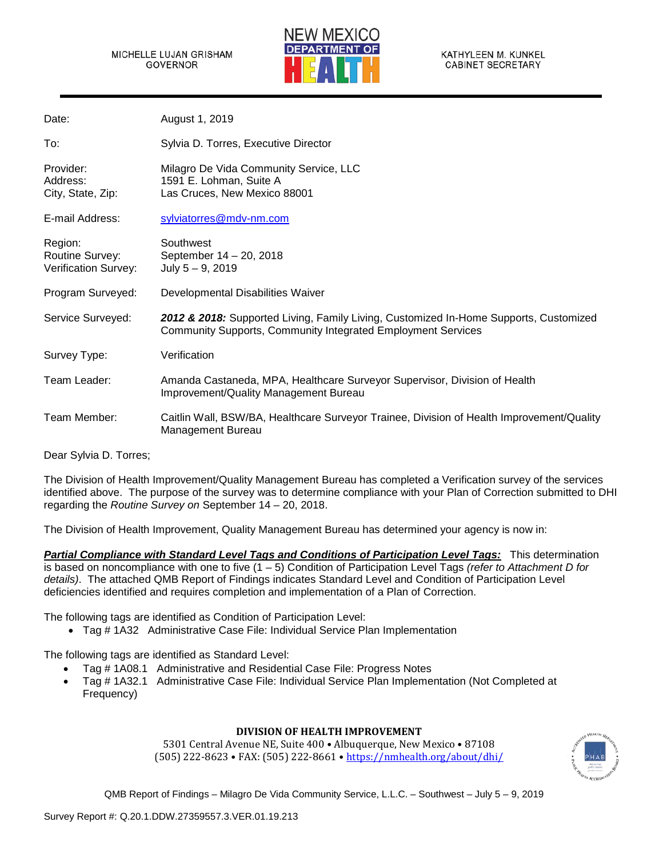#### MICHELLE LUJAN GRISHAM GOVERNOR



KATHYLEEN M. KUNKEL **CABINET SECRETARY** 

| Date:                                              | August 1, 2019                                                                                                                                               |
|----------------------------------------------------|--------------------------------------------------------------------------------------------------------------------------------------------------------------|
| To:                                                | Sylvia D. Torres, Executive Director                                                                                                                         |
| Provider:<br>Address:<br>City, State, Zip:         | Milagro De Vida Community Service, LLC<br>1591 E. Lohman, Suite A<br>Las Cruces, New Mexico 88001                                                            |
| E-mail Address:                                    | sylviatorres@mdv-nm.com                                                                                                                                      |
| Region:<br>Routine Survey:<br>Verification Survey: | Southwest<br>September 14 - 20, 2018<br>July $5 - 9$ , 2019                                                                                                  |
| Program Surveyed:                                  | Developmental Disabilities Waiver                                                                                                                            |
| Service Surveyed:                                  | 2012 & 2018: Supported Living, Family Living, Customized In-Home Supports, Customized<br><b>Community Supports, Community Integrated Employment Services</b> |
| Survey Type:                                       | Verification                                                                                                                                                 |
| Team Leader:                                       | Amanda Castaneda, MPA, Healthcare Surveyor Supervisor, Division of Health<br>Improvement/Quality Management Bureau                                           |
| Team Member:                                       | Caitlin Wall, BSW/BA, Healthcare Surveyor Trainee, Division of Health Improvement/Quality<br>Management Bureau                                               |

Dear Sylvia D. Torres;

The Division of Health Improvement/Quality Management Bureau has completed a Verification survey of the services identified above. The purpose of the survey was to determine compliance with your Plan of Correction submitted to DHI regarding the *Routine Survey on* September 14 – 20, 2018.

The Division of Health Improvement, Quality Management Bureau has determined your agency is now in:

*Partial Compliance with Standard Level Tags and Conditions of Participation Level Tags:* This determination is based on noncompliance with one to five (1 – 5) Condition of Participation Level Tags *(refer to Attachment D for details)*. The attached QMB Report of Findings indicates Standard Level and Condition of Participation Level deficiencies identified and requires completion and implementation of a Plan of Correction.

The following tags are identified as Condition of Participation Level:

• Tag # 1A32 Administrative Case File: Individual Service Plan Implementation

The following tags are identified as Standard Level:

- Tag # 1A08.1 Administrative and Residential Case File: Progress Notes
- Tag # 1A32.1 Administrative Case File: Individual Service Plan Implementation (Not Completed at Frequency)

#### **DIVISION OF HEALTH IMPROVEMENT**

5301 Central Avenue NE, Suite 400 • Albuquerque, New Mexico • 87108 (505) 222-8623 • FAX: (505) 222-8661 • <https://nmhealth.org/about/dhi/>

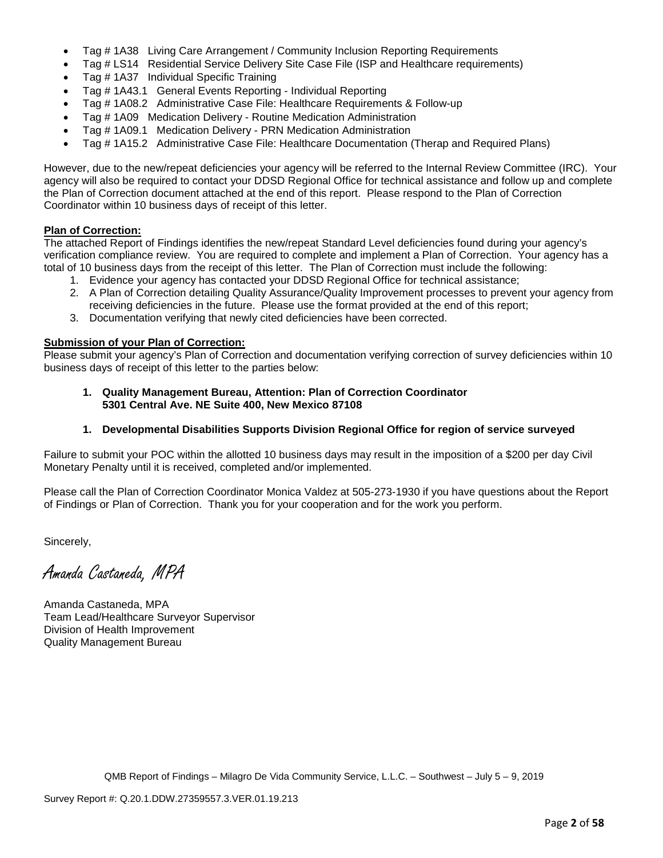- Tag # 1A38 Living Care Arrangement / Community Inclusion Reporting Requirements
- Tag # LS14 Residential Service Delivery Site Case File (ISP and Healthcare requirements)
- Tag # 1A37 Individual Specific Training
- Tag # 1A43.1 General Events Reporting Individual Reporting
- Tag # 1A08.2 Administrative Case File: Healthcare Requirements & Follow-up
- Tag # 1A09 Medication Delivery Routine Medication Administration
- Tag # 1A09.1 Medication Delivery PRN Medication Administration
- Tag # 1A15.2 Administrative Case File: Healthcare Documentation (Therap and Required Plans)

However, due to the new/repeat deficiencies your agency will be referred to the Internal Review Committee (IRC). Your agency will also be required to contact your DDSD Regional Office for technical assistance and follow up and complete the Plan of Correction document attached at the end of this report. Please respond to the Plan of Correction Coordinator within 10 business days of receipt of this letter.

## **Plan of Correction:**

The attached Report of Findings identifies the new/repeat Standard Level deficiencies found during your agency's verification compliance review. You are required to complete and implement a Plan of Correction. Your agency has a total of 10 business days from the receipt of this letter. The Plan of Correction must include the following:

- 1. Evidence your agency has contacted your DDSD Regional Office for technical assistance;
- 2. A Plan of Correction detailing Quality Assurance/Quality Improvement processes to prevent your agency from receiving deficiencies in the future. Please use the format provided at the end of this report;
- 3. Documentation verifying that newly cited deficiencies have been corrected.

## **Submission of your Plan of Correction:**

Please submit your agency's Plan of Correction and documentation verifying correction of survey deficiencies within 10 business days of receipt of this letter to the parties below:

**1. Quality Management Bureau, Attention: Plan of Correction Coordinator 5301 Central Ave. NE Suite 400, New Mexico 87108**

#### **1. Developmental Disabilities Supports Division Regional Office for region of service surveyed**

Failure to submit your POC within the allotted 10 business days may result in the imposition of a \$200 per day Civil Monetary Penalty until it is received, completed and/or implemented.

Please call the Plan of Correction Coordinator Monica Valdez at 505-273-1930 if you have questions about the Report of Findings or Plan of Correction. Thank you for your cooperation and for the work you perform.

Sincerely,

Amanda Castaneda, MPA

Amanda Castaneda, MPA Team Lead/Healthcare Surveyor Supervisor Division of Health Improvement Quality Management Bureau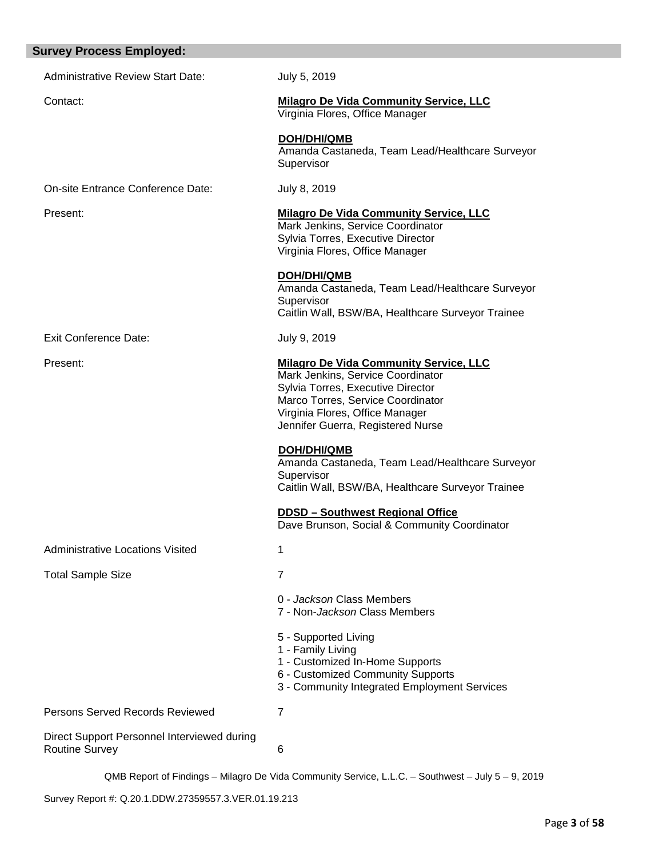| <b>Survey Process Employed:</b>                                      |                                                                                                                                                                                                                                                                                                                                                                                                                                                                      |
|----------------------------------------------------------------------|----------------------------------------------------------------------------------------------------------------------------------------------------------------------------------------------------------------------------------------------------------------------------------------------------------------------------------------------------------------------------------------------------------------------------------------------------------------------|
| <b>Administrative Review Start Date:</b>                             | July 5, 2019                                                                                                                                                                                                                                                                                                                                                                                                                                                         |
| Contact:                                                             | <b>Milagro De Vida Community Service, LLC</b><br>Virginia Flores, Office Manager                                                                                                                                                                                                                                                                                                                                                                                     |
|                                                                      | <b>DOH/DHI/QMB</b><br>Amanda Castaneda, Team Lead/Healthcare Surveyor<br>Supervisor                                                                                                                                                                                                                                                                                                                                                                                  |
| On-site Entrance Conference Date:                                    | July 8, 2019                                                                                                                                                                                                                                                                                                                                                                                                                                                         |
| Present:                                                             | <b>Milagro De Vida Community Service, LLC</b><br>Mark Jenkins, Service Coordinator<br>Sylvia Torres, Executive Director<br>Virginia Flores, Office Manager                                                                                                                                                                                                                                                                                                           |
|                                                                      | <b>DOH/DHI/QMB</b><br>Amanda Castaneda, Team Lead/Healthcare Surveyor<br>Supervisor<br>Caitlin Wall, BSW/BA, Healthcare Surveyor Trainee                                                                                                                                                                                                                                                                                                                             |
| <b>Exit Conference Date:</b>                                         | July 9, 2019                                                                                                                                                                                                                                                                                                                                                                                                                                                         |
| Present:                                                             | <b>Milagro De Vida Community Service, LLC</b><br>Mark Jenkins, Service Coordinator<br>Sylvia Torres, Executive Director<br>Marco Torres, Service Coordinator<br>Virginia Flores, Office Manager<br>Jennifer Guerra, Registered Nurse<br>DOH/DHI/QMB<br>Amanda Castaneda, Team Lead/Healthcare Surveyor<br>Supervisor<br>Caitlin Wall, BSW/BA, Healthcare Surveyor Trainee<br><b>DDSD - Southwest Regional Office</b><br>Dave Brunson, Social & Community Coordinator |
| Administrative Locations Visited                                     | 1                                                                                                                                                                                                                                                                                                                                                                                                                                                                    |
| <b>Total Sample Size</b>                                             | 7                                                                                                                                                                                                                                                                                                                                                                                                                                                                    |
|                                                                      | 0 - Jackson Class Members<br>7 - Non- <i>Jackson</i> Class Members                                                                                                                                                                                                                                                                                                                                                                                                   |
|                                                                      | 5 - Supported Living<br>1 - Family Living<br>1 - Customized In-Home Supports<br>6 - Customized Community Supports<br>3 - Community Integrated Employment Services                                                                                                                                                                                                                                                                                                    |
| Persons Served Records Reviewed                                      | 7                                                                                                                                                                                                                                                                                                                                                                                                                                                                    |
| Direct Support Personnel Interviewed during<br><b>Routine Survey</b> | 6                                                                                                                                                                                                                                                                                                                                                                                                                                                                    |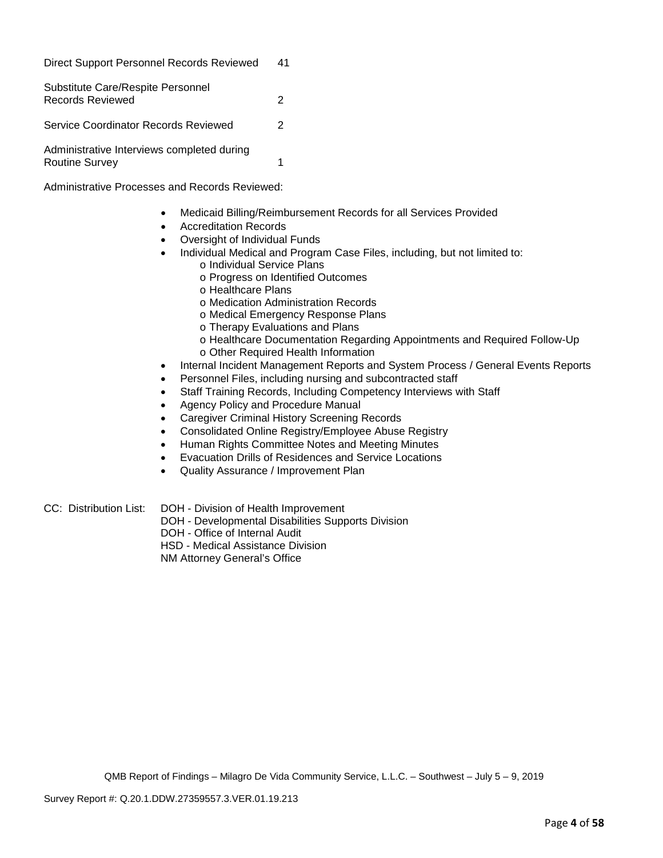| <b>Direct Support Personnel Records Reviewed</b>                    | 41 |
|---------------------------------------------------------------------|----|
| Substitute Care/Respite Personnel<br><b>Records Reviewed</b>        | 2  |
| Service Coordinator Records Reviewed                                | 2  |
| Administrative Interviews completed during<br><b>Routine Survey</b> |    |

Administrative Processes and Records Reviewed:

- Medicaid Billing/Reimbursement Records for all Services Provided
- Accreditation Records
- Oversight of Individual Funds
- Individual Medical and Program Case Files, including, but not limited to:
	- o Individual Service Plans
	- o Progress on Identified Outcomes
	- o Healthcare Plans
	- o Medication Administration Records
	- o Medical Emergency Response Plans
	- o Therapy Evaluations and Plans
	- o Healthcare Documentation Regarding Appointments and Required Follow-Up
	- o Other Required Health Information
- Internal Incident Management Reports and System Process / General Events Reports
- Personnel Files, including nursing and subcontracted staff
- Staff Training Records, Including Competency Interviews with Staff
- Agency Policy and Procedure Manual
- Caregiver Criminal History Screening Records
- Consolidated Online Registry/Employee Abuse Registry
- Human Rights Committee Notes and Meeting Minutes
- Evacuation Drills of Residences and Service Locations
- Quality Assurance / Improvement Plan
- CC: Distribution List: DOH Division of Health Improvement
	- DOH Developmental Disabilities Supports Division
	- DOH Office of Internal Audit
	- HSD Medical Assistance Division

NM Attorney General's Office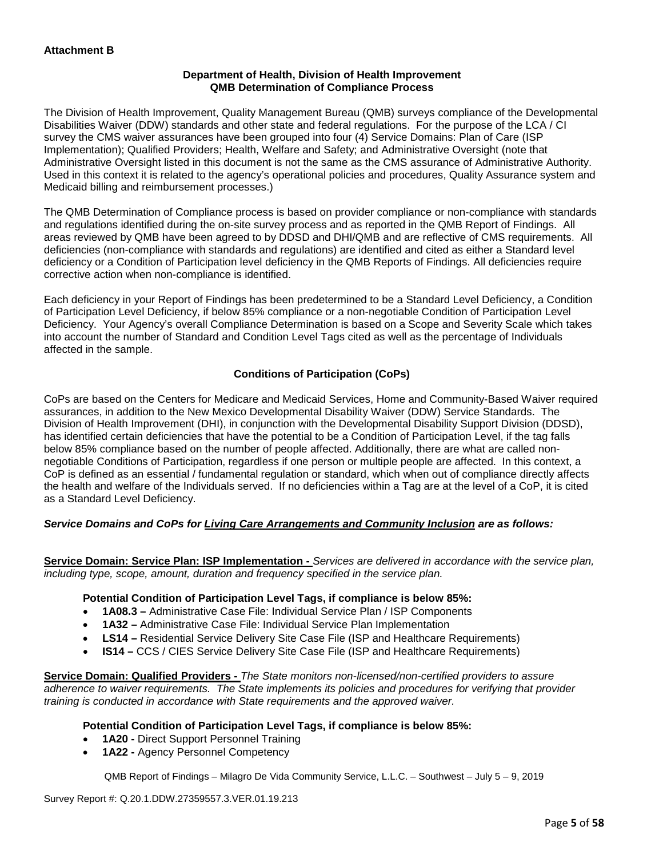### **Department of Health, Division of Health Improvement QMB Determination of Compliance Process**

The Division of Health Improvement, Quality Management Bureau (QMB) surveys compliance of the Developmental Disabilities Waiver (DDW) standards and other state and federal regulations. For the purpose of the LCA / CI survey the CMS waiver assurances have been grouped into four (4) Service Domains: Plan of Care (ISP Implementation); Qualified Providers; Health, Welfare and Safety; and Administrative Oversight (note that Administrative Oversight listed in this document is not the same as the CMS assurance of Administrative Authority. Used in this context it is related to the agency's operational policies and procedures, Quality Assurance system and Medicaid billing and reimbursement processes.)

The QMB Determination of Compliance process is based on provider compliance or non-compliance with standards and regulations identified during the on-site survey process and as reported in the QMB Report of Findings. All areas reviewed by QMB have been agreed to by DDSD and DHI/QMB and are reflective of CMS requirements. All deficiencies (non-compliance with standards and regulations) are identified and cited as either a Standard level deficiency or a Condition of Participation level deficiency in the QMB Reports of Findings. All deficiencies require corrective action when non-compliance is identified.

Each deficiency in your Report of Findings has been predetermined to be a Standard Level Deficiency, a Condition of Participation Level Deficiency, if below 85% compliance or a non-negotiable Condition of Participation Level Deficiency. Your Agency's overall Compliance Determination is based on a Scope and Severity Scale which takes into account the number of Standard and Condition Level Tags cited as well as the percentage of Individuals affected in the sample.

# **Conditions of Participation (CoPs)**

CoPs are based on the Centers for Medicare and Medicaid Services, Home and Community-Based Waiver required assurances, in addition to the New Mexico Developmental Disability Waiver (DDW) Service Standards. The Division of Health Improvement (DHI), in conjunction with the Developmental Disability Support Division (DDSD), has identified certain deficiencies that have the potential to be a Condition of Participation Level, if the tag falls below 85% compliance based on the number of people affected. Additionally, there are what are called nonnegotiable Conditions of Participation, regardless if one person or multiple people are affected. In this context, a CoP is defined as an essential / fundamental regulation or standard, which when out of compliance directly affects the health and welfare of the Individuals served. If no deficiencies within a Tag are at the level of a CoP, it is cited as a Standard Level Deficiency.

# *Service Domains and CoPs for Living Care Arrangements and Community Inclusion are as follows:*

**Service Domain: Service Plan: ISP Implementation -** *Services are delivered in accordance with the service plan, including type, scope, amount, duration and frequency specified in the service plan.*

#### **Potential Condition of Participation Level Tags, if compliance is below 85%:**

- **1A08.3 –** Administrative Case File: Individual Service Plan / ISP Components
- **1A32 –** Administrative Case File: Individual Service Plan Implementation
- **LS14 –** Residential Service Delivery Site Case File (ISP and Healthcare Requirements)
- **IS14 –** CCS / CIES Service Delivery Site Case File (ISP and Healthcare Requirements)

**Service Domain: Qualified Providers -** *The State monitors non-licensed/non-certified providers to assure adherence to waiver requirements. The State implements its policies and procedures for verifying that provider training is conducted in accordance with State requirements and the approved waiver.*

#### **Potential Condition of Participation Level Tags, if compliance is below 85%:**

- **1A20 -** Direct Support Personnel Training
- **1A22 -** Agency Personnel Competency

QMB Report of Findings – Milagro De Vida Community Service, L.L.C. – Southwest – July 5 – 9, 2019

Survey Report #: Q.20.1.DDW.27359557.3.VER.01.19.213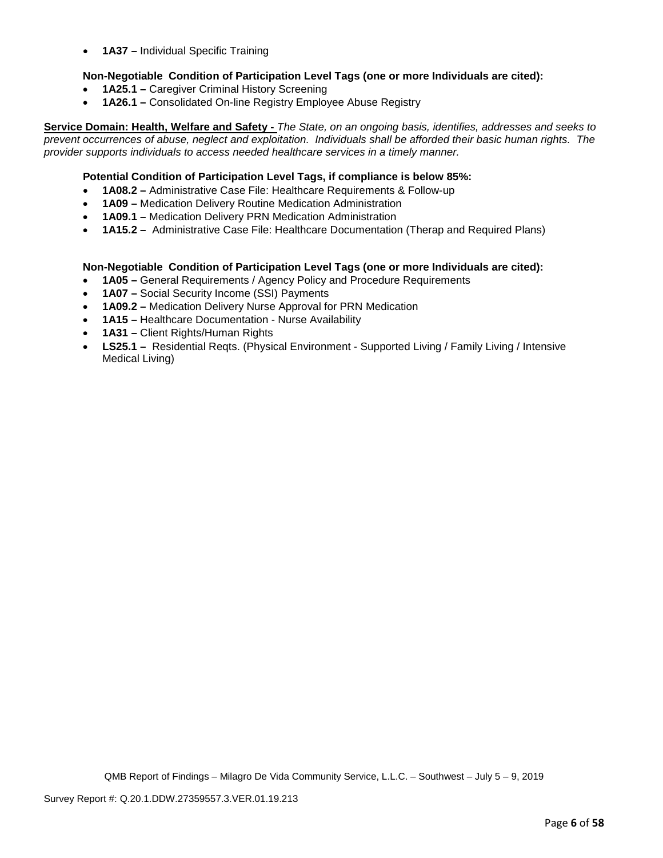• **1A37 –** Individual Specific Training

## **Non-Negotiable Condition of Participation Level Tags (one or more Individuals are cited):**

- **1A25.1 –** Caregiver Criminal History Screening
- **1A26.1 –** Consolidated On-line Registry Employee Abuse Registry

**Service Domain: Health, Welfare and Safety -** *The State, on an ongoing basis, identifies, addresses and seeks to prevent occurrences of abuse, neglect and exploitation. Individuals shall be afforded their basic human rights. The provider supports individuals to access needed healthcare services in a timely manner.*

## **Potential Condition of Participation Level Tags, if compliance is below 85%:**

- **1A08.2 –** Administrative Case File: Healthcare Requirements & Follow-up
- **1A09 –** Medication Delivery Routine Medication Administration
- **1A09.1 –** Medication Delivery PRN Medication Administration
- **1A15.2 –** Administrative Case File: Healthcare Documentation (Therap and Required Plans)

## **Non-Negotiable Condition of Participation Level Tags (one or more Individuals are cited):**

- **1A05 –** General Requirements / Agency Policy and Procedure Requirements
- **1A07 –** Social Security Income (SSI) Payments
- **1A09.2 –** Medication Delivery Nurse Approval for PRN Medication
- **1A15 –** Healthcare Documentation Nurse Availability
- **1A31 –** Client Rights/Human Rights
- **LS25.1** Residential Reqts. (Physical Environment Supported Living / Family Living / Intensive Medical Living)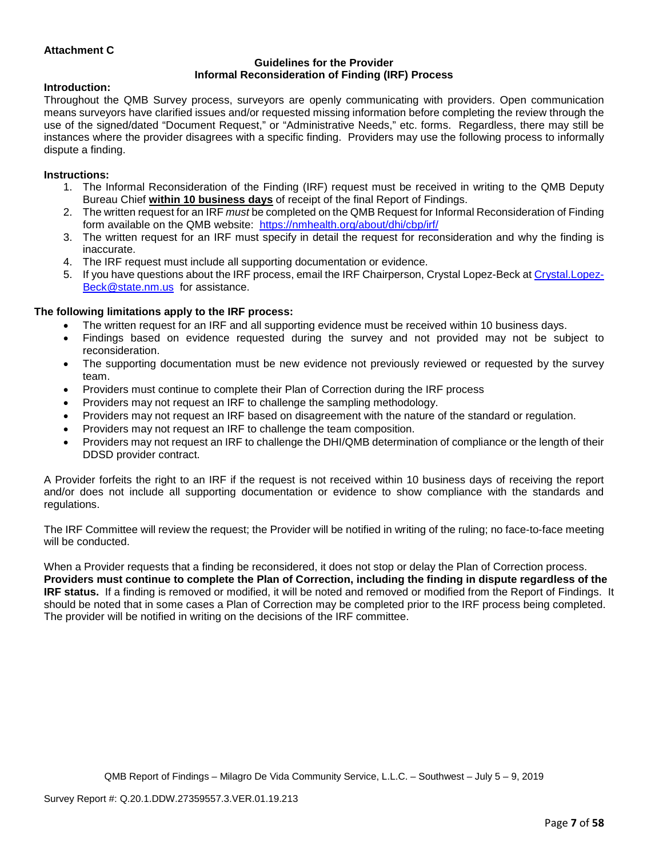## **Attachment C**

#### **Guidelines for the Provider Informal Reconsideration of Finding (IRF) Process**

#### **Introduction:**

Throughout the QMB Survey process, surveyors are openly communicating with providers. Open communication means surveyors have clarified issues and/or requested missing information before completing the review through the use of the signed/dated "Document Request," or "Administrative Needs," etc. forms. Regardless, there may still be instances where the provider disagrees with a specific finding. Providers may use the following process to informally dispute a finding.

### **Instructions:**

- 1. The Informal Reconsideration of the Finding (IRF) request must be received in writing to the QMB Deputy Bureau Chief **within 10 business days** of receipt of the final Report of Findings.
- 2. The written request for an IRF *must* be completed on the QMB Request for Informal Reconsideration of Finding form available on the QMB website: <https://nmhealth.org/about/dhi/cbp/irf/>
- 3. The written request for an IRF must specify in detail the request for reconsideration and why the finding is inaccurate.
- 4. The IRF request must include all supporting documentation or evidence.
- 5. If you have questions about the IRF process, email the IRF Chairperson, Crystal Lopez-Beck a[t Crystal.Lopez-](mailto:Crystal.Lopez-Beck@state.nm.us)[Beck@state.nm.us](mailto:Crystal.Lopez-Beck@state.nm.us) for assistance.

## **The following limitations apply to the IRF process:**

- The written request for an IRF and all supporting evidence must be received within 10 business days.
- Findings based on evidence requested during the survey and not provided may not be subject to reconsideration.
- The supporting documentation must be new evidence not previously reviewed or requested by the survey team.
- Providers must continue to complete their Plan of Correction during the IRF process
- Providers may not request an IRF to challenge the sampling methodology.
- Providers may not request an IRF based on disagreement with the nature of the standard or regulation.
- Providers may not request an IRF to challenge the team composition.
- Providers may not request an IRF to challenge the DHI/QMB determination of compliance or the length of their DDSD provider contract.

A Provider forfeits the right to an IRF if the request is not received within 10 business days of receiving the report and/or does not include all supporting documentation or evidence to show compliance with the standards and regulations.

The IRF Committee will review the request; the Provider will be notified in writing of the ruling; no face-to-face meeting will be conducted.

When a Provider requests that a finding be reconsidered, it does not stop or delay the Plan of Correction process. **Providers must continue to complete the Plan of Correction, including the finding in dispute regardless of the IRF status.** If a finding is removed or modified, it will be noted and removed or modified from the Report of Findings. It should be noted that in some cases a Plan of Correction may be completed prior to the IRF process being completed. The provider will be notified in writing on the decisions of the IRF committee.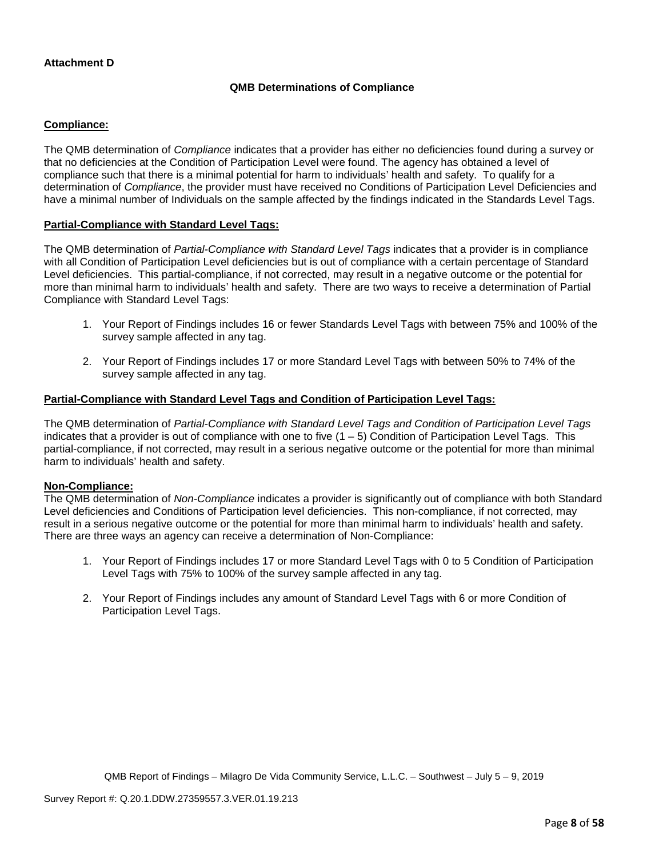## **Attachment D**

## **QMB Determinations of Compliance**

### **Compliance:**

The QMB determination of *Compliance* indicates that a provider has either no deficiencies found during a survey or that no deficiencies at the Condition of Participation Level were found. The agency has obtained a level of compliance such that there is a minimal potential for harm to individuals' health and safety. To qualify for a determination of *Compliance*, the provider must have received no Conditions of Participation Level Deficiencies and have a minimal number of Individuals on the sample affected by the findings indicated in the Standards Level Tags.

#### **Partial-Compliance with Standard Level Tags:**

The QMB determination of *Partial-Compliance with Standard Level Tags* indicates that a provider is in compliance with all Condition of Participation Level deficiencies but is out of compliance with a certain percentage of Standard Level deficiencies. This partial-compliance, if not corrected, may result in a negative outcome or the potential for more than minimal harm to individuals' health and safety. There are two ways to receive a determination of Partial Compliance with Standard Level Tags:

- 1. Your Report of Findings includes 16 or fewer Standards Level Tags with between 75% and 100% of the survey sample affected in any tag.
- 2. Your Report of Findings includes 17 or more Standard Level Tags with between 50% to 74% of the survey sample affected in any tag.

# **Partial-Compliance with Standard Level Tags and Condition of Participation Level Tags:**

The QMB determination of *Partial-Compliance with Standard Level Tags and Condition of Participation Level Tags*  indicates that a provider is out of compliance with one to five  $(1 - 5)$  Condition of Participation Level Tags. This partial-compliance, if not corrected, may result in a serious negative outcome or the potential for more than minimal harm to individuals' health and safety.

#### **Non-Compliance:**

The QMB determination of *Non-Compliance* indicates a provider is significantly out of compliance with both Standard Level deficiencies and Conditions of Participation level deficiencies. This non-compliance, if not corrected, may result in a serious negative outcome or the potential for more than minimal harm to individuals' health and safety. There are three ways an agency can receive a determination of Non-Compliance:

- 1. Your Report of Findings includes 17 or more Standard Level Tags with 0 to 5 Condition of Participation Level Tags with 75% to 100% of the survey sample affected in any tag.
- 2. Your Report of Findings includes any amount of Standard Level Tags with 6 or more Condition of Participation Level Tags.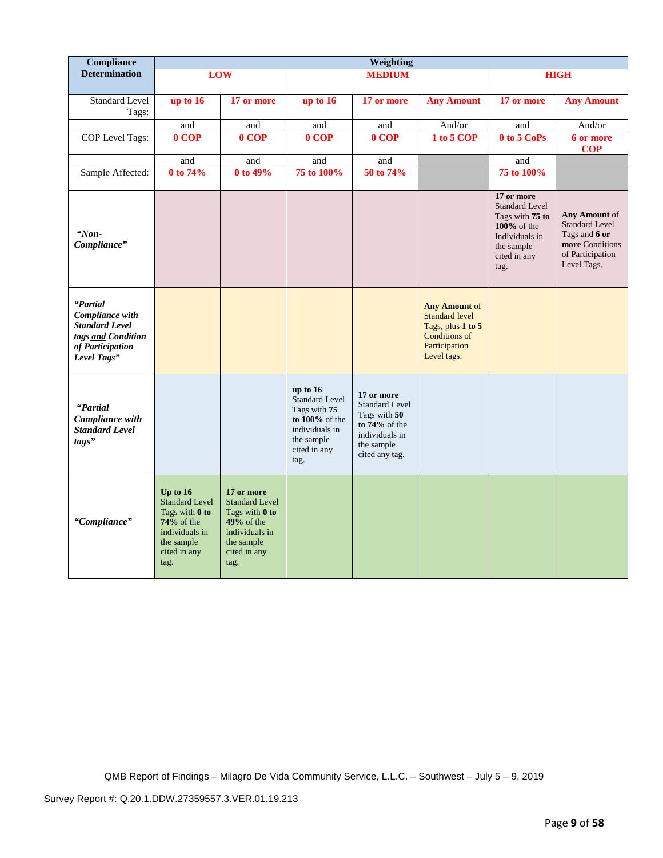| Compliance                                                                                                    | Weighting                                                                                                                          |                                                                                                                               |                                                                                                                        |                                                                                                                           |                                                                                                                     |                                                                                                                               |                                                                                                               |
|---------------------------------------------------------------------------------------------------------------|------------------------------------------------------------------------------------------------------------------------------------|-------------------------------------------------------------------------------------------------------------------------------|------------------------------------------------------------------------------------------------------------------------|---------------------------------------------------------------------------------------------------------------------------|---------------------------------------------------------------------------------------------------------------------|-------------------------------------------------------------------------------------------------------------------------------|---------------------------------------------------------------------------------------------------------------|
| <b>Determination</b>                                                                                          |                                                                                                                                    | <b>LOW</b>                                                                                                                    |                                                                                                                        | <b>MEDIUM</b>                                                                                                             |                                                                                                                     |                                                                                                                               | <b>HIGH</b>                                                                                                   |
| Standard Level<br>Tags:                                                                                       | up to 16                                                                                                                           | 17 or more                                                                                                                    | up to 16                                                                                                               | 17 or more                                                                                                                | <b>Any Amount</b>                                                                                                   | 17 or more                                                                                                                    | <b>Any Amount</b>                                                                                             |
|                                                                                                               | and                                                                                                                                | and                                                                                                                           | and                                                                                                                    | and                                                                                                                       | And/or                                                                                                              | and                                                                                                                           | And/or                                                                                                        |
| COP Level Tags:                                                                                               | $0$ COP                                                                                                                            | $0$ COP                                                                                                                       | $0$ COP                                                                                                                | $0$ COP                                                                                                                   | 1 to 5 COP                                                                                                          | 0 to 5 CoPs                                                                                                                   | 6 or more<br><b>COP</b>                                                                                       |
|                                                                                                               | and                                                                                                                                | and                                                                                                                           | and                                                                                                                    | and                                                                                                                       |                                                                                                                     | and                                                                                                                           |                                                                                                               |
| Sample Affected:                                                                                              | 0 to 74%                                                                                                                           | 0 to 49%                                                                                                                      | 75 to 100%                                                                                                             | 50 to 74%                                                                                                                 |                                                                                                                     | 75 to 100%                                                                                                                    |                                                                                                               |
| "Non-<br>Compliance"                                                                                          |                                                                                                                                    |                                                                                                                               |                                                                                                                        |                                                                                                                           |                                                                                                                     | 17 or more<br><b>Standard Level</b><br>Tags with 75 to<br>100% of the<br>Individuals in<br>the sample<br>cited in any<br>tag. | Any Amount of<br><b>Standard Level</b><br>Tags and 6 or<br>more Conditions<br>of Participation<br>Level Tags. |
| "Partial<br>Compliance with<br><b>Standard Level</b><br>tags and Condition<br>of Participation<br>Level Tags" |                                                                                                                                    |                                                                                                                               |                                                                                                                        |                                                                                                                           | Any Amount of<br><b>Standard level</b><br>Tags, plus 1 to 5<br><b>Conditions of</b><br>Participation<br>Level tags. |                                                                                                                               |                                                                                                               |
| "Partial<br>Compliance with<br><b>Standard Level</b><br>tags"                                                 |                                                                                                                                    |                                                                                                                               | up to $16$<br>Standard Level<br>Tags with 75<br>to 100% of the<br>individuals in<br>the sample<br>cited in any<br>tag. | 17 or more<br><b>Standard Level</b><br>Tags with 50<br>to $74\%$ of the<br>individuals in<br>the sample<br>cited any tag. |                                                                                                                     |                                                                                                                               |                                                                                                               |
| "Compliance"                                                                                                  | Up to $16$<br><b>Standard Level</b><br>Tags with 0 to<br><b>74%</b> of the<br>individuals in<br>the sample<br>cited in any<br>tag. | 17 or more<br><b>Standard Level</b><br>Tags with 0 to<br>$49%$ of the<br>individuals in<br>the sample<br>cited in any<br>tag. |                                                                                                                        |                                                                                                                           |                                                                                                                     |                                                                                                                               |                                                                                                               |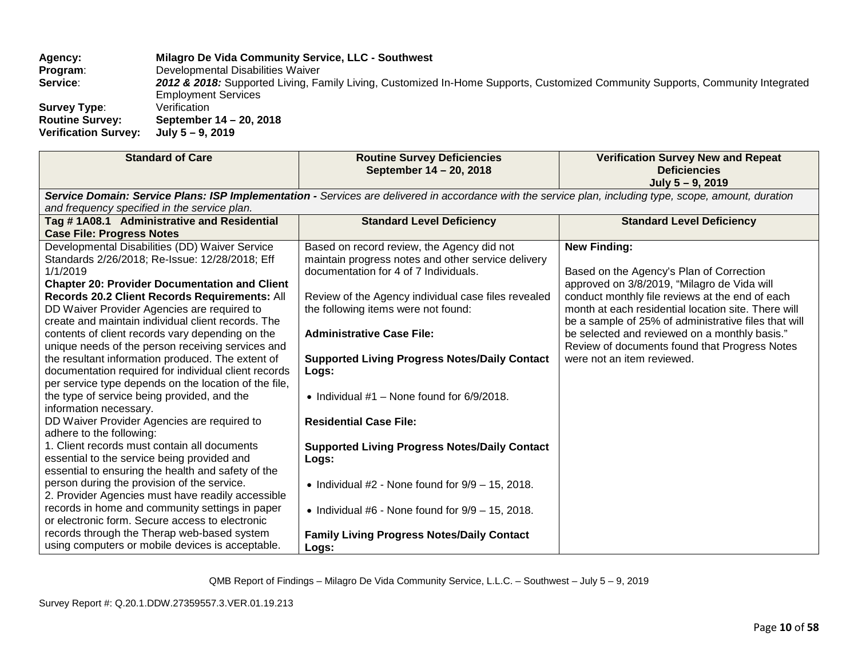**Agency: Milagro De Vida Community Service, LLC - Southwest Program:** Developmental Disabilities Waiver<br>**Service: 2012 & 2018:** Supported Living. Fa 2012 & 2018: Supported Living, Family Living, Customized In-Home Supports, Customized Community Supports, Community Integrated **Employment Services**<br>Verification **Survey Type:<br>Routine Survey: Routine Survey: September 14 – 20, 2018 Verification Survey:** 

| <b>Standard of Care</b>                                                                                                                                                                                                                                                                                                                                                                                                                                                                                                                                                                                                                                                                                                                                                                                                                                                                                                                                                                                                                                                                                                                                                                                                         | <b>Routine Survey Deficiencies</b><br>September 14 - 20, 2018                                                                                                                                                                                                                                                                                                                                                                                                                                                                                                                                                                                                                | <b>Verification Survey New and Repeat</b><br><b>Deficiencies</b><br>July 5 - 9, 2019                                                                                                                                                                                                                                                                                                                             |
|---------------------------------------------------------------------------------------------------------------------------------------------------------------------------------------------------------------------------------------------------------------------------------------------------------------------------------------------------------------------------------------------------------------------------------------------------------------------------------------------------------------------------------------------------------------------------------------------------------------------------------------------------------------------------------------------------------------------------------------------------------------------------------------------------------------------------------------------------------------------------------------------------------------------------------------------------------------------------------------------------------------------------------------------------------------------------------------------------------------------------------------------------------------------------------------------------------------------------------|------------------------------------------------------------------------------------------------------------------------------------------------------------------------------------------------------------------------------------------------------------------------------------------------------------------------------------------------------------------------------------------------------------------------------------------------------------------------------------------------------------------------------------------------------------------------------------------------------------------------------------------------------------------------------|------------------------------------------------------------------------------------------------------------------------------------------------------------------------------------------------------------------------------------------------------------------------------------------------------------------------------------------------------------------------------------------------------------------|
| Service Domain: Service Plans: ISP Implementation - Services are delivered in accordance with the service plan, including type, scope, amount, duration<br>and frequency specified in the service plan.                                                                                                                                                                                                                                                                                                                                                                                                                                                                                                                                                                                                                                                                                                                                                                                                                                                                                                                                                                                                                         |                                                                                                                                                                                                                                                                                                                                                                                                                                                                                                                                                                                                                                                                              |                                                                                                                                                                                                                                                                                                                                                                                                                  |
| Tag #1A08.1 Administrative and Residential<br><b>Case File: Progress Notes</b>                                                                                                                                                                                                                                                                                                                                                                                                                                                                                                                                                                                                                                                                                                                                                                                                                                                                                                                                                                                                                                                                                                                                                  | <b>Standard Level Deficiency</b>                                                                                                                                                                                                                                                                                                                                                                                                                                                                                                                                                                                                                                             | <b>Standard Level Deficiency</b>                                                                                                                                                                                                                                                                                                                                                                                 |
| Developmental Disabilities (DD) Waiver Service<br>Standards 2/26/2018; Re-Issue: 12/28/2018; Eff<br>1/1/2019<br><b>Chapter 20: Provider Documentation and Client</b><br>Records 20.2 Client Records Requirements: All<br>DD Waiver Provider Agencies are required to<br>create and maintain individual client records. The<br>contents of client records vary depending on the<br>unique needs of the person receiving services and<br>the resultant information produced. The extent of<br>documentation required for individual client records<br>per service type depends on the location of the file,<br>the type of service being provided, and the<br>information necessary.<br>DD Waiver Provider Agencies are required to<br>adhere to the following:<br>1. Client records must contain all documents<br>essential to the service being provided and<br>essential to ensuring the health and safety of the<br>person during the provision of the service.<br>2. Provider Agencies must have readily accessible<br>records in home and community settings in paper<br>or electronic form. Secure access to electronic<br>records through the Therap web-based system<br>using computers or mobile devices is acceptable. | Based on record review, the Agency did not<br>maintain progress notes and other service delivery<br>documentation for 4 of 7 Individuals.<br>Review of the Agency individual case files revealed<br>the following items were not found:<br><b>Administrative Case File:</b><br><b>Supported Living Progress Notes/Daily Contact</b><br>Logs:<br>• Individual $#1$ – None found for 6/9/2018.<br><b>Residential Case File:</b><br><b>Supported Living Progress Notes/Daily Contact</b><br>Logs:<br>• Individual $#2$ - None found for $9/9 - 15$ , 2018.<br>• Individual #6 - None found for $9/9 - 15$ , 2018.<br><b>Family Living Progress Notes/Daily Contact</b><br>Logs: | <b>New Finding:</b><br>Based on the Agency's Plan of Correction<br>approved on 3/8/2019, "Milagro de Vida will<br>conduct monthly file reviews at the end of each<br>month at each residential location site. There will<br>be a sample of 25% of administrative files that will<br>be selected and reviewed on a monthly basis."<br>Review of documents found that Progress Notes<br>were not an item reviewed. |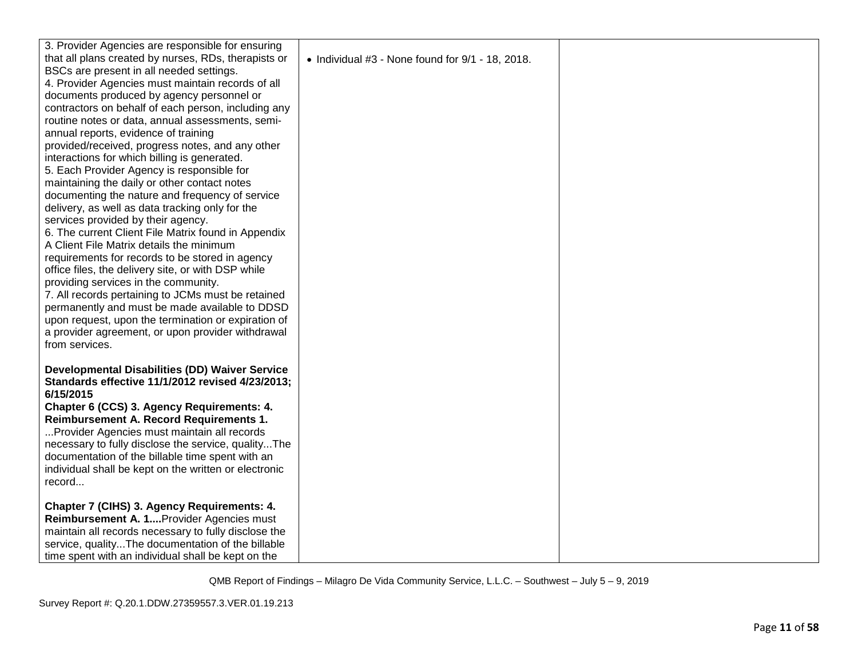| 3. Provider Agencies are responsible for ensuring                                                  |                                                          |  |
|----------------------------------------------------------------------------------------------------|----------------------------------------------------------|--|
| that all plans created by nurses, RDs, therapists or                                               | $\bullet$ Individual #3 - None found for 9/1 - 18, 2018. |  |
| BSCs are present in all needed settings.                                                           |                                                          |  |
| 4. Provider Agencies must maintain records of all                                                  |                                                          |  |
| documents produced by agency personnel or                                                          |                                                          |  |
| contractors on behalf of each person, including any                                                |                                                          |  |
| routine notes or data, annual assessments, semi-                                                   |                                                          |  |
| annual reports, evidence of training                                                               |                                                          |  |
| provided/received, progress notes, and any other                                                   |                                                          |  |
| interactions for which billing is generated.                                                       |                                                          |  |
| 5. Each Provider Agency is responsible for                                                         |                                                          |  |
| maintaining the daily or other contact notes                                                       |                                                          |  |
| documenting the nature and frequency of service                                                    |                                                          |  |
| delivery, as well as data tracking only for the                                                    |                                                          |  |
| services provided by their agency.                                                                 |                                                          |  |
| 6. The current Client File Matrix found in Appendix                                                |                                                          |  |
| A Client File Matrix details the minimum                                                           |                                                          |  |
| requirements for records to be stored in agency                                                    |                                                          |  |
| office files, the delivery site, or with DSP while                                                 |                                                          |  |
| providing services in the community.                                                               |                                                          |  |
| 7. All records pertaining to JCMs must be retained                                                 |                                                          |  |
| permanently and must be made available to DDSD                                                     |                                                          |  |
| upon request, upon the termination or expiration of                                                |                                                          |  |
| a provider agreement, or upon provider withdrawal                                                  |                                                          |  |
| from services.                                                                                     |                                                          |  |
|                                                                                                    |                                                          |  |
| <b>Developmental Disabilities (DD) Waiver Service</b>                                              |                                                          |  |
| Standards effective 11/1/2012 revised 4/23/2013;<br>6/15/2015                                      |                                                          |  |
|                                                                                                    |                                                          |  |
| Chapter 6 (CCS) 3. Agency Requirements: 4.                                                         |                                                          |  |
| Reimbursement A. Record Requirements 1.                                                            |                                                          |  |
| Provider Agencies must maintain all records<br>necessary to fully disclose the service, qualityThe |                                                          |  |
| documentation of the billable time spent with an                                                   |                                                          |  |
| individual shall be kept on the written or electronic                                              |                                                          |  |
| record                                                                                             |                                                          |  |
|                                                                                                    |                                                          |  |
| Chapter 7 (CIHS) 3. Agency Requirements: 4.                                                        |                                                          |  |
| Reimbursement A. 1 Provider Agencies must                                                          |                                                          |  |
| maintain all records necessary to fully disclose the                                               |                                                          |  |
| service, qualityThe documentation of the billable                                                  |                                                          |  |
| time spent with an individual shall be kept on the                                                 |                                                          |  |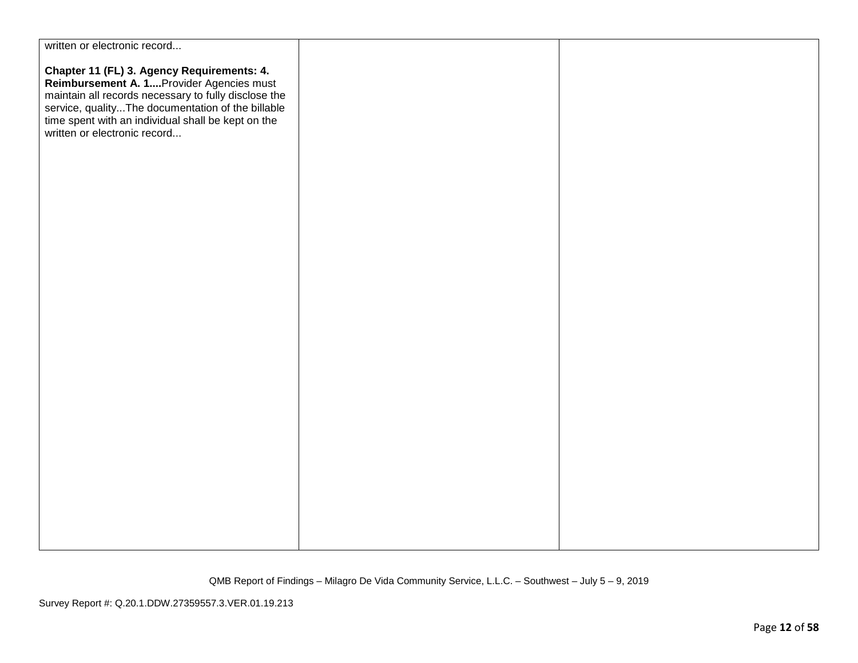| written or electronic record                                                                                                                                                                                                                                                              |  |
|-------------------------------------------------------------------------------------------------------------------------------------------------------------------------------------------------------------------------------------------------------------------------------------------|--|
| Chapter 11 (FL) 3. Agency Requirements: 4.<br>Reimbursement A. 1Provider Agencies must<br>maintain all records necessary to fully disclose the<br>service, qualityThe documentation of the billable<br>time spent with an individual shall be kept on the<br>written or electronic record |  |
|                                                                                                                                                                                                                                                                                           |  |
|                                                                                                                                                                                                                                                                                           |  |
|                                                                                                                                                                                                                                                                                           |  |
|                                                                                                                                                                                                                                                                                           |  |
|                                                                                                                                                                                                                                                                                           |  |
|                                                                                                                                                                                                                                                                                           |  |
|                                                                                                                                                                                                                                                                                           |  |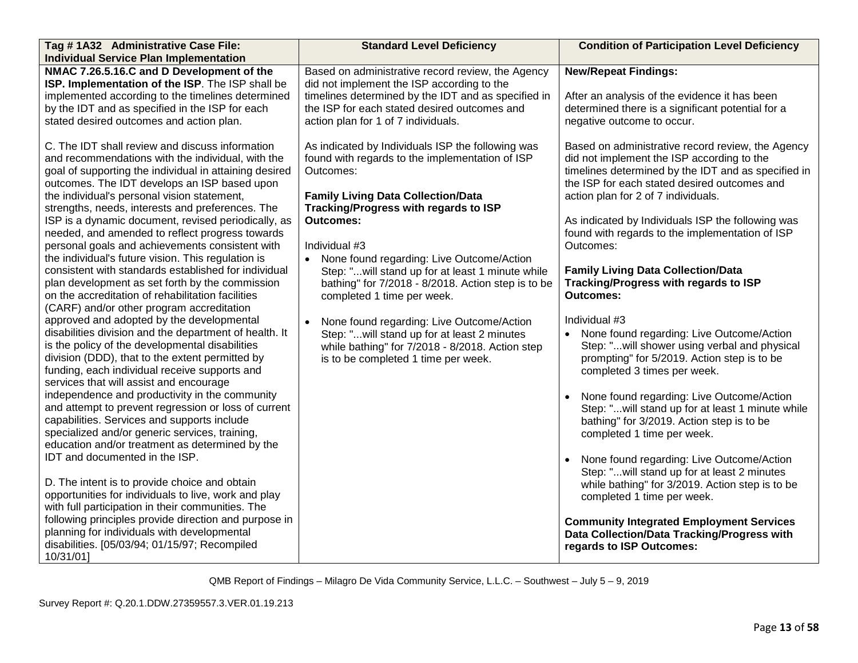| Tag #1A32 Administrative Case File:                                                                                                                                                                                                                                                                  | <b>Standard Level Deficiency</b>                                                                                                                                                                                                                                                                   | <b>Condition of Participation Level Deficiency</b>                                                                                                                                                                    |
|------------------------------------------------------------------------------------------------------------------------------------------------------------------------------------------------------------------------------------------------------------------------------------------------------|----------------------------------------------------------------------------------------------------------------------------------------------------------------------------------------------------------------------------------------------------------------------------------------------------|-----------------------------------------------------------------------------------------------------------------------------------------------------------------------------------------------------------------------|
| <b>Individual Service Plan Implementation</b>                                                                                                                                                                                                                                                        |                                                                                                                                                                                                                                                                                                    |                                                                                                                                                                                                                       |
| NMAC 7.26.5.16.C and D Development of the<br>ISP. Implementation of the ISP. The ISP shall be<br>implemented according to the timelines determined<br>by the IDT and as specified in the ISP for each<br>stated desired outcomes and action plan.<br>C. The IDT shall review and discuss information | Based on administrative record review, the Agency<br>did not implement the ISP according to the<br>timelines determined by the IDT and as specified in<br>the ISP for each stated desired outcomes and<br>action plan for 1 of 7 individuals.<br>As indicated by Individuals ISP the following was | <b>New/Repeat Findings:</b><br>After an analysis of the evidence it has been<br>determined there is a significant potential for a<br>negative outcome to occur.<br>Based on administrative record review, the Agency  |
| and recommendations with the individual, with the<br>goal of supporting the individual in attaining desired<br>outcomes. The IDT develops an ISP based upon<br>the individual's personal vision statement,<br>strengths, needs, interests and preferences. The                                       | found with regards to the implementation of ISP<br>Outcomes:<br><b>Family Living Data Collection/Data</b><br>Tracking/Progress with regards to ISP                                                                                                                                                 | did not implement the ISP according to the<br>timelines determined by the IDT and as specified in<br>the ISP for each stated desired outcomes and<br>action plan for 2 of 7 individuals.                              |
| ISP is a dynamic document, revised periodically, as<br>needed, and amended to reflect progress towards<br>personal goals and achievements consistent with<br>the individual's future vision. This regulation is<br>consistent with standards established for individual                              | <b>Outcomes:</b><br>Individual #3<br>• None found regarding: Live Outcome/Action<br>Step: "will stand up for at least 1 minute while                                                                                                                                                               | As indicated by Individuals ISP the following was<br>found with regards to the implementation of ISP<br>Outcomes:<br><b>Family Living Data Collection/Data</b>                                                        |
| plan development as set forth by the commission<br>on the accreditation of rehabilitation facilities<br>(CARF) and/or other program accreditation<br>approved and adopted by the developmental                                                                                                       | bathing" for 7/2018 - 8/2018. Action step is to be<br>completed 1 time per week.<br>None found regarding: Live Outcome/Action                                                                                                                                                                      | Tracking/Progress with regards to ISP<br><b>Outcomes:</b><br>Individual #3                                                                                                                                            |
| disabilities division and the department of health. It<br>is the policy of the developmental disabilities<br>division (DDD), that to the extent permitted by<br>funding, each individual receive supports and<br>services that will assist and encourage                                             | Step: " will stand up for at least 2 minutes<br>while bathing" for 7/2018 - 8/2018. Action step<br>is to be completed 1 time per week.                                                                                                                                                             | • None found regarding: Live Outcome/Action<br>Step: "will shower using verbal and physical<br>prompting" for 5/2019. Action step is to be<br>completed 3 times per week.                                             |
| independence and productivity in the community<br>and attempt to prevent regression or loss of current<br>capabilities. Services and supports include<br>specialized and/or generic services, training,<br>education and/or treatment as determined by the<br>IDT and documented in the ISP.         |                                                                                                                                                                                                                                                                                                    | None found regarding: Live Outcome/Action<br>Step: "will stand up for at least 1 minute while<br>bathing" for 3/2019. Action step is to be<br>completed 1 time per week.<br>None found regarding: Live Outcome/Action |
| D. The intent is to provide choice and obtain<br>opportunities for individuals to live, work and play<br>with full participation in their communities. The                                                                                                                                           |                                                                                                                                                                                                                                                                                                    | Step: "will stand up for at least 2 minutes<br>while bathing" for 3/2019. Action step is to be<br>completed 1 time per week.                                                                                          |
| following principles provide direction and purpose in<br>planning for individuals with developmental<br>disabilities. [05/03/94; 01/15/97; Recompiled<br>10/31/01]                                                                                                                                   |                                                                                                                                                                                                                                                                                                    | <b>Community Integrated Employment Services</b><br>Data Collection/Data Tracking/Progress with<br>regards to ISP Outcomes:                                                                                            |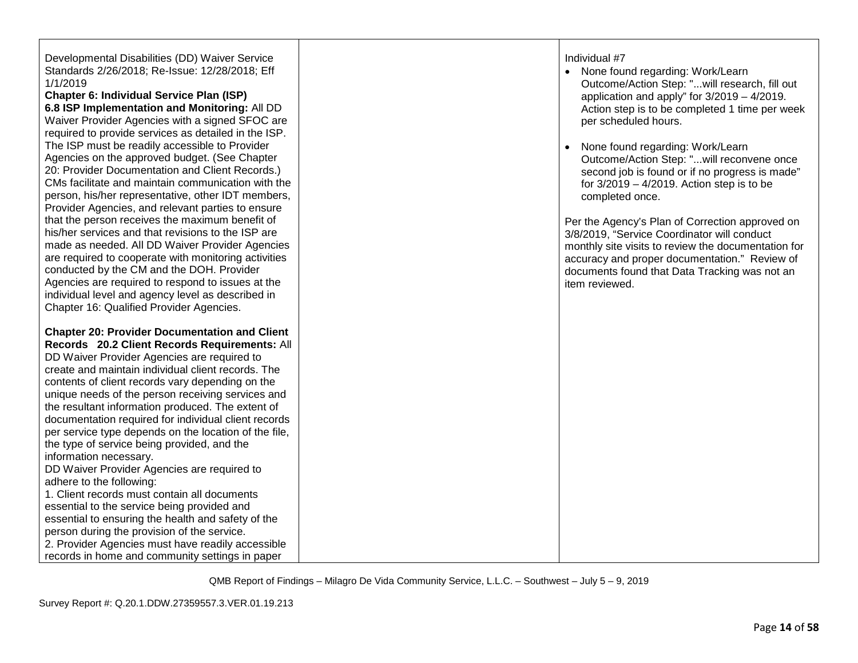| Developmental Disabilities (DD) Waiver Service<br>Standards 2/26/2018; Re-Issue: 12/28/2018; Eff<br>1/1/2019<br><b>Chapter 6: Individual Service Plan (ISP)</b><br>6.8 ISP Implementation and Monitoring: All DD<br>Waiver Provider Agencies with a signed SFOC are<br>required to provide services as detailed in the ISP.<br>The ISP must be readily accessible to Provider<br>Agencies on the approved budget. (See Chapter<br>20: Provider Documentation and Client Records.)<br>CMs facilitate and maintain communication with the<br>person, his/her representative, other IDT members,<br>Provider Agencies, and relevant parties to ensure<br>that the person receives the maximum benefit of<br>his/her services and that revisions to the ISP are<br>made as needed. All DD Waiver Provider Agencies<br>are required to cooperate with monitoring activities<br>conducted by the CM and the DOH. Provider<br>Agencies are required to respond to issues at the<br>individual level and agency level as described in<br>Chapter 16: Qualified Provider Agencies. | Individual #7<br>None found regarding: Work/Learn<br>Outcome/Action Step: "will research, fill out<br>application and apply" for $3/2019 - 4/2019$ .<br>Action step is to be completed 1 time per week<br>per scheduled hours.<br>None found regarding: Work/Learn<br>$\bullet$<br>Outcome/Action Step: " will reconvene once<br>second job is found or if no progress is made"<br>for $3/2019 - 4/2019$ . Action step is to be<br>completed once.<br>Per the Agency's Plan of Correction approved on<br>3/8/2019, "Service Coordinator will conduct<br>monthly site visits to review the documentation for<br>accuracy and proper documentation." Review of<br>documents found that Data Tracking was not an<br>item reviewed. |
|---------------------------------------------------------------------------------------------------------------------------------------------------------------------------------------------------------------------------------------------------------------------------------------------------------------------------------------------------------------------------------------------------------------------------------------------------------------------------------------------------------------------------------------------------------------------------------------------------------------------------------------------------------------------------------------------------------------------------------------------------------------------------------------------------------------------------------------------------------------------------------------------------------------------------------------------------------------------------------------------------------------------------------------------------------------------------|---------------------------------------------------------------------------------------------------------------------------------------------------------------------------------------------------------------------------------------------------------------------------------------------------------------------------------------------------------------------------------------------------------------------------------------------------------------------------------------------------------------------------------------------------------------------------------------------------------------------------------------------------------------------------------------------------------------------------------|
| <b>Chapter 20: Provider Documentation and Client</b><br>Records 20.2 Client Records Requirements: All<br>DD Waiver Provider Agencies are required to<br>create and maintain individual client records. The<br>contents of client records vary depending on the<br>unique needs of the person receiving services and<br>the resultant information produced. The extent of<br>documentation required for individual client records<br>per service type depends on the location of the file,<br>the type of service being provided, and the<br>information necessary.<br>DD Waiver Provider Agencies are required to<br>adhere to the following:<br>1. Client records must contain all documents<br>essential to the service being provided and<br>essential to ensuring the health and safety of the<br>person during the provision of the service.<br>2. Provider Agencies must have readily accessible<br>records in home and community settings in paper                                                                                                                 |                                                                                                                                                                                                                                                                                                                                                                                                                                                                                                                                                                                                                                                                                                                                 |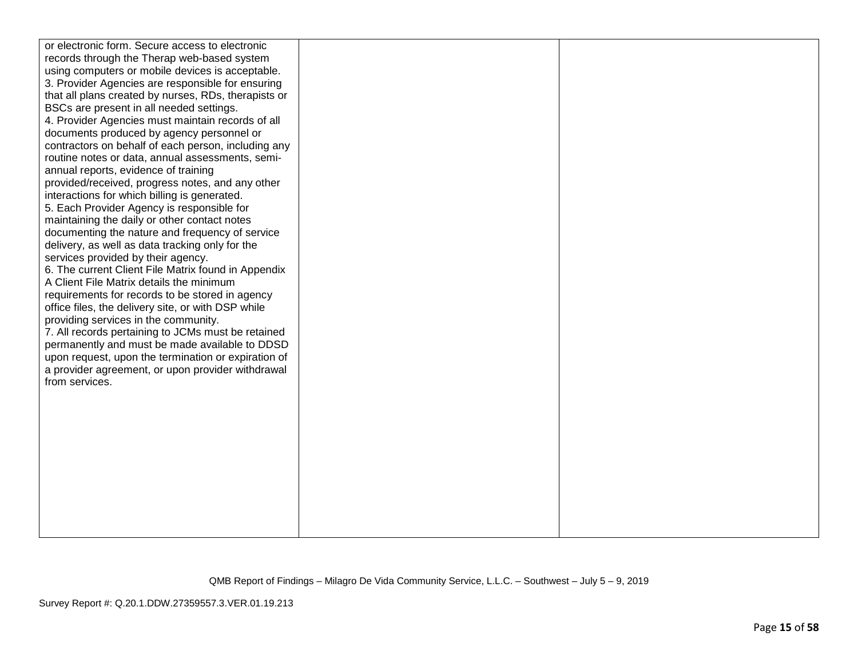| or electronic form. Secure access to electronic      |  |
|------------------------------------------------------|--|
| records through the Therap web-based system          |  |
| using computers or mobile devices is acceptable.     |  |
| 3. Provider Agencies are responsible for ensuring    |  |
| that all plans created by nurses, RDs, therapists or |  |
| BSCs are present in all needed settings.             |  |
| 4. Provider Agencies must maintain records of all    |  |
| documents produced by agency personnel or            |  |
| contractors on behalf of each person, including any  |  |
| routine notes or data, annual assessments, semi-     |  |
| annual reports, evidence of training                 |  |
| provided/received, progress notes, and any other     |  |
| interactions for which billing is generated.         |  |
| 5. Each Provider Agency is responsible for           |  |
| maintaining the daily or other contact notes         |  |
| documenting the nature and frequency of service      |  |
| delivery, as well as data tracking only for the      |  |
| services provided by their agency.                   |  |
| 6. The current Client File Matrix found in Appendix  |  |
| A Client File Matrix details the minimum             |  |
| requirements for records to be stored in agency      |  |
| office files, the delivery site, or with DSP while   |  |
| providing services in the community.                 |  |
| 7. All records pertaining to JCMs must be retained   |  |
| permanently and must be made available to DDSD       |  |
| upon request, upon the termination or expiration of  |  |
| a provider agreement, or upon provider withdrawal    |  |
| from services.                                       |  |
|                                                      |  |
|                                                      |  |
|                                                      |  |
|                                                      |  |
|                                                      |  |
|                                                      |  |
|                                                      |  |
|                                                      |  |
|                                                      |  |
|                                                      |  |
|                                                      |  |
|                                                      |  |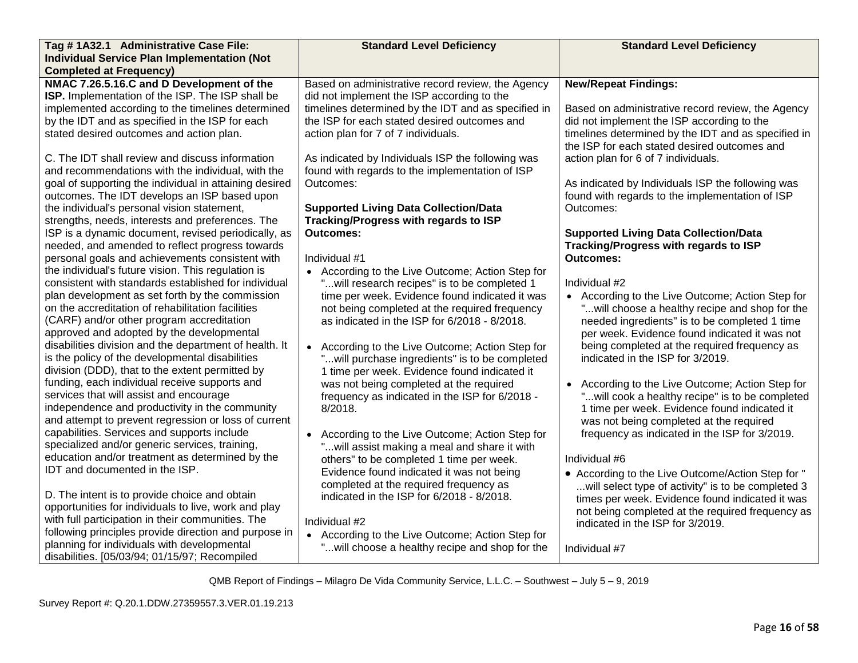| Tag # 1A32.1 Administrative Case File:                                                                                                                                                                                                                   | <b>Standard Level Deficiency</b>                                                                                                                       | <b>Standard Level Deficiency</b>                                                                                                                                                                               |
|----------------------------------------------------------------------------------------------------------------------------------------------------------------------------------------------------------------------------------------------------------|--------------------------------------------------------------------------------------------------------------------------------------------------------|----------------------------------------------------------------------------------------------------------------------------------------------------------------------------------------------------------------|
| <b>Individual Service Plan Implementation (Not</b>                                                                                                                                                                                                       |                                                                                                                                                        |                                                                                                                                                                                                                |
| <b>Completed at Frequency)</b>                                                                                                                                                                                                                           |                                                                                                                                                        |                                                                                                                                                                                                                |
| NMAC 7.26.5.16.C and D Development of the<br>ISP. Implementation of the ISP. The ISP shall be<br>implemented according to the timelines determined                                                                                                       | Based on administrative record review, the Agency<br>did not implement the ISP according to the<br>timelines determined by the IDT and as specified in | <b>New/Repeat Findings:</b><br>Based on administrative record review, the Agency                                                                                                                               |
| by the IDT and as specified in the ISP for each                                                                                                                                                                                                          | the ISP for each stated desired outcomes and                                                                                                           | did not implement the ISP according to the                                                                                                                                                                     |
| stated desired outcomes and action plan.                                                                                                                                                                                                                 | action plan for 7 of 7 individuals.                                                                                                                    | timelines determined by the IDT and as specified in<br>the ISP for each stated desired outcomes and                                                                                                            |
| C. The IDT shall review and discuss information<br>and recommendations with the individual, with the                                                                                                                                                     | As indicated by Individuals ISP the following was<br>found with regards to the implementation of ISP                                                   | action plan for 6 of 7 individuals.                                                                                                                                                                            |
| goal of supporting the individual in attaining desired<br>outcomes. The IDT develops an ISP based upon                                                                                                                                                   | Outcomes:                                                                                                                                              | As indicated by Individuals ISP the following was<br>found with regards to the implementation of ISP                                                                                                           |
| the individual's personal vision statement,<br>strengths, needs, interests and preferences. The                                                                                                                                                          | <b>Supported Living Data Collection/Data</b><br><b>Tracking/Progress with regards to ISP</b>                                                           | Outcomes:                                                                                                                                                                                                      |
| ISP is a dynamic document, revised periodically, as                                                                                                                                                                                                      | <b>Outcomes:</b>                                                                                                                                       | <b>Supported Living Data Collection/Data</b>                                                                                                                                                                   |
| needed, and amended to reflect progress towards                                                                                                                                                                                                          |                                                                                                                                                        | Tracking/Progress with regards to ISP                                                                                                                                                                          |
| personal goals and achievements consistent with                                                                                                                                                                                                          | Individual #1                                                                                                                                          | <b>Outcomes:</b>                                                                                                                                                                                               |
| the individual's future vision. This regulation is<br>consistent with standards established for individual                                                                                                                                               | • According to the Live Outcome; Action Step for<br>will research recipes" is to be completed 1                                                        | Individual #2                                                                                                                                                                                                  |
| plan development as set forth by the commission<br>on the accreditation of rehabilitation facilities<br>(CARF) and/or other program accreditation<br>approved and adopted by the developmental<br>disabilities division and the department of health. It | time per week. Evidence found indicated it was<br>not being completed at the required frequency<br>as indicated in the ISP for 6/2018 - 8/2018.        | • According to the Live Outcome; Action Step for<br>" will choose a healthy recipe and shop for the<br>needed ingredients" is to be completed 1 time<br>per week. Evidence found indicated it was not          |
| is the policy of the developmental disabilities<br>division (DDD), that to the extent permitted by                                                                                                                                                       | • According to the Live Outcome; Action Step for<br>" will purchase ingredients" is to be completed<br>1 time per week. Evidence found indicated it    | being completed at the required frequency as<br>indicated in the ISP for 3/2019.                                                                                                                               |
| funding, each individual receive supports and<br>services that will assist and encourage<br>independence and productivity in the community<br>and attempt to prevent regression or loss of current                                                       | was not being completed at the required<br>frequency as indicated in the ISP for 6/2018 -<br>8/2018.                                                   | • According to the Live Outcome; Action Step for<br>"will cook a healthy recipe" is to be completed<br>1 time per week. Evidence found indicated it<br>was not being completed at the required                 |
| capabilities. Services and supports include<br>specialized and/or generic services, training,                                                                                                                                                            | • According to the Live Outcome; Action Step for<br>" will assist making a meal and share it with                                                      | frequency as indicated in the ISP for 3/2019.                                                                                                                                                                  |
| education and/or treatment as determined by the<br>IDT and documented in the ISP.                                                                                                                                                                        | others" to be completed 1 time per week.                                                                                                               | Individual #6                                                                                                                                                                                                  |
| D. The intent is to provide choice and obtain<br>opportunities for individuals to live, work and play                                                                                                                                                    | Evidence found indicated it was not being<br>completed at the required frequency as<br>indicated in the ISP for 6/2018 - 8/2018.                       | • According to the Live Outcome/Action Step for "<br>will select type of activity" is to be completed 3<br>times per week. Evidence found indicated it was<br>not being completed at the required frequency as |
| with full participation in their communities. The                                                                                                                                                                                                        | Individual #2                                                                                                                                          | indicated in the ISP for 3/2019.                                                                                                                                                                               |
| following principles provide direction and purpose in                                                                                                                                                                                                    | • According to the Live Outcome; Action Step for                                                                                                       |                                                                                                                                                                                                                |
| planning for individuals with developmental<br>disabilities. [05/03/94; 01/15/97; Recompiled                                                                                                                                                             | " will choose a healthy recipe and shop for the                                                                                                        | Individual #7                                                                                                                                                                                                  |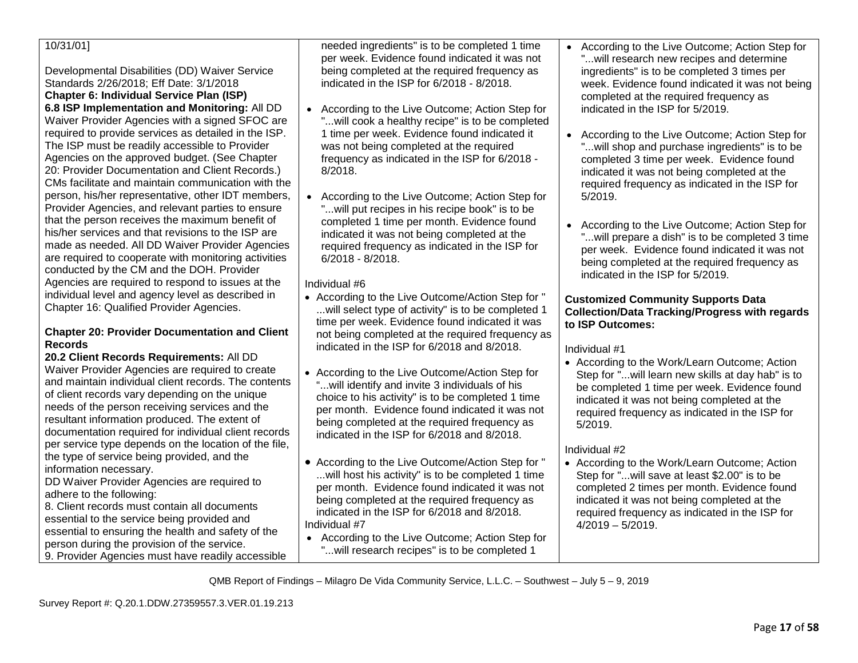| needed ingredients" is to be completed 1 time                                                                                                                      | • According to the Live Outcome; Action Step for                                                                                                                                                                                                                                                                                                                                                                                                                                                                                                                                                                                                                                                                                                                                                                                                                                                                                                                                                                                                                                                                                                                                                                                                                                                                                                                                                                                                                                  |
|--------------------------------------------------------------------------------------------------------------------------------------------------------------------|-----------------------------------------------------------------------------------------------------------------------------------------------------------------------------------------------------------------------------------------------------------------------------------------------------------------------------------------------------------------------------------------------------------------------------------------------------------------------------------------------------------------------------------------------------------------------------------------------------------------------------------------------------------------------------------------------------------------------------------------------------------------------------------------------------------------------------------------------------------------------------------------------------------------------------------------------------------------------------------------------------------------------------------------------------------------------------------------------------------------------------------------------------------------------------------------------------------------------------------------------------------------------------------------------------------------------------------------------------------------------------------------------------------------------------------------------------------------------------------|
|                                                                                                                                                                    | " will research new recipes and determine                                                                                                                                                                                                                                                                                                                                                                                                                                                                                                                                                                                                                                                                                                                                                                                                                                                                                                                                                                                                                                                                                                                                                                                                                                                                                                                                                                                                                                         |
|                                                                                                                                                                    | ingredients" is to be completed 3 times per                                                                                                                                                                                                                                                                                                                                                                                                                                                                                                                                                                                                                                                                                                                                                                                                                                                                                                                                                                                                                                                                                                                                                                                                                                                                                                                                                                                                                                       |
|                                                                                                                                                                    | week. Evidence found indicated it was not being                                                                                                                                                                                                                                                                                                                                                                                                                                                                                                                                                                                                                                                                                                                                                                                                                                                                                                                                                                                                                                                                                                                                                                                                                                                                                                                                                                                                                                   |
|                                                                                                                                                                    | completed at the required frequency as<br>indicated in the ISP for 5/2019.                                                                                                                                                                                                                                                                                                                                                                                                                                                                                                                                                                                                                                                                                                                                                                                                                                                                                                                                                                                                                                                                                                                                                                                                                                                                                                                                                                                                        |
|                                                                                                                                                                    |                                                                                                                                                                                                                                                                                                                                                                                                                                                                                                                                                                                                                                                                                                                                                                                                                                                                                                                                                                                                                                                                                                                                                                                                                                                                                                                                                                                                                                                                                   |
|                                                                                                                                                                    | • According to the Live Outcome; Action Step for                                                                                                                                                                                                                                                                                                                                                                                                                                                                                                                                                                                                                                                                                                                                                                                                                                                                                                                                                                                                                                                                                                                                                                                                                                                                                                                                                                                                                                  |
|                                                                                                                                                                    | " will shop and purchase ingredients" is to be                                                                                                                                                                                                                                                                                                                                                                                                                                                                                                                                                                                                                                                                                                                                                                                                                                                                                                                                                                                                                                                                                                                                                                                                                                                                                                                                                                                                                                    |
|                                                                                                                                                                    | completed 3 time per week. Evidence found                                                                                                                                                                                                                                                                                                                                                                                                                                                                                                                                                                                                                                                                                                                                                                                                                                                                                                                                                                                                                                                                                                                                                                                                                                                                                                                                                                                                                                         |
|                                                                                                                                                                    | indicated it was not being completed at the                                                                                                                                                                                                                                                                                                                                                                                                                                                                                                                                                                                                                                                                                                                                                                                                                                                                                                                                                                                                                                                                                                                                                                                                                                                                                                                                                                                                                                       |
|                                                                                                                                                                    | required frequency as indicated in the ISP for                                                                                                                                                                                                                                                                                                                                                                                                                                                                                                                                                                                                                                                                                                                                                                                                                                                                                                                                                                                                                                                                                                                                                                                                                                                                                                                                                                                                                                    |
|                                                                                                                                                                    | 5/2019.                                                                                                                                                                                                                                                                                                                                                                                                                                                                                                                                                                                                                                                                                                                                                                                                                                                                                                                                                                                                                                                                                                                                                                                                                                                                                                                                                                                                                                                                           |
|                                                                                                                                                                    |                                                                                                                                                                                                                                                                                                                                                                                                                                                                                                                                                                                                                                                                                                                                                                                                                                                                                                                                                                                                                                                                                                                                                                                                                                                                                                                                                                                                                                                                                   |
| completed 1 time per month. Evidence found                                                                                                                         | • According to the Live Outcome; Action Step for                                                                                                                                                                                                                                                                                                                                                                                                                                                                                                                                                                                                                                                                                                                                                                                                                                                                                                                                                                                                                                                                                                                                                                                                                                                                                                                                                                                                                                  |
| indicated it was not being completed at the                                                                                                                        | " will prepare a dish" is to be completed 3 time                                                                                                                                                                                                                                                                                                                                                                                                                                                                                                                                                                                                                                                                                                                                                                                                                                                                                                                                                                                                                                                                                                                                                                                                                                                                                                                                                                                                                                  |
|                                                                                                                                                                    | per week. Evidence found indicated it was not                                                                                                                                                                                                                                                                                                                                                                                                                                                                                                                                                                                                                                                                                                                                                                                                                                                                                                                                                                                                                                                                                                                                                                                                                                                                                                                                                                                                                                     |
|                                                                                                                                                                    | being completed at the required frequency as                                                                                                                                                                                                                                                                                                                                                                                                                                                                                                                                                                                                                                                                                                                                                                                                                                                                                                                                                                                                                                                                                                                                                                                                                                                                                                                                                                                                                                      |
|                                                                                                                                                                    | indicated in the ISP for 5/2019.                                                                                                                                                                                                                                                                                                                                                                                                                                                                                                                                                                                                                                                                                                                                                                                                                                                                                                                                                                                                                                                                                                                                                                                                                                                                                                                                                                                                                                                  |
|                                                                                                                                                                    |                                                                                                                                                                                                                                                                                                                                                                                                                                                                                                                                                                                                                                                                                                                                                                                                                                                                                                                                                                                                                                                                                                                                                                                                                                                                                                                                                                                                                                                                                   |
|                                                                                                                                                                    | <b>Customized Community Supports Data</b>                                                                                                                                                                                                                                                                                                                                                                                                                                                                                                                                                                                                                                                                                                                                                                                                                                                                                                                                                                                                                                                                                                                                                                                                                                                                                                                                                                                                                                         |
|                                                                                                                                                                    | <b>Collection/Data Tracking/Progress with regards</b>                                                                                                                                                                                                                                                                                                                                                                                                                                                                                                                                                                                                                                                                                                                                                                                                                                                                                                                                                                                                                                                                                                                                                                                                                                                                                                                                                                                                                             |
|                                                                                                                                                                    | to ISP Outcomes:                                                                                                                                                                                                                                                                                                                                                                                                                                                                                                                                                                                                                                                                                                                                                                                                                                                                                                                                                                                                                                                                                                                                                                                                                                                                                                                                                                                                                                                                  |
|                                                                                                                                                                    |                                                                                                                                                                                                                                                                                                                                                                                                                                                                                                                                                                                                                                                                                                                                                                                                                                                                                                                                                                                                                                                                                                                                                                                                                                                                                                                                                                                                                                                                                   |
|                                                                                                                                                                    | Individual #1                                                                                                                                                                                                                                                                                                                                                                                                                                                                                                                                                                                                                                                                                                                                                                                                                                                                                                                                                                                                                                                                                                                                                                                                                                                                                                                                                                                                                                                                     |
|                                                                                                                                                                    | • According to the Work/Learn Outcome; Action                                                                                                                                                                                                                                                                                                                                                                                                                                                                                                                                                                                                                                                                                                                                                                                                                                                                                                                                                                                                                                                                                                                                                                                                                                                                                                                                                                                                                                     |
|                                                                                                                                                                    | Step for "will learn new skills at day hab" is to                                                                                                                                                                                                                                                                                                                                                                                                                                                                                                                                                                                                                                                                                                                                                                                                                                                                                                                                                                                                                                                                                                                                                                                                                                                                                                                                                                                                                                 |
|                                                                                                                                                                    | be completed 1 time per week. Evidence found<br>indicated it was not being completed at the                                                                                                                                                                                                                                                                                                                                                                                                                                                                                                                                                                                                                                                                                                                                                                                                                                                                                                                                                                                                                                                                                                                                                                                                                                                                                                                                                                                       |
|                                                                                                                                                                    | required frequency as indicated in the ISP for                                                                                                                                                                                                                                                                                                                                                                                                                                                                                                                                                                                                                                                                                                                                                                                                                                                                                                                                                                                                                                                                                                                                                                                                                                                                                                                                                                                                                                    |
|                                                                                                                                                                    | 5/2019.                                                                                                                                                                                                                                                                                                                                                                                                                                                                                                                                                                                                                                                                                                                                                                                                                                                                                                                                                                                                                                                                                                                                                                                                                                                                                                                                                                                                                                                                           |
| indicated in the ISP for 6/2018 and 8/2018.                                                                                                                        |                                                                                                                                                                                                                                                                                                                                                                                                                                                                                                                                                                                                                                                                                                                                                                                                                                                                                                                                                                                                                                                                                                                                                                                                                                                                                                                                                                                                                                                                                   |
|                                                                                                                                                                    | Individual #2                                                                                                                                                                                                                                                                                                                                                                                                                                                                                                                                                                                                                                                                                                                                                                                                                                                                                                                                                                                                                                                                                                                                                                                                                                                                                                                                                                                                                                                                     |
|                                                                                                                                                                    | • According to the Work/Learn Outcome; Action                                                                                                                                                                                                                                                                                                                                                                                                                                                                                                                                                                                                                                                                                                                                                                                                                                                                                                                                                                                                                                                                                                                                                                                                                                                                                                                                                                                                                                     |
| will host his activity" is to be completed 1 time                                                                                                                  | Step for " will save at least \$2.00" is to be                                                                                                                                                                                                                                                                                                                                                                                                                                                                                                                                                                                                                                                                                                                                                                                                                                                                                                                                                                                                                                                                                                                                                                                                                                                                                                                                                                                                                                    |
| per month. Evidence found indicated it was not                                                                                                                     | completed 2 times per month. Evidence found                                                                                                                                                                                                                                                                                                                                                                                                                                                                                                                                                                                                                                                                                                                                                                                                                                                                                                                                                                                                                                                                                                                                                                                                                                                                                                                                                                                                                                       |
| being completed at the required frequency as                                                                                                                       | indicated it was not being completed at the                                                                                                                                                                                                                                                                                                                                                                                                                                                                                                                                                                                                                                                                                                                                                                                                                                                                                                                                                                                                                                                                                                                                                                                                                                                                                                                                                                                                                                       |
| indicated in the ISP for 6/2018 and 8/2018.                                                                                                                        | required frequency as indicated in the ISP for                                                                                                                                                                                                                                                                                                                                                                                                                                                                                                                                                                                                                                                                                                                                                                                                                                                                                                                                                                                                                                                                                                                                                                                                                                                                                                                                                                                                                                    |
|                                                                                                                                                                    | $4/2019 - 5/2019$ .                                                                                                                                                                                                                                                                                                                                                                                                                                                                                                                                                                                                                                                                                                                                                                                                                                                                                                                                                                                                                                                                                                                                                                                                                                                                                                                                                                                                                                                               |
|                                                                                                                                                                    |                                                                                                                                                                                                                                                                                                                                                                                                                                                                                                                                                                                                                                                                                                                                                                                                                                                                                                                                                                                                                                                                                                                                                                                                                                                                                                                                                                                                                                                                                   |
|                                                                                                                                                                    |                                                                                                                                                                                                                                                                                                                                                                                                                                                                                                                                                                                                                                                                                                                                                                                                                                                                                                                                                                                                                                                                                                                                                                                                                                                                                                                                                                                                                                                                                   |
| person, his/her representative, other IDT members,<br><b>Chapter 20: Provider Documentation and Client</b><br>documentation required for individual client records | per week. Evidence found indicated it was not<br>being completed at the required frequency as<br>indicated in the ISP for 6/2018 - 8/2018.<br>According to the Live Outcome; Action Step for<br>" will cook a healthy recipe" is to be completed<br>1 time per week. Evidence found indicated it<br>was not being completed at the required<br>frequency as indicated in the ISP for 6/2018 -<br>8/2018.<br>CMs facilitate and maintain communication with the<br>• According to the Live Outcome; Action Step for<br>" will put recipes in his recipe book" is to be<br>made as needed. All DD Waiver Provider Agencies<br>required frequency as indicated in the ISP for<br>$6/2018 - 8/2018$ .<br>Individual #6<br>• According to the Live Outcome/Action Step for "<br>will select type of activity" is to be completed 1<br>time per week. Evidence found indicated it was<br>not being completed at the required frequency as<br>indicated in the ISP for 6/2018 and 8/2018.<br>• According to the Live Outcome/Action Step for<br>and maintain individual client records. The contents<br>"will identify and invite 3 individuals of his<br>choice to his activity" is to be completed 1 time<br>per month. Evidence found indicated it was not<br>being completed at the required frequency as<br>• According to the Live Outcome/Action Step for "<br>Individual #7<br>• According to the Live Outcome; Action Step for<br>" will research recipes" is to be completed 1 |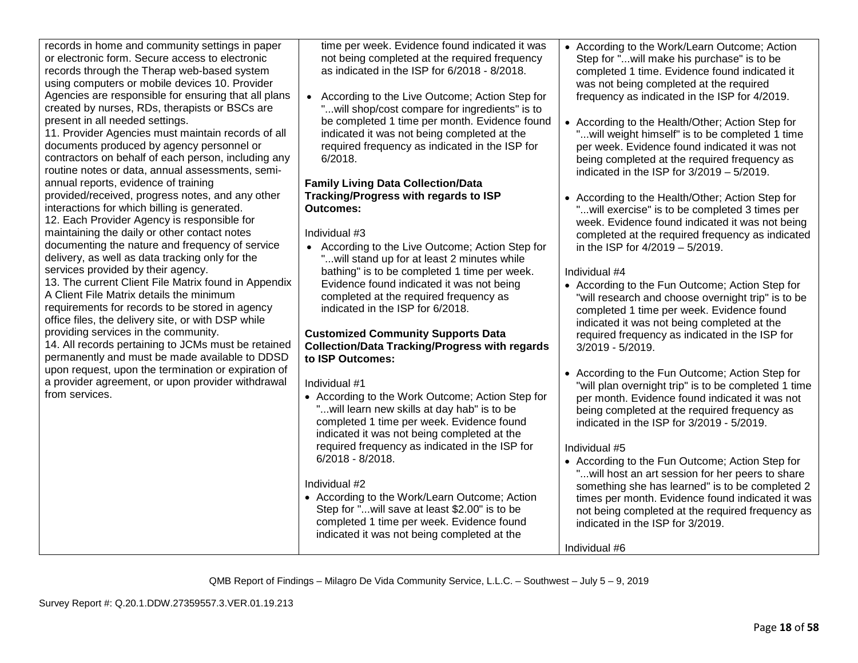| records in home and community settings in paper<br>or electronic form. Secure access to electronic<br>records through the Therap web-based system<br>using computers or mobile devices 10. Provider<br>Agencies are responsible for ensuring that all plans<br>created by nurses, RDs, therapists or BSCs are<br>present in all needed settings.<br>11. Provider Agencies must maintain records of all<br>documents produced by agency personnel or<br>contractors on behalf of each person, including any<br>routine notes or data, annual assessments, semi-<br>annual reports, evidence of training<br>provided/received, progress notes, and any other<br>interactions for which billing is generated.<br>12. Each Provider Agency is responsible for<br>maintaining the daily or other contact notes<br>documenting the nature and frequency of service<br>delivery, as well as data tracking only for the<br>services provided by their agency.<br>13. The current Client File Matrix found in Appendix<br>A Client File Matrix details the minimum<br>requirements for records to be stored in agency<br>office files, the delivery site, or with DSP while<br>providing services in the community.<br>14. All records pertaining to JCMs must be retained<br>permanently and must be made available to DDSD<br>upon request, upon the termination or expiration of<br>a provider agreement, or upon provider withdrawal<br>from services. | time per week. Evidence found indicated it was<br>not being completed at the required frequency<br>as indicated in the ISP for 6/2018 - 8/2018.<br>• According to the Live Outcome; Action Step for<br>" will shop/cost compare for ingredients" is to<br>be completed 1 time per month. Evidence found<br>indicated it was not being completed at the<br>required frequency as indicated in the ISP for<br>6/2018.<br><b>Family Living Data Collection/Data</b><br>Tracking/Progress with regards to ISP<br><b>Outcomes:</b><br>Individual #3<br>• According to the Live Outcome; Action Step for<br>" will stand up for at least 2 minutes while<br>bathing" is to be completed 1 time per week.<br>Evidence found indicated it was not being<br>completed at the required frequency as<br>indicated in the ISP for 6/2018.<br><b>Customized Community Supports Data</b><br><b>Collection/Data Tracking/Progress with regards</b><br>to ISP Outcomes:<br>Individual #1<br>• According to the Work Outcome; Action Step for<br>"will learn new skills at day hab" is to be<br>completed 1 time per week. Evidence found<br>indicated it was not being completed at the<br>required frequency as indicated in the ISP for<br>$6/2018 - 8/2018.$<br>Individual #2<br>• According to the Work/Learn Outcome; Action<br>Step for " will save at least \$2.00" is to be<br>completed 1 time per week. Evidence found<br>indicated it was not being completed at the | • According to the Work/Learn Outcome; Action<br>Step for "will make his purchase" is to be<br>completed 1 time. Evidence found indicated it<br>was not being completed at the required<br>frequency as indicated in the ISP for 4/2019.<br>• According to the Health/Other; Action Step for<br>"will weight himself" is to be completed 1 time<br>per week. Evidence found indicated it was not<br>being completed at the required frequency as<br>indicated in the ISP for $3/2019 - 5/2019$ .<br>• According to the Health/Other; Action Step for<br>"will exercise" is to be completed 3 times per<br>week. Evidence found indicated it was not being<br>completed at the required frequency as indicated<br>in the ISP for 4/2019 - 5/2019.<br>Individual #4<br>• According to the Fun Outcome; Action Step for<br>"will research and choose overnight trip" is to be<br>completed 1 time per week. Evidence found<br>indicated it was not being completed at the<br>required frequency as indicated in the ISP for<br>3/2019 - 5/2019.<br>• According to the Fun Outcome; Action Step for<br>"will plan overnight trip" is to be completed 1 time<br>per month. Evidence found indicated it was not<br>being completed at the required frequency as<br>indicated in the ISP for 3/2019 - 5/2019.<br>Individual #5<br>• According to the Fun Outcome; Action Step for<br>"will host an art session for her peers to share<br>something she has learned" is to be completed 2<br>times per month. Evidence found indicated it was<br>not being completed at the required frequency as<br>indicated in the ISP for 3/2019.<br>Individual #6 |
|---------------------------------------------------------------------------------------------------------------------------------------------------------------------------------------------------------------------------------------------------------------------------------------------------------------------------------------------------------------------------------------------------------------------------------------------------------------------------------------------------------------------------------------------------------------------------------------------------------------------------------------------------------------------------------------------------------------------------------------------------------------------------------------------------------------------------------------------------------------------------------------------------------------------------------------------------------------------------------------------------------------------------------------------------------------------------------------------------------------------------------------------------------------------------------------------------------------------------------------------------------------------------------------------------------------------------------------------------------------------------------------------------------------------------------------------------|-----------------------------------------------------------------------------------------------------------------------------------------------------------------------------------------------------------------------------------------------------------------------------------------------------------------------------------------------------------------------------------------------------------------------------------------------------------------------------------------------------------------------------------------------------------------------------------------------------------------------------------------------------------------------------------------------------------------------------------------------------------------------------------------------------------------------------------------------------------------------------------------------------------------------------------------------------------------------------------------------------------------------------------------------------------------------------------------------------------------------------------------------------------------------------------------------------------------------------------------------------------------------------------------------------------------------------------------------------------------------------------------------------------------------------------------------------------------|------------------------------------------------------------------------------------------------------------------------------------------------------------------------------------------------------------------------------------------------------------------------------------------------------------------------------------------------------------------------------------------------------------------------------------------------------------------------------------------------------------------------------------------------------------------------------------------------------------------------------------------------------------------------------------------------------------------------------------------------------------------------------------------------------------------------------------------------------------------------------------------------------------------------------------------------------------------------------------------------------------------------------------------------------------------------------------------------------------------------------------------------------------------------------------------------------------------------------------------------------------------------------------------------------------------------------------------------------------------------------------------------------------------------------------------------------------------------------------------------------------------------------------------------------------------------------------------------------------------------------------------------|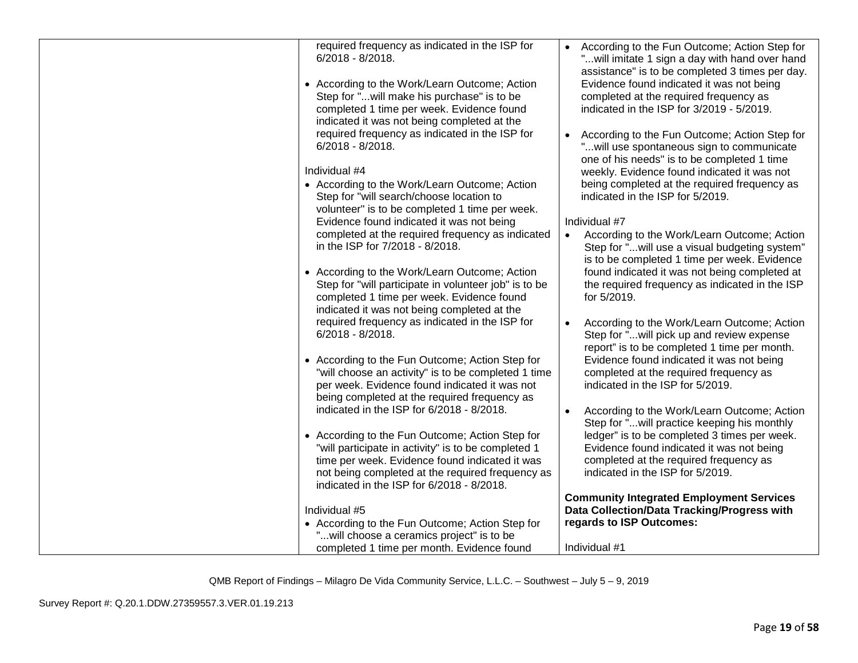| required frequency as indicated in the ISP for<br>$6/2018 - 8/2018$ .<br>• According to the Work/Learn Outcome; Action<br>Step for "will make his purchase" is to be<br>completed 1 time per week. Evidence found<br>indicated it was not being completed at the | • According to the Fun Outcome; Action Step for<br>" will imitate 1 sign a day with hand over hand<br>assistance" is to be completed 3 times per day.<br>Evidence found indicated it was not being<br>completed at the required frequency as<br>indicated in the ISP for 3/2019 - 5/2019. |
|------------------------------------------------------------------------------------------------------------------------------------------------------------------------------------------------------------------------------------------------------------------|-------------------------------------------------------------------------------------------------------------------------------------------------------------------------------------------------------------------------------------------------------------------------------------------|
| required frequency as indicated in the ISP for<br>$6/2018 - 8/2018$ .                                                                                                                                                                                            | According to the Fun Outcome; Action Step for<br>" will use spontaneous sign to communicate<br>one of his needs" is to be completed 1 time                                                                                                                                                |
| Individual #4                                                                                                                                                                                                                                                    | weekly. Evidence found indicated it was not                                                                                                                                                                                                                                               |
| • According to the Work/Learn Outcome; Action<br>Step for "will search/choose location to                                                                                                                                                                        | being completed at the required frequency as<br>indicated in the ISP for 5/2019.                                                                                                                                                                                                          |
| volunteer" is to be completed 1 time per week.                                                                                                                                                                                                                   | Individual #7                                                                                                                                                                                                                                                                             |
| Evidence found indicated it was not being<br>completed at the required frequency as indicated                                                                                                                                                                    | According to the Work/Learn Outcome; Action<br>$\bullet$                                                                                                                                                                                                                                  |
| in the ISP for 7/2018 - 8/2018.                                                                                                                                                                                                                                  | Step for "will use a visual budgeting system"<br>is to be completed 1 time per week. Evidence                                                                                                                                                                                             |
| • According to the Work/Learn Outcome; Action<br>Step for "will participate in volunteer job" is to be<br>completed 1 time per week. Evidence found<br>indicated it was not being completed at the                                                               | found indicated it was not being completed at<br>the required frequency as indicated in the ISP<br>for 5/2019.                                                                                                                                                                            |
| required frequency as indicated in the ISP for<br>$6/2018 - 8/2018$ .                                                                                                                                                                                            | According to the Work/Learn Outcome; Action<br>Step for "will pick up and review expense<br>report" is to be completed 1 time per month.                                                                                                                                                  |
| • According to the Fun Outcome; Action Step for<br>"will choose an activity" is to be completed 1 time<br>per week. Evidence found indicated it was not<br>being completed at the required frequency as                                                          | Evidence found indicated it was not being<br>completed at the required frequency as<br>indicated in the ISP for 5/2019.                                                                                                                                                                   |
| indicated in the ISP for 6/2018 - 8/2018.                                                                                                                                                                                                                        | According to the Work/Learn Outcome; Action<br>Step for "will practice keeping his monthly                                                                                                                                                                                                |
| • According to the Fun Outcome; Action Step for<br>"will participate in activity" is to be completed 1<br>time per week. Evidence found indicated it was<br>not being completed at the required frequency as<br>indicated in the ISP for 6/2018 - 8/2018.        | ledger" is to be completed 3 times per week.<br>Evidence found indicated it was not being<br>completed at the required frequency as<br>indicated in the ISP for 5/2019.                                                                                                                   |
|                                                                                                                                                                                                                                                                  | <b>Community Integrated Employment Services</b>                                                                                                                                                                                                                                           |
| Individual #5                                                                                                                                                                                                                                                    | Data Collection/Data Tracking/Progress with                                                                                                                                                                                                                                               |
| • According to the Fun Outcome; Action Step for                                                                                                                                                                                                                  | regards to ISP Outcomes:                                                                                                                                                                                                                                                                  |
| "will choose a ceramics project" is to be                                                                                                                                                                                                                        |                                                                                                                                                                                                                                                                                           |
| completed 1 time per month. Evidence found                                                                                                                                                                                                                       | Individual #1                                                                                                                                                                                                                                                                             |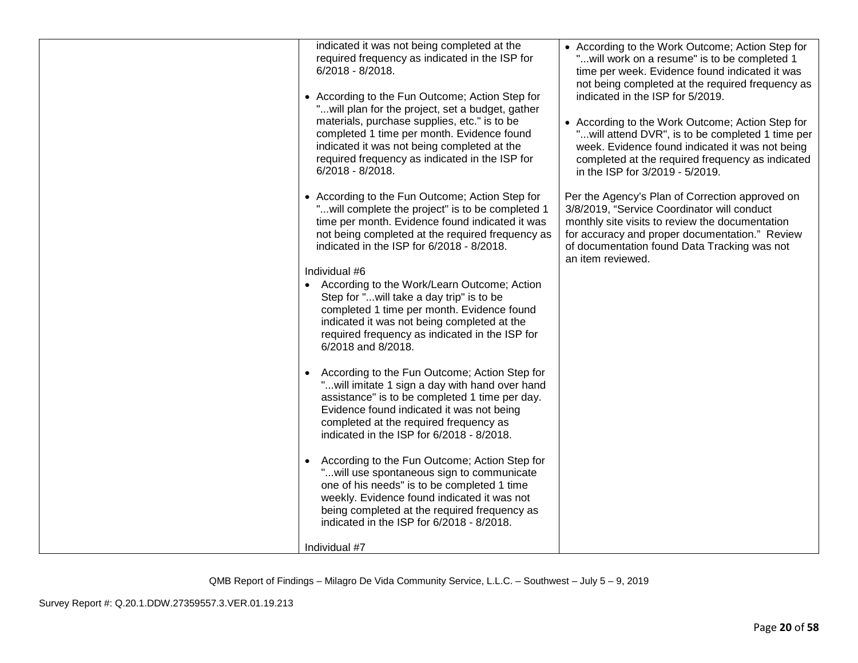| indicated it was not being completed at the<br>required frequency as indicated in the ISP for<br>6/2018 - 8/2018.<br>• According to the Fun Outcome; Action Step for<br>" will plan for the project, set a budget, gather<br>materials, purchase supplies, etc." is to be<br>completed 1 time per month. Evidence found<br>indicated it was not being completed at the<br>required frequency as indicated in the ISP for<br>$6/2018 - 8/2018$ . | • According to the Work Outcome; Action Step for<br>" will work on a resume" is to be completed 1<br>time per week. Evidence found indicated it was<br>not being completed at the required frequency as<br>indicated in the ISP for 5/2019.<br>• According to the Work Outcome; Action Step for<br>"will attend DVR", is to be completed 1 time per<br>week. Evidence found indicated it was not being<br>completed at the required frequency as indicated<br>in the ISP for 3/2019 - 5/2019. |
|-------------------------------------------------------------------------------------------------------------------------------------------------------------------------------------------------------------------------------------------------------------------------------------------------------------------------------------------------------------------------------------------------------------------------------------------------|-----------------------------------------------------------------------------------------------------------------------------------------------------------------------------------------------------------------------------------------------------------------------------------------------------------------------------------------------------------------------------------------------------------------------------------------------------------------------------------------------|
| • According to the Fun Outcome; Action Step for<br>" will complete the project" is to be completed 1<br>time per month. Evidence found indicated it was<br>not being completed at the required frequency as<br>indicated in the ISP for 6/2018 - 8/2018.                                                                                                                                                                                        | Per the Agency's Plan of Correction approved on<br>3/8/2019, "Service Coordinator will conduct<br>monthly site visits to review the documentation<br>for accuracy and proper documentation." Review<br>of documentation found Data Tracking was not<br>an item reviewed.                                                                                                                                                                                                                      |
|                                                                                                                                                                                                                                                                                                                                                                                                                                                 |                                                                                                                                                                                                                                                                                                                                                                                                                                                                                               |
| Individual #6<br>According to the Work/Learn Outcome; Action<br>Step for "will take a day trip" is to be<br>completed 1 time per month. Evidence found<br>indicated it was not being completed at the<br>required frequency as indicated in the ISP for<br>6/2018 and 8/2018.                                                                                                                                                                   |                                                                                                                                                                                                                                                                                                                                                                                                                                                                                               |
| According to the Fun Outcome; Action Step for<br>" will imitate 1 sign a day with hand over hand<br>assistance" is to be completed 1 time per day.<br>Evidence found indicated it was not being<br>completed at the required frequency as<br>indicated in the ISP for 6/2018 - 8/2018.                                                                                                                                                          |                                                                                                                                                                                                                                                                                                                                                                                                                                                                                               |
| According to the Fun Outcome; Action Step for<br>" will use spontaneous sign to communicate<br>one of his needs" is to be completed 1 time<br>weekly. Evidence found indicated it was not<br>being completed at the required frequency as<br>indicated in the ISP for 6/2018 - 8/2018.                                                                                                                                                          |                                                                                                                                                                                                                                                                                                                                                                                                                                                                                               |
| Individual #7                                                                                                                                                                                                                                                                                                                                                                                                                                   |                                                                                                                                                                                                                                                                                                                                                                                                                                                                                               |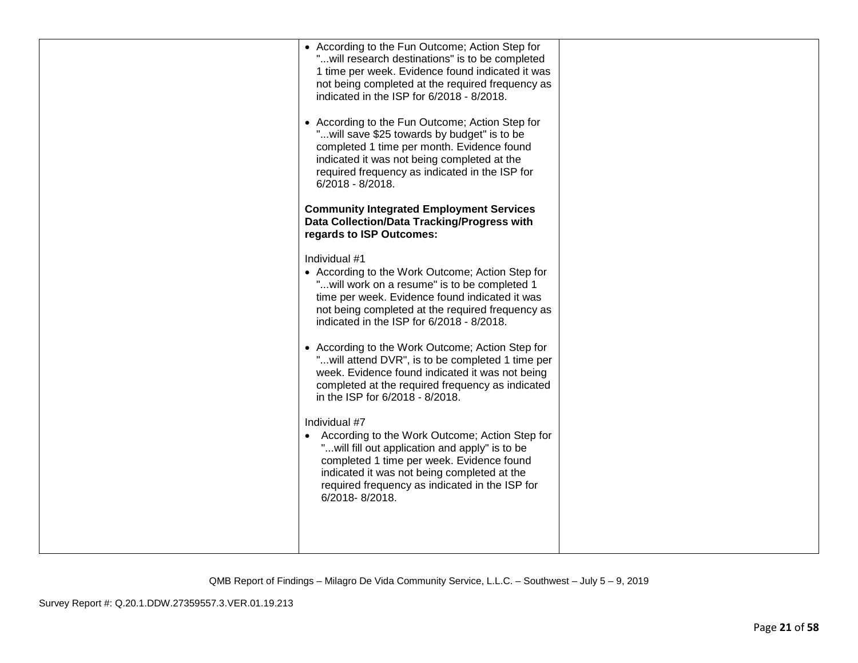| • According to the Fun Outcome; Action Step for<br>"will research destinations" is to be completed<br>1 time per week. Evidence found indicated it was<br>not being completed at the required frequency as<br>indicated in the ISP for 6/2018 - 8/2018.<br>• According to the Fun Outcome; Action Step for<br>"will save \$25 towards by budget" is to be<br>completed 1 time per month. Evidence found<br>indicated it was not being completed at the<br>required frequency as indicated in the ISP for<br>$6/2018 - 8/2018$ .<br><b>Community Integrated Employment Services</b>                                                                                                                                                                                                                                                                                                      |  |
|-----------------------------------------------------------------------------------------------------------------------------------------------------------------------------------------------------------------------------------------------------------------------------------------------------------------------------------------------------------------------------------------------------------------------------------------------------------------------------------------------------------------------------------------------------------------------------------------------------------------------------------------------------------------------------------------------------------------------------------------------------------------------------------------------------------------------------------------------------------------------------------------|--|
| Data Collection/Data Tracking/Progress with<br>regards to ISP Outcomes:<br>Individual #1<br>• According to the Work Outcome; Action Step for<br>"will work on a resume" is to be completed 1<br>time per week. Evidence found indicated it was<br>not being completed at the required frequency as<br>indicated in the ISP for 6/2018 - 8/2018.<br>• According to the Work Outcome; Action Step for<br>"will attend DVR", is to be completed 1 time per<br>week. Evidence found indicated it was not being<br>completed at the required frequency as indicated<br>in the ISP for 6/2018 - 8/2018.<br>Individual #7<br>According to the Work Outcome; Action Step for<br>" will fill out application and apply" is to be<br>completed 1 time per week. Evidence found<br>indicated it was not being completed at the<br>required frequency as indicated in the ISP for<br>6/2018-8/2018. |  |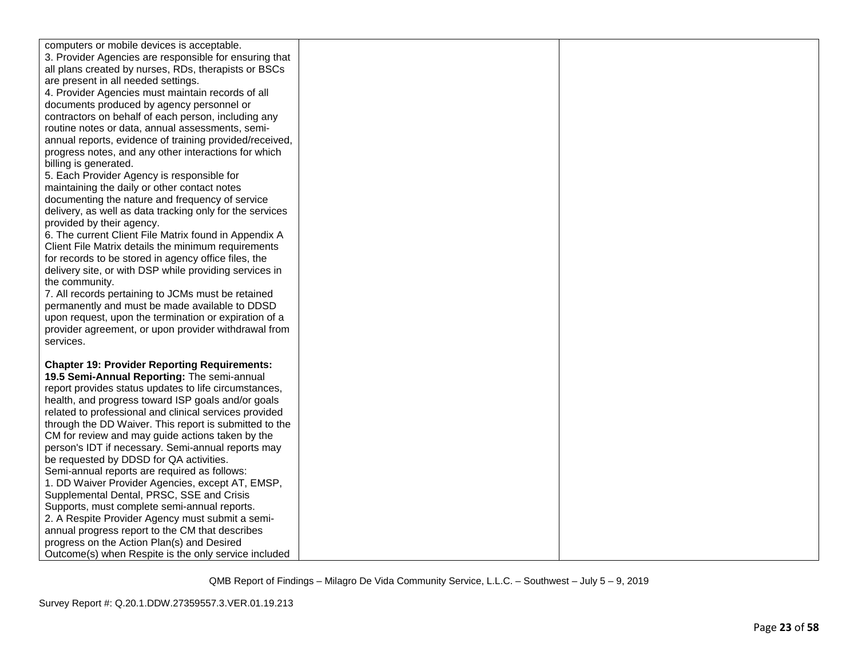| computers or mobile devices is acceptable.                                                             |  |
|--------------------------------------------------------------------------------------------------------|--|
| 3. Provider Agencies are responsible for ensuring that                                                 |  |
| all plans created by nurses, RDs, therapists or BSCs                                                   |  |
| are present in all needed settings.                                                                    |  |
| 4. Provider Agencies must maintain records of all                                                      |  |
| documents produced by agency personnel or                                                              |  |
| contractors on behalf of each person, including any                                                    |  |
| routine notes or data, annual assessments, semi-                                                       |  |
| annual reports, evidence of training provided/received,                                                |  |
| progress notes, and any other interactions for which                                                   |  |
| billing is generated.                                                                                  |  |
| 5. Each Provider Agency is responsible for                                                             |  |
| maintaining the daily or other contact notes                                                           |  |
| documenting the nature and frequency of service                                                        |  |
| delivery, as well as data tracking only for the services                                               |  |
| provided by their agency.                                                                              |  |
| 6. The current Client File Matrix found in Appendix A                                                  |  |
| Client File Matrix details the minimum requirements                                                    |  |
| for records to be stored in agency office files, the                                                   |  |
| delivery site, or with DSP while providing services in                                                 |  |
| the community.                                                                                         |  |
| 7. All records pertaining to JCMs must be retained                                                     |  |
| permanently and must be made available to DDSD                                                         |  |
| upon request, upon the termination or expiration of a                                                  |  |
| provider agreement, or upon provider withdrawal from                                                   |  |
| services.                                                                                              |  |
|                                                                                                        |  |
| <b>Chapter 19: Provider Reporting Requirements:</b>                                                    |  |
| 19.5 Semi-Annual Reporting: The semi-annual                                                            |  |
| report provides status updates to life circumstances,                                                  |  |
| health, and progress toward ISP goals and/or goals                                                     |  |
| related to professional and clinical services provided                                                 |  |
| through the DD Waiver. This report is submitted to the                                                 |  |
| CM for review and may guide actions taken by the<br>person's IDT if necessary. Semi-annual reports may |  |
| be requested by DDSD for QA activities.                                                                |  |
| Semi-annual reports are required as follows:                                                           |  |
| 1. DD Waiver Provider Agencies, except AT, EMSP,                                                       |  |
| Supplemental Dental, PRSC, SSE and Crisis                                                              |  |
| Supports, must complete semi-annual reports.                                                           |  |
| 2. A Respite Provider Agency must submit a semi-                                                       |  |
| annual progress report to the CM that describes                                                        |  |
| progress on the Action Plan(s) and Desired                                                             |  |
| Outcome(s) when Respite is the only service included                                                   |  |
|                                                                                                        |  |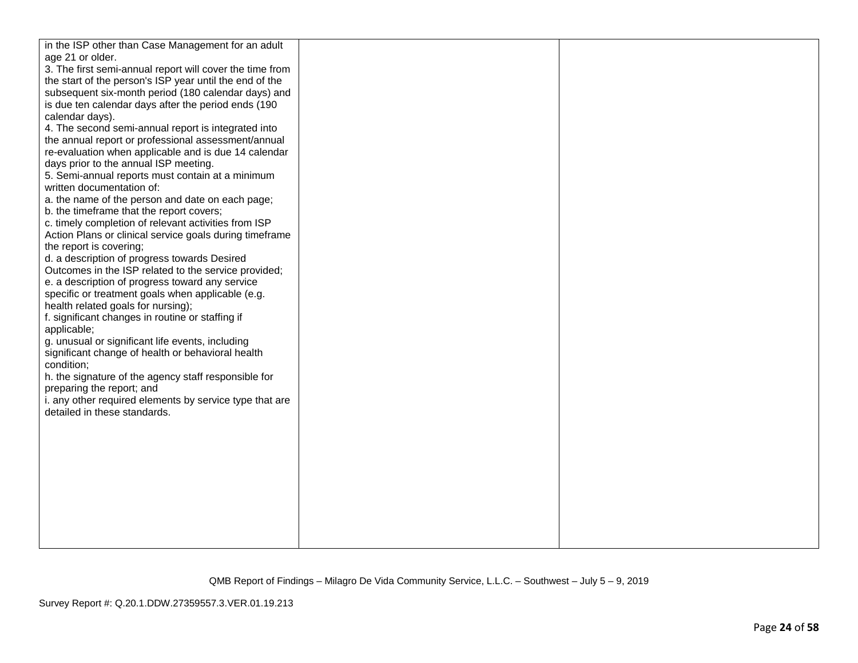| in the ISP other than Case Management for an adult       |  |
|----------------------------------------------------------|--|
| age 21 or older.                                         |  |
| 3. The first semi-annual report will cover the time from |  |
| the start of the person's ISP year until the end of the  |  |
| subsequent six-month period (180 calendar days) and      |  |
| is due ten calendar days after the period ends (190      |  |
| calendar days).                                          |  |
| 4. The second semi-annual report is integrated into      |  |
| the annual report or professional assessment/annual      |  |
| re-evaluation when applicable and is due 14 calendar     |  |
| days prior to the annual ISP meeting.                    |  |
| 5. Semi-annual reports must contain at a minimum         |  |
| written documentation of:                                |  |
| a. the name of the person and date on each page;         |  |
| b. the timeframe that the report covers;                 |  |
| c. timely completion of relevant activities from ISP     |  |
| Action Plans or clinical service goals during timeframe  |  |
| the report is covering;                                  |  |
| d. a description of progress towards Desired             |  |
| Outcomes in the ISP related to the service provided;     |  |
| e. a description of progress toward any service          |  |
| specific or treatment goals when applicable (e.g.        |  |
| health related goals for nursing);                       |  |
| f. significant changes in routine or staffing if         |  |
| applicable;                                              |  |
| g. unusual or significant life events, including         |  |
| significant change of health or behavioral health        |  |
| condition;                                               |  |
| h. the signature of the agency staff responsible for     |  |
| preparing the report; and                                |  |
| i. any other required elements by service type that are  |  |
| detailed in these standards.                             |  |
|                                                          |  |
|                                                          |  |
|                                                          |  |
|                                                          |  |
|                                                          |  |
|                                                          |  |
|                                                          |  |
|                                                          |  |
|                                                          |  |
|                                                          |  |
|                                                          |  |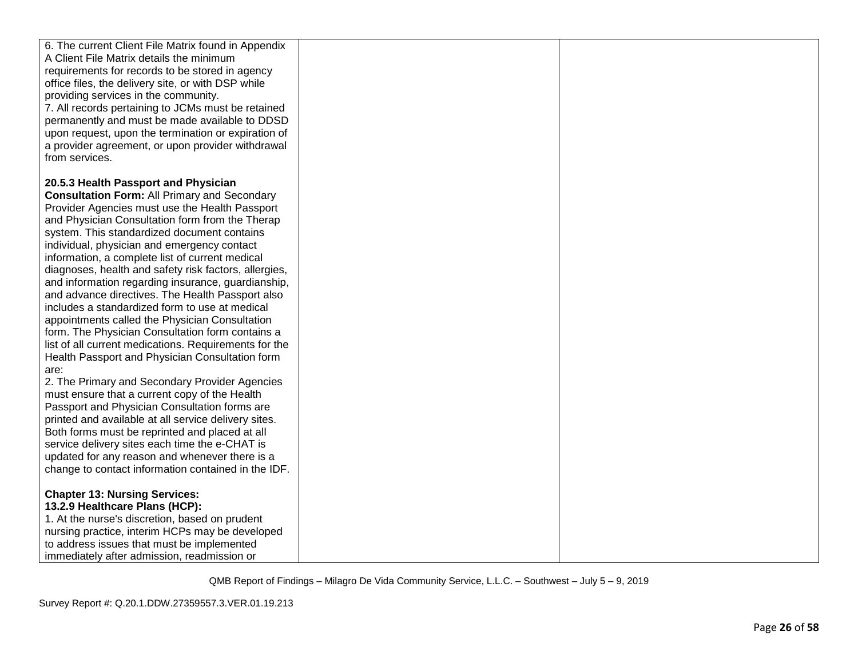| 6. The current Client File Matrix found in Appendix<br>A Client File Matrix details the minimum<br>requirements for records to be stored in agency<br>office files, the delivery site, or with DSP while<br>providing services in the community.<br>7. All records pertaining to JCMs must be retained<br>permanently and must be made available to DDSD<br>upon request, upon the termination or expiration of<br>a provider agreement, or upon provider withdrawal<br>from services.                                                                                                                                                                                                                                                                                                                                                                                                                                                                                                                                                                                                                                                                                                                                    |  |
|---------------------------------------------------------------------------------------------------------------------------------------------------------------------------------------------------------------------------------------------------------------------------------------------------------------------------------------------------------------------------------------------------------------------------------------------------------------------------------------------------------------------------------------------------------------------------------------------------------------------------------------------------------------------------------------------------------------------------------------------------------------------------------------------------------------------------------------------------------------------------------------------------------------------------------------------------------------------------------------------------------------------------------------------------------------------------------------------------------------------------------------------------------------------------------------------------------------------------|--|
| 20.5.3 Health Passport and Physician<br><b>Consultation Form: All Primary and Secondary</b><br>Provider Agencies must use the Health Passport<br>and Physician Consultation form from the Therap<br>system. This standardized document contains<br>individual, physician and emergency contact<br>information, a complete list of current medical<br>diagnoses, health and safety risk factors, allergies,<br>and information regarding insurance, guardianship,<br>and advance directives. The Health Passport also<br>includes a standardized form to use at medical<br>appointments called the Physician Consultation<br>form. The Physician Consultation form contains a<br>list of all current medications. Requirements for the<br>Health Passport and Physician Consultation form<br>are:<br>2. The Primary and Secondary Provider Agencies<br>must ensure that a current copy of the Health<br>Passport and Physician Consultation forms are<br>printed and available at all service delivery sites.<br>Both forms must be reprinted and placed at all<br>service delivery sites each time the e-CHAT is<br>updated for any reason and whenever there is a<br>change to contact information contained in the IDF. |  |
| <b>Chapter 13: Nursing Services:</b><br>13.2.9 Healthcare Plans (HCP):<br>1. At the nurse's discretion, based on prudent<br>nursing practice, interim HCPs may be developed<br>to address issues that must be implemented<br>immediately after admission, readmission or                                                                                                                                                                                                                                                                                                                                                                                                                                                                                                                                                                                                                                                                                                                                                                                                                                                                                                                                                  |  |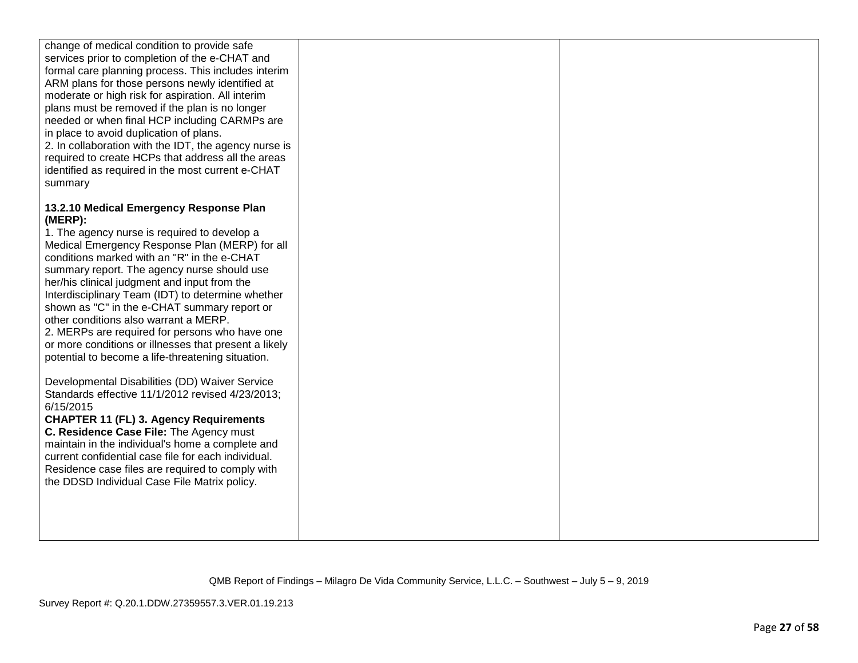| change of medical condition to provide safe<br>services prior to completion of the e-CHAT and<br>formal care planning process. This includes interim<br>ARM plans for those persons newly identified at<br>moderate or high risk for aspiration. All interim<br>plans must be removed if the plan is no longer<br>needed or when final HCP including CARMPs are<br>in place to avoid duplication of plans.<br>2. In collaboration with the IDT, the agency nurse is<br>required to create HCPs that address all the areas<br>identified as required in the most current e-CHAT<br>summary |  |
|-------------------------------------------------------------------------------------------------------------------------------------------------------------------------------------------------------------------------------------------------------------------------------------------------------------------------------------------------------------------------------------------------------------------------------------------------------------------------------------------------------------------------------------------------------------------------------------------|--|
| 13.2.10 Medical Emergency Response Plan<br>(MERP):                                                                                                                                                                                                                                                                                                                                                                                                                                                                                                                                        |  |
| 1. The agency nurse is required to develop a<br>Medical Emergency Response Plan (MERP) for all                                                                                                                                                                                                                                                                                                                                                                                                                                                                                            |  |
| conditions marked with an "R" in the e-CHAT                                                                                                                                                                                                                                                                                                                                                                                                                                                                                                                                               |  |
| summary report. The agency nurse should use<br>her/his clinical judgment and input from the                                                                                                                                                                                                                                                                                                                                                                                                                                                                                               |  |
| Interdisciplinary Team (IDT) to determine whether<br>shown as "C" in the e-CHAT summary report or                                                                                                                                                                                                                                                                                                                                                                                                                                                                                         |  |
| other conditions also warrant a MERP.<br>2. MERPs are required for persons who have one                                                                                                                                                                                                                                                                                                                                                                                                                                                                                                   |  |
| or more conditions or illnesses that present a likely                                                                                                                                                                                                                                                                                                                                                                                                                                                                                                                                     |  |
| potential to become a life-threatening situation.                                                                                                                                                                                                                                                                                                                                                                                                                                                                                                                                         |  |
| Developmental Disabilities (DD) Waiver Service<br>Standards effective 11/1/2012 revised 4/23/2013;                                                                                                                                                                                                                                                                                                                                                                                                                                                                                        |  |
| 6/15/2015<br><b>CHAPTER 11 (FL) 3. Agency Requirements</b>                                                                                                                                                                                                                                                                                                                                                                                                                                                                                                                                |  |
| C. Residence Case File: The Agency must<br>maintain in the individual's home a complete and                                                                                                                                                                                                                                                                                                                                                                                                                                                                                               |  |
| current confidential case file for each individual.                                                                                                                                                                                                                                                                                                                                                                                                                                                                                                                                       |  |
| Residence case files are required to comply with<br>the DDSD Individual Case File Matrix policy.                                                                                                                                                                                                                                                                                                                                                                                                                                                                                          |  |
|                                                                                                                                                                                                                                                                                                                                                                                                                                                                                                                                                                                           |  |
|                                                                                                                                                                                                                                                                                                                                                                                                                                                                                                                                                                                           |  |
|                                                                                                                                                                                                                                                                                                                                                                                                                                                                                                                                                                                           |  |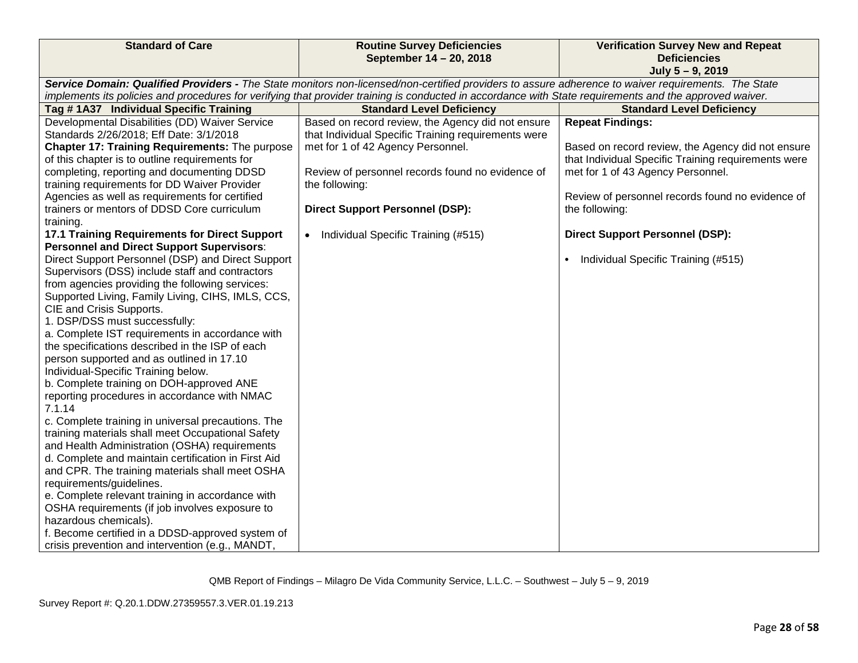| <b>Standard of Care</b>                                                                              | <b>Routine Survey Deficiencies</b>                                                                                                                      | <b>Verification Survey New and Repeat</b>           |
|------------------------------------------------------------------------------------------------------|---------------------------------------------------------------------------------------------------------------------------------------------------------|-----------------------------------------------------|
|                                                                                                      | September 14 - 20, 2018                                                                                                                                 | <b>Deficiencies</b>                                 |
|                                                                                                      |                                                                                                                                                         | July 5 - 9, 2019                                    |
|                                                                                                      | Service Domain: Qualified Providers - The State monitors non-licensed/non-certified providers to assure adherence to waiver requirements. The State     |                                                     |
|                                                                                                      | implements its policies and procedures for verifying that provider training is conducted in accordance with State requirements and the approved waiver. |                                                     |
| Tag # 1A37 Individual Specific Training                                                              | <b>Standard Level Deficiency</b>                                                                                                                        | <b>Standard Level Deficiency</b>                    |
| Developmental Disabilities (DD) Waiver Service                                                       | Based on record review, the Agency did not ensure                                                                                                       | <b>Repeat Findings:</b>                             |
| Standards 2/26/2018; Eff Date: 3/1/2018                                                              | that Individual Specific Training requirements were                                                                                                     |                                                     |
| Chapter 17: Training Requirements: The purpose                                                       | met for 1 of 42 Agency Personnel.                                                                                                                       | Based on record review, the Agency did not ensure   |
| of this chapter is to outline requirements for                                                       |                                                                                                                                                         | that Individual Specific Training requirements were |
| completing, reporting and documenting DDSD                                                           | Review of personnel records found no evidence of                                                                                                        | met for 1 of 43 Agency Personnel.                   |
| training requirements for DD Waiver Provider                                                         | the following:                                                                                                                                          |                                                     |
| Agencies as well as requirements for certified                                                       |                                                                                                                                                         | Review of personnel records found no evidence of    |
| trainers or mentors of DDSD Core curriculum                                                          | <b>Direct Support Personnel (DSP):</b>                                                                                                                  | the following:                                      |
| training.                                                                                            |                                                                                                                                                         |                                                     |
| 17.1 Training Requirements for Direct Support                                                        | • Individual Specific Training (#515)                                                                                                                   | <b>Direct Support Personnel (DSP):</b>              |
| <b>Personnel and Direct Support Supervisors:</b>                                                     |                                                                                                                                                         |                                                     |
| Direct Support Personnel (DSP) and Direct Support<br>Supervisors (DSS) include staff and contractors |                                                                                                                                                         | Individual Specific Training (#515)<br>$\bullet$    |
| from agencies providing the following services:                                                      |                                                                                                                                                         |                                                     |
| Supported Living, Family Living, CIHS, IMLS, CCS,                                                    |                                                                                                                                                         |                                                     |
| CIE and Crisis Supports.                                                                             |                                                                                                                                                         |                                                     |
| 1. DSP/DSS must successfully:                                                                        |                                                                                                                                                         |                                                     |
| a. Complete IST requirements in accordance with                                                      |                                                                                                                                                         |                                                     |
| the specifications described in the ISP of each                                                      |                                                                                                                                                         |                                                     |
| person supported and as outlined in 17.10                                                            |                                                                                                                                                         |                                                     |
| Individual-Specific Training below.                                                                  |                                                                                                                                                         |                                                     |
| b. Complete training on DOH-approved ANE                                                             |                                                                                                                                                         |                                                     |
| reporting procedures in accordance with NMAC                                                         |                                                                                                                                                         |                                                     |
| 7.1.14                                                                                               |                                                                                                                                                         |                                                     |
| c. Complete training in universal precautions. The                                                   |                                                                                                                                                         |                                                     |
| training materials shall meet Occupational Safety                                                    |                                                                                                                                                         |                                                     |
| and Health Administration (OSHA) requirements                                                        |                                                                                                                                                         |                                                     |
| d. Complete and maintain certification in First Aid                                                  |                                                                                                                                                         |                                                     |
| and CPR. The training materials shall meet OSHA                                                      |                                                                                                                                                         |                                                     |
| requirements/guidelines.                                                                             |                                                                                                                                                         |                                                     |
| e. Complete relevant training in accordance with                                                     |                                                                                                                                                         |                                                     |
| OSHA requirements (if job involves exposure to                                                       |                                                                                                                                                         |                                                     |
| hazardous chemicals).                                                                                |                                                                                                                                                         |                                                     |
| f. Become certified in a DDSD-approved system of                                                     |                                                                                                                                                         |                                                     |
| crisis prevention and intervention (e.g., MANDT,                                                     |                                                                                                                                                         |                                                     |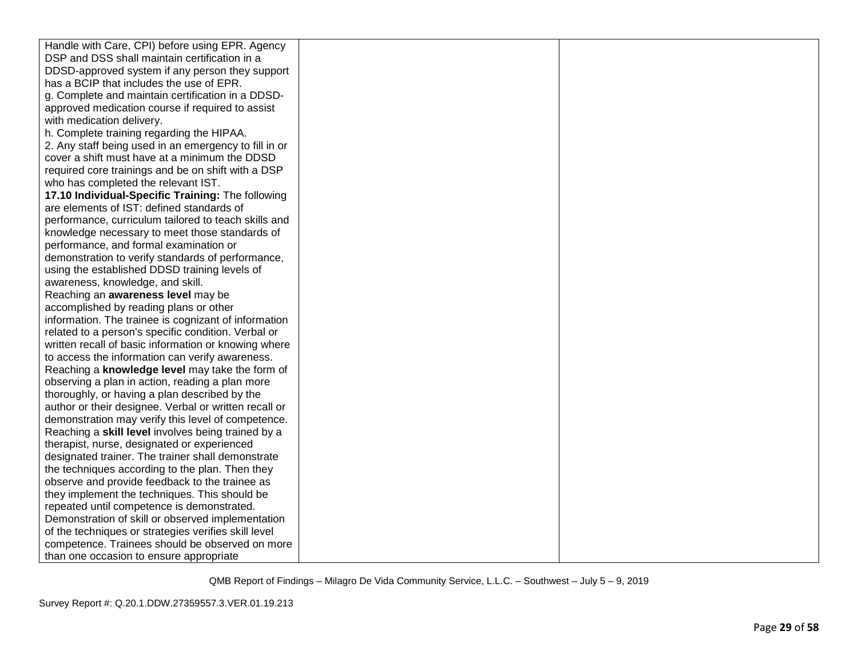| Handle with Care, CPI) before using EPR. Agency       |  |
|-------------------------------------------------------|--|
| DSP and DSS shall maintain certification in a         |  |
| DDSD-approved system if any person they support       |  |
| has a BCIP that includes the use of EPR.              |  |
| g. Complete and maintain certification in a DDSD-     |  |
| approved medication course if required to assist      |  |
| with medication delivery.                             |  |
| h. Complete training regarding the HIPAA.             |  |
| 2. Any staff being used in an emergency to fill in or |  |
| cover a shift must have at a minimum the DDSD         |  |
| required core trainings and be on shift with a DSP    |  |
| who has completed the relevant IST.                   |  |
| 17.10 Individual-Specific Training: The following     |  |
| are elements of IST: defined standards of             |  |
| performance, curriculum tailored to teach skills and  |  |
| knowledge necessary to meet those standards of        |  |
| performance, and formal examination or                |  |
| demonstration to verify standards of performance,     |  |
| using the established DDSD training levels of         |  |
| awareness, knowledge, and skill.                      |  |
| Reaching an awareness level may be                    |  |
| accomplished by reading plans or other                |  |
| information. The trainee is cognizant of information  |  |
| related to a person's specific condition. Verbal or   |  |
| written recall of basic information or knowing where  |  |
| to access the information can verify awareness.       |  |
| Reaching a knowledge level may take the form of       |  |
| observing a plan in action, reading a plan more       |  |
| thoroughly, or having a plan described by the         |  |
| author or their designee. Verbal or written recall or |  |
| demonstration may verify this level of competence.    |  |
| Reaching a skill level involves being trained by a    |  |
| therapist, nurse, designated or experienced           |  |
| designated trainer. The trainer shall demonstrate     |  |
| the techniques according to the plan. Then they       |  |
| observe and provide feedback to the trainee as        |  |
| they implement the techniques. This should be         |  |
| repeated until competence is demonstrated.            |  |
| Demonstration of skill or observed implementation     |  |
| of the techniques or strategies verifies skill level  |  |
| competence. Trainees should be observed on more       |  |
| than one occasion to ensure appropriate               |  |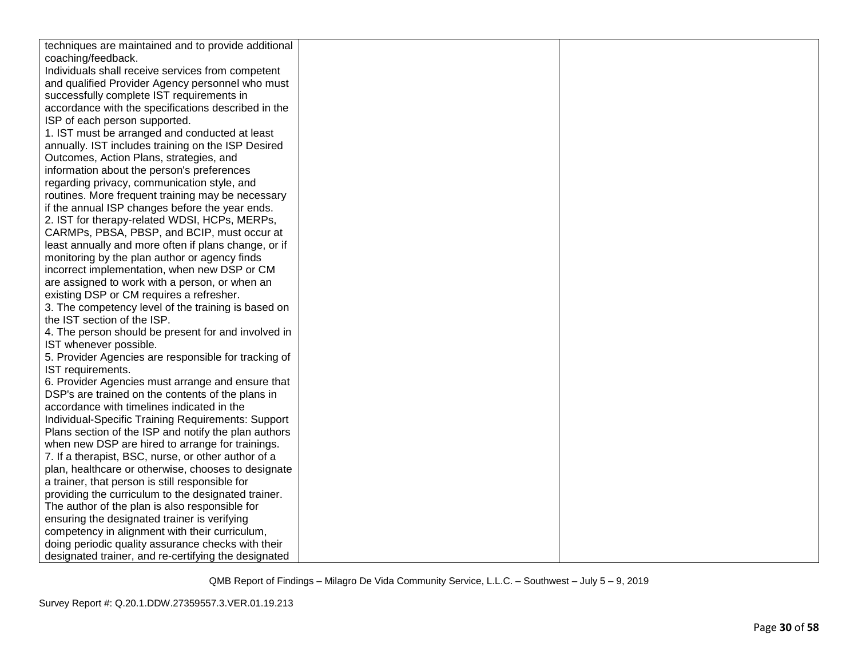| techniques are maintained and to provide additional  |  |
|------------------------------------------------------|--|
| coaching/feedback.                                   |  |
| Individuals shall receive services from competent    |  |
| and qualified Provider Agency personnel who must     |  |
| successfully complete IST requirements in            |  |
| accordance with the specifications described in the  |  |
| ISP of each person supported.                        |  |
| 1. IST must be arranged and conducted at least       |  |
| annually. IST includes training on the ISP Desired   |  |
| Outcomes, Action Plans, strategies, and              |  |
| information about the person's preferences           |  |
| regarding privacy, communication style, and          |  |
| routines. More frequent training may be necessary    |  |
| if the annual ISP changes before the year ends.      |  |
| 2. IST for therapy-related WDSI, HCPs, MERPs,        |  |
| CARMPs, PBSA, PBSP, and BCIP, must occur at          |  |
| least annually and more often if plans change, or if |  |
| monitoring by the plan author or agency finds        |  |
| incorrect implementation, when new DSP or CM         |  |
| are assigned to work with a person, or when an       |  |
| existing DSP or CM requires a refresher.             |  |
| 3. The competency level of the training is based on  |  |
| the IST section of the ISP.                          |  |
| 4. The person should be present for and involved in  |  |
| IST whenever possible.                               |  |
| 5. Provider Agencies are responsible for tracking of |  |
| IST requirements.                                    |  |
| 6. Provider Agencies must arrange and ensure that    |  |
| DSP's are trained on the contents of the plans in    |  |
| accordance with timelines indicated in the           |  |
| Individual-Specific Training Requirements: Support   |  |
| Plans section of the ISP and notify the plan authors |  |
| when new DSP are hired to arrange for trainings.     |  |
| 7. If a therapist, BSC, nurse, or other author of a  |  |
| plan, healthcare or otherwise, chooses to designate  |  |
| a trainer, that person is still responsible for      |  |
| providing the curriculum to the designated trainer.  |  |
| The author of the plan is also responsible for       |  |
| ensuring the designated trainer is verifying         |  |
| competency in alignment with their curriculum,       |  |
| doing periodic quality assurance checks with their   |  |
| designated trainer, and re-certifying the designated |  |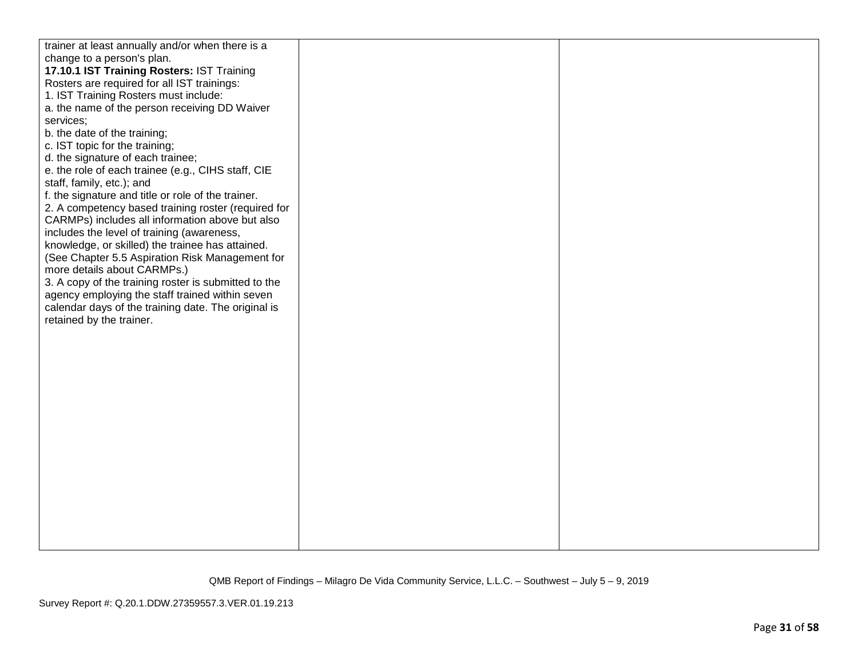| trainer at least annually and/or when there is a     |  |
|------------------------------------------------------|--|
| change to a person's plan.                           |  |
| 17.10.1 IST Training Rosters: IST Training           |  |
| Rosters are required for all IST trainings:          |  |
| 1. IST Training Rosters must include:                |  |
| a. the name of the person receiving DD Waiver        |  |
| services;                                            |  |
| b. the date of the training;                         |  |
| c. IST topic for the training;                       |  |
| d. the signature of each trainee;                    |  |
| e. the role of each trainee (e.g., CIHS staff, CIE   |  |
| staff, family, etc.); and                            |  |
| f. the signature and title or role of the trainer.   |  |
| 2. A competency based training roster (required for  |  |
| CARMPs) includes all information above but also      |  |
| includes the level of training (awareness,           |  |
| knowledge, or skilled) the trainee has attained.     |  |
| (See Chapter 5.5 Aspiration Risk Management for      |  |
| more details about CARMPs.)                          |  |
| 3. A copy of the training roster is submitted to the |  |
| agency employing the staff trained within seven      |  |
| calendar days of the training date. The original is  |  |
| retained by the trainer.                             |  |
|                                                      |  |
|                                                      |  |
|                                                      |  |
|                                                      |  |
|                                                      |  |
|                                                      |  |
|                                                      |  |
|                                                      |  |
|                                                      |  |
|                                                      |  |
|                                                      |  |
|                                                      |  |
|                                                      |  |
|                                                      |  |
|                                                      |  |
|                                                      |  |
|                                                      |  |
|                                                      |  |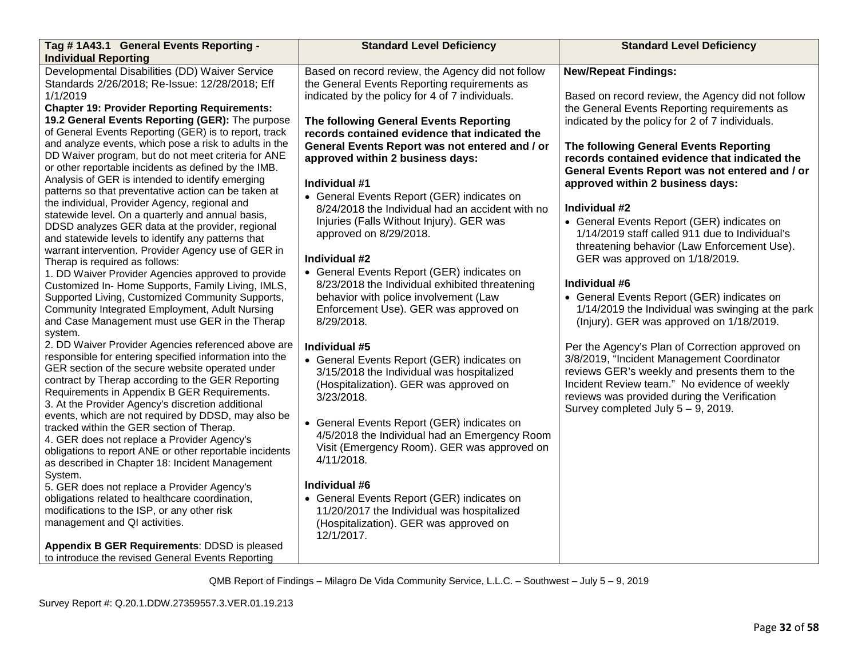| Tag #1A43.1 General Events Reporting -                                                             | <b>Standard Level Deficiency</b>                  | <b>Standard Level Deficiency</b>                  |
|----------------------------------------------------------------------------------------------------|---------------------------------------------------|---------------------------------------------------|
| <b>Individual Reporting</b>                                                                        |                                                   |                                                   |
| Developmental Disabilities (DD) Waiver Service                                                     | Based on record review, the Agency did not follow | <b>New/Repeat Findings:</b>                       |
| Standards 2/26/2018; Re-Issue: 12/28/2018; Eff                                                     | the General Events Reporting requirements as      |                                                   |
| 1/1/2019                                                                                           | indicated by the policy for 4 of 7 individuals.   | Based on record review, the Agency did not follow |
| <b>Chapter 19: Provider Reporting Requirements:</b>                                                |                                                   | the General Events Reporting requirements as      |
| 19.2 General Events Reporting (GER): The purpose                                                   | The following General Events Reporting            | indicated by the policy for 2 of 7 individuals.   |
| of General Events Reporting (GER) is to report, track                                              | records contained evidence that indicated the     |                                                   |
| and analyze events, which pose a risk to adults in the                                             | General Events Report was not entered and / or    | The following General Events Reporting            |
| DD Waiver program, but do not meet criteria for ANE                                                | approved within 2 business days:                  | records contained evidence that indicated the     |
| or other reportable incidents as defined by the IMB.                                               |                                                   | General Events Report was not entered and / or    |
| Analysis of GER is intended to identify emerging                                                   | Individual #1                                     | approved within 2 business days:                  |
| patterns so that preventative action can be taken at                                               | • General Events Report (GER) indicates on        |                                                   |
| the individual, Provider Agency, regional and<br>statewide level. On a quarterly and annual basis, | 8/24/2018 the Individual had an accident with no  | Individual #2                                     |
| DDSD analyzes GER data at the provider, regional                                                   | Injuries (Falls Without Injury). GER was          | • General Events Report (GER) indicates on        |
| and statewide levels to identify any patterns that                                                 | approved on 8/29/2018.                            | 1/14/2019 staff called 911 due to Individual's    |
| warrant intervention. Provider Agency use of GER in                                                |                                                   | threatening behavior (Law Enforcement Use).       |
| Therap is required as follows:                                                                     | Individual #2                                     | GER was approved on 1/18/2019.                    |
| 1. DD Waiver Provider Agencies approved to provide                                                 | • General Events Report (GER) indicates on        |                                                   |
| Customized In- Home Supports, Family Living, IMLS,                                                 | 8/23/2018 the Individual exhibited threatening    | Individual #6                                     |
| Supported Living, Customized Community Supports,                                                   | behavior with police involvement (Law             | • General Events Report (GER) indicates on        |
| Community Integrated Employment, Adult Nursing                                                     | Enforcement Use). GER was approved on             | 1/14/2019 the Individual was swinging at the park |
| and Case Management must use GER in the Therap                                                     | 8/29/2018.                                        | (Injury). GER was approved on 1/18/2019.          |
| system.                                                                                            |                                                   |                                                   |
| 2. DD Waiver Provider Agencies referenced above are                                                | Individual #5                                     | Per the Agency's Plan of Correction approved on   |
| responsible for entering specified information into the                                            | • General Events Report (GER) indicates on        | 3/8/2019, "Incident Management Coordinator        |
| GER section of the secure website operated under                                                   | 3/15/2018 the Individual was hospitalized         | reviews GER's weekly and presents them to the     |
| contract by Therap according to the GER Reporting                                                  | (Hospitalization). GER was approved on            | Incident Review team." No evidence of weekly      |
| Requirements in Appendix B GER Requirements.                                                       | 3/23/2018.                                        | reviews was provided during the Verification      |
| 3. At the Provider Agency's discretion additional                                                  |                                                   | Survey completed July $5 - 9$ , 2019.             |
| events, which are not required by DDSD, may also be<br>tracked within the GER section of Therap.   | • General Events Report (GER) indicates on        |                                                   |
| 4. GER does not replace a Provider Agency's                                                        | 4/5/2018 the Individual had an Emergency Room     |                                                   |
| obligations to report ANE or other reportable incidents                                            | Visit (Emergency Room). GER was approved on       |                                                   |
| as described in Chapter 18: Incident Management                                                    | 4/11/2018.                                        |                                                   |
| System.                                                                                            |                                                   |                                                   |
| 5. GER does not replace a Provider Agency's                                                        | Individual #6                                     |                                                   |
| obligations related to healthcare coordination,                                                    | • General Events Report (GER) indicates on        |                                                   |
| modifications to the ISP, or any other risk                                                        | 11/20/2017 the Individual was hospitalized        |                                                   |
| management and QI activities.                                                                      | (Hospitalization). GER was approved on            |                                                   |
|                                                                                                    | 12/1/2017.                                        |                                                   |
| Appendix B GER Requirements: DDSD is pleased                                                       |                                                   |                                                   |
| to introduce the revised General Events Reporting                                                  |                                                   |                                                   |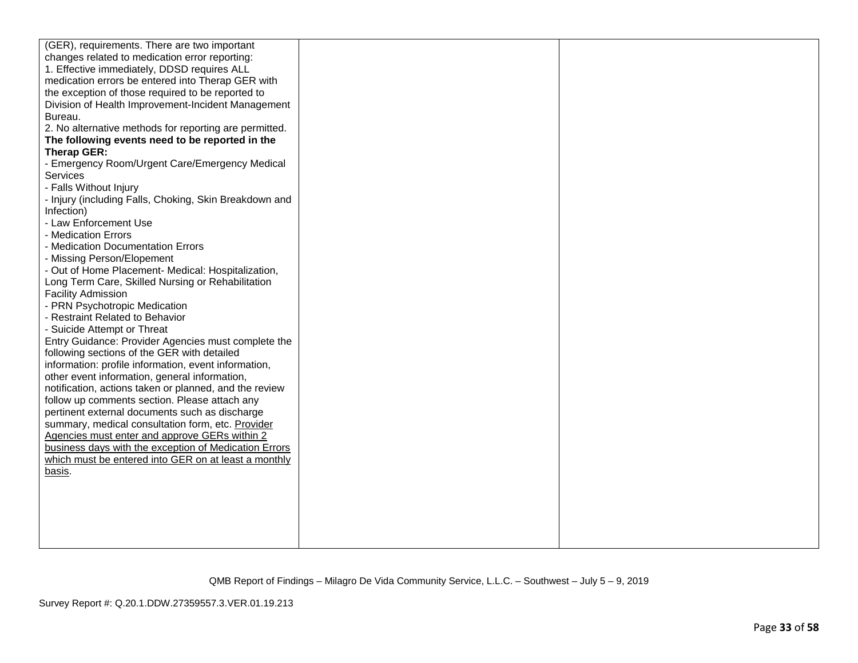| (GER), requirements. There are two important           |  |
|--------------------------------------------------------|--|
| changes related to medication error reporting:         |  |
| 1. Effective immediately, DDSD requires ALL            |  |
| medication errors be entered into Therap GER with      |  |
| the exception of those required to be reported to      |  |
| Division of Health Improvement-Incident Management     |  |
| Bureau.                                                |  |
| 2. No alternative methods for reporting are permitted. |  |
| The following events need to be reported in the        |  |
| Therap GER:                                            |  |
| - Emergency Room/Urgent Care/Emergency Medical         |  |
| <b>Services</b>                                        |  |
| - Falls Without Injury                                 |  |
| - Injury (including Falls, Choking, Skin Breakdown and |  |
| Infection)                                             |  |
| - Law Enforcement Use                                  |  |
| - Medication Errors                                    |  |
| - Medication Documentation Errors                      |  |
| - Missing Person/Elopement                             |  |
| - Out of Home Placement- Medical: Hospitalization,     |  |
| Long Term Care, Skilled Nursing or Rehabilitation      |  |
| <b>Facility Admission</b>                              |  |
| - PRN Psychotropic Medication                          |  |
| - Restraint Related to Behavior                        |  |
| - Suicide Attempt or Threat                            |  |
| Entry Guidance: Provider Agencies must complete the    |  |
| following sections of the GER with detailed            |  |
| information: profile information, event information,   |  |
| other event information, general information,          |  |
| notification, actions taken or planned, and the review |  |
| follow up comments section. Please attach any          |  |
| pertinent external documents such as discharge         |  |
| summary, medical consultation form, etc. Provider      |  |
| Agencies must enter and approve GERs within 2          |  |
| business days with the exception of Medication Errors  |  |
| which must be entered into GER on at least a monthly   |  |
| basis.                                                 |  |
|                                                        |  |
|                                                        |  |
|                                                        |  |
|                                                        |  |
|                                                        |  |
|                                                        |  |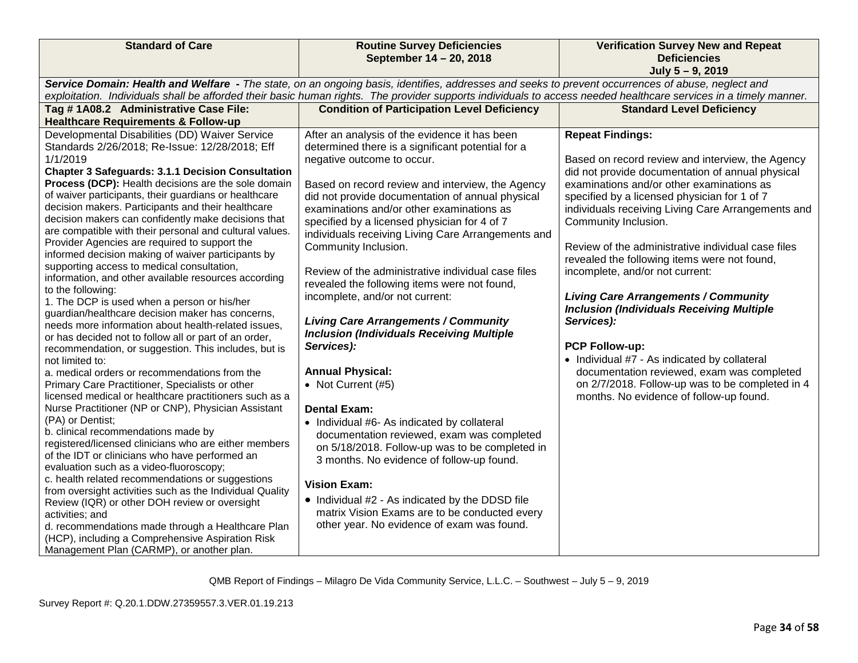| September 14 - 20, 2018<br><b>Deficiencies</b><br>July 5 - 9, 2019<br>Service Domain: Health and Welfare - The state, on an ongoing basis, identifies, addresses and seeks to prevent occurrences of abuse, neglect and<br>exploitation. Individuals shall be afforded their basic human rights. The provider supports individuals to access needed healthcare services in a timely manner.<br>Tag #1A08.2 Administrative Case File:<br><b>Condition of Participation Level Deficiency</b><br><b>Standard Level Deficiency</b><br><b>Healthcare Requirements &amp; Follow-up</b><br>Developmental Disabilities (DD) Waiver Service<br><b>Repeat Findings:</b><br>After an analysis of the evidence it has been<br>Standards 2/26/2018; Re-Issue: 12/28/2018; Eff<br>determined there is a significant potential for a<br>1/1/2019<br>negative outcome to occur.<br>Based on record review and interview, the Agency<br><b>Chapter 3 Safeguards: 3.1.1 Decision Consultation</b><br>did not provide documentation of annual physical<br>Process (DCP): Health decisions are the sole domain<br>examinations and/or other examinations as<br>Based on record review and interview, the Agency<br>of waiver participants, their guardians or healthcare<br>did not provide documentation of annual physical<br>specified by a licensed physician for 1 of 7<br>decision makers. Participants and their healthcare<br>examinations and/or other examinations as<br>individuals receiving Living Care Arrangements and<br>decision makers can confidently make decisions that<br>specified by a licensed physician for 4 of 7<br>Community Inclusion.<br>are compatible with their personal and cultural values.<br>individuals receiving Living Care Arrangements and<br>Provider Agencies are required to support the<br>Community Inclusion.<br>Review of the administrative individual case files<br>informed decision making of waiver participants by<br>revealed the following items were not found,<br>supporting access to medical consultation,<br>Review of the administrative individual case files<br>incomplete, and/or not current:<br>information, and other available resources according<br>revealed the following items were not found,<br>to the following:<br>incomplete, and/or not current:<br><b>Living Care Arrangements / Community</b><br>1. The DCP is used when a person or his/her<br><b>Inclusion (Individuals Receiving Multiple</b><br>guardian/healthcare decision maker has concerns,<br><b>Living Care Arrangements / Community</b><br>Services):<br>needs more information about health-related issues,<br><b>Inclusion (Individuals Receiving Multiple</b><br>or has decided not to follow all or part of an order,<br>Services):<br><b>PCP Follow-up:</b><br>recommendation, or suggestion. This includes, but is<br>• Individual #7 - As indicated by collateral<br>not limited to:<br><b>Annual Physical:</b><br>documentation reviewed, exam was completed<br>a. medical orders or recommendations from the<br>• Not Current (#5)<br>on 2/7/2018. Follow-up was to be completed in 4<br>Primary Care Practitioner, Specialists or other<br>licensed medical or healthcare practitioners such as a<br>months. No evidence of follow-up found.<br>Nurse Practitioner (NP or CNP), Physician Assistant<br><b>Dental Exam:</b><br>(PA) or Dentist;<br>• Individual #6- As indicated by collateral<br>b. clinical recommendations made by<br>documentation reviewed, exam was completed<br>registered/licensed clinicians who are either members<br>on 5/18/2018. Follow-up was to be completed in<br>of the IDT or clinicians who have performed an<br>3 months. No evidence of follow-up found.<br>evaluation such as a video-fluoroscopy;<br>c. health related recommendations or suggestions<br><b>Vision Exam:</b><br>from oversight activities such as the Individual Quality<br>• Individual #2 - As indicated by the DDSD file<br>Review (IQR) or other DOH review or oversight<br>matrix Vision Exams are to be conducted every<br>activities; and<br>other year. No evidence of exam was found.<br>d. recommendations made through a Healthcare Plan<br>(HCP), including a Comprehensive Aspiration Risk | <b>Standard of Care</b>                   | <b>Routine Survey Deficiencies</b> | <b>Verification Survey New and Repeat</b> |
|----------------------------------------------------------------------------------------------------------------------------------------------------------------------------------------------------------------------------------------------------------------------------------------------------------------------------------------------------------------------------------------------------------------------------------------------------------------------------------------------------------------------------------------------------------------------------------------------------------------------------------------------------------------------------------------------------------------------------------------------------------------------------------------------------------------------------------------------------------------------------------------------------------------------------------------------------------------------------------------------------------------------------------------------------------------------------------------------------------------------------------------------------------------------------------------------------------------------------------------------------------------------------------------------------------------------------------------------------------------------------------------------------------------------------------------------------------------------------------------------------------------------------------------------------------------------------------------------------------------------------------------------------------------------------------------------------------------------------------------------------------------------------------------------------------------------------------------------------------------------------------------------------------------------------------------------------------------------------------------------------------------------------------------------------------------------------------------------------------------------------------------------------------------------------------------------------------------------------------------------------------------------------------------------------------------------------------------------------------------------------------------------------------------------------------------------------------------------------------------------------------------------------------------------------------------------------------------------------------------------------------------------------------------------------------------------------------------------------------------------------------------------------------------------------------------------------------------------------------------------------------------------------------------------------------------------------------------------------------------------------------------------------------------------------------------------------------------------------------------------------------------------------------------------------------------------------------------------------------------------------------------------------------------------------------------------------------------------------------------------------------------------------------------------------------------------------------------------------------------------------------------------------------------------------------------------------------------------------------------------------------------------------------------------------------------------------------------------------------------------------------------------------------------------------------------------------------------------------------------------------------------------------------------------------------------------------------------------------------------------------------------------------------------------------------------------------------------------------------------------------------------------------------------------------------------------------------------------------------------------------|-------------------------------------------|------------------------------------|-------------------------------------------|
|                                                                                                                                                                                                                                                                                                                                                                                                                                                                                                                                                                                                                                                                                                                                                                                                                                                                                                                                                                                                                                                                                                                                                                                                                                                                                                                                                                                                                                                                                                                                                                                                                                                                                                                                                                                                                                                                                                                                                                                                                                                                                                                                                                                                                                                                                                                                                                                                                                                                                                                                                                                                                                                                                                                                                                                                                                                                                                                                                                                                                                                                                                                                                                                                                                                                                                                                                                                                                                                                                                                                                                                                                                                                                                                                                                                                                                                                                                                                                                                                                                                                                                                                                                                                                                                    |                                           |                                    |                                           |
|                                                                                                                                                                                                                                                                                                                                                                                                                                                                                                                                                                                                                                                                                                                                                                                                                                                                                                                                                                                                                                                                                                                                                                                                                                                                                                                                                                                                                                                                                                                                                                                                                                                                                                                                                                                                                                                                                                                                                                                                                                                                                                                                                                                                                                                                                                                                                                                                                                                                                                                                                                                                                                                                                                                                                                                                                                                                                                                                                                                                                                                                                                                                                                                                                                                                                                                                                                                                                                                                                                                                                                                                                                                                                                                                                                                                                                                                                                                                                                                                                                                                                                                                                                                                                                                    |                                           |                                    |                                           |
|                                                                                                                                                                                                                                                                                                                                                                                                                                                                                                                                                                                                                                                                                                                                                                                                                                                                                                                                                                                                                                                                                                                                                                                                                                                                                                                                                                                                                                                                                                                                                                                                                                                                                                                                                                                                                                                                                                                                                                                                                                                                                                                                                                                                                                                                                                                                                                                                                                                                                                                                                                                                                                                                                                                                                                                                                                                                                                                                                                                                                                                                                                                                                                                                                                                                                                                                                                                                                                                                                                                                                                                                                                                                                                                                                                                                                                                                                                                                                                                                                                                                                                                                                                                                                                                    |                                           |                                    |                                           |
|                                                                                                                                                                                                                                                                                                                                                                                                                                                                                                                                                                                                                                                                                                                                                                                                                                                                                                                                                                                                                                                                                                                                                                                                                                                                                                                                                                                                                                                                                                                                                                                                                                                                                                                                                                                                                                                                                                                                                                                                                                                                                                                                                                                                                                                                                                                                                                                                                                                                                                                                                                                                                                                                                                                                                                                                                                                                                                                                                                                                                                                                                                                                                                                                                                                                                                                                                                                                                                                                                                                                                                                                                                                                                                                                                                                                                                                                                                                                                                                                                                                                                                                                                                                                                                                    |                                           |                                    |                                           |
|                                                                                                                                                                                                                                                                                                                                                                                                                                                                                                                                                                                                                                                                                                                                                                                                                                                                                                                                                                                                                                                                                                                                                                                                                                                                                                                                                                                                                                                                                                                                                                                                                                                                                                                                                                                                                                                                                                                                                                                                                                                                                                                                                                                                                                                                                                                                                                                                                                                                                                                                                                                                                                                                                                                                                                                                                                                                                                                                                                                                                                                                                                                                                                                                                                                                                                                                                                                                                                                                                                                                                                                                                                                                                                                                                                                                                                                                                                                                                                                                                                                                                                                                                                                                                                                    |                                           |                                    |                                           |
|                                                                                                                                                                                                                                                                                                                                                                                                                                                                                                                                                                                                                                                                                                                                                                                                                                                                                                                                                                                                                                                                                                                                                                                                                                                                                                                                                                                                                                                                                                                                                                                                                                                                                                                                                                                                                                                                                                                                                                                                                                                                                                                                                                                                                                                                                                                                                                                                                                                                                                                                                                                                                                                                                                                                                                                                                                                                                                                                                                                                                                                                                                                                                                                                                                                                                                                                                                                                                                                                                                                                                                                                                                                                                                                                                                                                                                                                                                                                                                                                                                                                                                                                                                                                                                                    |                                           |                                    |                                           |
|                                                                                                                                                                                                                                                                                                                                                                                                                                                                                                                                                                                                                                                                                                                                                                                                                                                                                                                                                                                                                                                                                                                                                                                                                                                                                                                                                                                                                                                                                                                                                                                                                                                                                                                                                                                                                                                                                                                                                                                                                                                                                                                                                                                                                                                                                                                                                                                                                                                                                                                                                                                                                                                                                                                                                                                                                                                                                                                                                                                                                                                                                                                                                                                                                                                                                                                                                                                                                                                                                                                                                                                                                                                                                                                                                                                                                                                                                                                                                                                                                                                                                                                                                                                                                                                    |                                           |                                    |                                           |
|                                                                                                                                                                                                                                                                                                                                                                                                                                                                                                                                                                                                                                                                                                                                                                                                                                                                                                                                                                                                                                                                                                                                                                                                                                                                                                                                                                                                                                                                                                                                                                                                                                                                                                                                                                                                                                                                                                                                                                                                                                                                                                                                                                                                                                                                                                                                                                                                                                                                                                                                                                                                                                                                                                                                                                                                                                                                                                                                                                                                                                                                                                                                                                                                                                                                                                                                                                                                                                                                                                                                                                                                                                                                                                                                                                                                                                                                                                                                                                                                                                                                                                                                                                                                                                                    |                                           |                                    |                                           |
|                                                                                                                                                                                                                                                                                                                                                                                                                                                                                                                                                                                                                                                                                                                                                                                                                                                                                                                                                                                                                                                                                                                                                                                                                                                                                                                                                                                                                                                                                                                                                                                                                                                                                                                                                                                                                                                                                                                                                                                                                                                                                                                                                                                                                                                                                                                                                                                                                                                                                                                                                                                                                                                                                                                                                                                                                                                                                                                                                                                                                                                                                                                                                                                                                                                                                                                                                                                                                                                                                                                                                                                                                                                                                                                                                                                                                                                                                                                                                                                                                                                                                                                                                                                                                                                    |                                           |                                    |                                           |
|                                                                                                                                                                                                                                                                                                                                                                                                                                                                                                                                                                                                                                                                                                                                                                                                                                                                                                                                                                                                                                                                                                                                                                                                                                                                                                                                                                                                                                                                                                                                                                                                                                                                                                                                                                                                                                                                                                                                                                                                                                                                                                                                                                                                                                                                                                                                                                                                                                                                                                                                                                                                                                                                                                                                                                                                                                                                                                                                                                                                                                                                                                                                                                                                                                                                                                                                                                                                                                                                                                                                                                                                                                                                                                                                                                                                                                                                                                                                                                                                                                                                                                                                                                                                                                                    |                                           |                                    |                                           |
|                                                                                                                                                                                                                                                                                                                                                                                                                                                                                                                                                                                                                                                                                                                                                                                                                                                                                                                                                                                                                                                                                                                                                                                                                                                                                                                                                                                                                                                                                                                                                                                                                                                                                                                                                                                                                                                                                                                                                                                                                                                                                                                                                                                                                                                                                                                                                                                                                                                                                                                                                                                                                                                                                                                                                                                                                                                                                                                                                                                                                                                                                                                                                                                                                                                                                                                                                                                                                                                                                                                                                                                                                                                                                                                                                                                                                                                                                                                                                                                                                                                                                                                                                                                                                                                    |                                           |                                    |                                           |
|                                                                                                                                                                                                                                                                                                                                                                                                                                                                                                                                                                                                                                                                                                                                                                                                                                                                                                                                                                                                                                                                                                                                                                                                                                                                                                                                                                                                                                                                                                                                                                                                                                                                                                                                                                                                                                                                                                                                                                                                                                                                                                                                                                                                                                                                                                                                                                                                                                                                                                                                                                                                                                                                                                                                                                                                                                                                                                                                                                                                                                                                                                                                                                                                                                                                                                                                                                                                                                                                                                                                                                                                                                                                                                                                                                                                                                                                                                                                                                                                                                                                                                                                                                                                                                                    |                                           |                                    |                                           |
|                                                                                                                                                                                                                                                                                                                                                                                                                                                                                                                                                                                                                                                                                                                                                                                                                                                                                                                                                                                                                                                                                                                                                                                                                                                                                                                                                                                                                                                                                                                                                                                                                                                                                                                                                                                                                                                                                                                                                                                                                                                                                                                                                                                                                                                                                                                                                                                                                                                                                                                                                                                                                                                                                                                                                                                                                                                                                                                                                                                                                                                                                                                                                                                                                                                                                                                                                                                                                                                                                                                                                                                                                                                                                                                                                                                                                                                                                                                                                                                                                                                                                                                                                                                                                                                    |                                           |                                    |                                           |
|                                                                                                                                                                                                                                                                                                                                                                                                                                                                                                                                                                                                                                                                                                                                                                                                                                                                                                                                                                                                                                                                                                                                                                                                                                                                                                                                                                                                                                                                                                                                                                                                                                                                                                                                                                                                                                                                                                                                                                                                                                                                                                                                                                                                                                                                                                                                                                                                                                                                                                                                                                                                                                                                                                                                                                                                                                                                                                                                                                                                                                                                                                                                                                                                                                                                                                                                                                                                                                                                                                                                                                                                                                                                                                                                                                                                                                                                                                                                                                                                                                                                                                                                                                                                                                                    |                                           |                                    |                                           |
|                                                                                                                                                                                                                                                                                                                                                                                                                                                                                                                                                                                                                                                                                                                                                                                                                                                                                                                                                                                                                                                                                                                                                                                                                                                                                                                                                                                                                                                                                                                                                                                                                                                                                                                                                                                                                                                                                                                                                                                                                                                                                                                                                                                                                                                                                                                                                                                                                                                                                                                                                                                                                                                                                                                                                                                                                                                                                                                                                                                                                                                                                                                                                                                                                                                                                                                                                                                                                                                                                                                                                                                                                                                                                                                                                                                                                                                                                                                                                                                                                                                                                                                                                                                                                                                    |                                           |                                    |                                           |
|                                                                                                                                                                                                                                                                                                                                                                                                                                                                                                                                                                                                                                                                                                                                                                                                                                                                                                                                                                                                                                                                                                                                                                                                                                                                                                                                                                                                                                                                                                                                                                                                                                                                                                                                                                                                                                                                                                                                                                                                                                                                                                                                                                                                                                                                                                                                                                                                                                                                                                                                                                                                                                                                                                                                                                                                                                                                                                                                                                                                                                                                                                                                                                                                                                                                                                                                                                                                                                                                                                                                                                                                                                                                                                                                                                                                                                                                                                                                                                                                                                                                                                                                                                                                                                                    |                                           |                                    |                                           |
|                                                                                                                                                                                                                                                                                                                                                                                                                                                                                                                                                                                                                                                                                                                                                                                                                                                                                                                                                                                                                                                                                                                                                                                                                                                                                                                                                                                                                                                                                                                                                                                                                                                                                                                                                                                                                                                                                                                                                                                                                                                                                                                                                                                                                                                                                                                                                                                                                                                                                                                                                                                                                                                                                                                                                                                                                                                                                                                                                                                                                                                                                                                                                                                                                                                                                                                                                                                                                                                                                                                                                                                                                                                                                                                                                                                                                                                                                                                                                                                                                                                                                                                                                                                                                                                    |                                           |                                    |                                           |
|                                                                                                                                                                                                                                                                                                                                                                                                                                                                                                                                                                                                                                                                                                                                                                                                                                                                                                                                                                                                                                                                                                                                                                                                                                                                                                                                                                                                                                                                                                                                                                                                                                                                                                                                                                                                                                                                                                                                                                                                                                                                                                                                                                                                                                                                                                                                                                                                                                                                                                                                                                                                                                                                                                                                                                                                                                                                                                                                                                                                                                                                                                                                                                                                                                                                                                                                                                                                                                                                                                                                                                                                                                                                                                                                                                                                                                                                                                                                                                                                                                                                                                                                                                                                                                                    |                                           |                                    |                                           |
|                                                                                                                                                                                                                                                                                                                                                                                                                                                                                                                                                                                                                                                                                                                                                                                                                                                                                                                                                                                                                                                                                                                                                                                                                                                                                                                                                                                                                                                                                                                                                                                                                                                                                                                                                                                                                                                                                                                                                                                                                                                                                                                                                                                                                                                                                                                                                                                                                                                                                                                                                                                                                                                                                                                                                                                                                                                                                                                                                                                                                                                                                                                                                                                                                                                                                                                                                                                                                                                                                                                                                                                                                                                                                                                                                                                                                                                                                                                                                                                                                                                                                                                                                                                                                                                    |                                           |                                    |                                           |
|                                                                                                                                                                                                                                                                                                                                                                                                                                                                                                                                                                                                                                                                                                                                                                                                                                                                                                                                                                                                                                                                                                                                                                                                                                                                                                                                                                                                                                                                                                                                                                                                                                                                                                                                                                                                                                                                                                                                                                                                                                                                                                                                                                                                                                                                                                                                                                                                                                                                                                                                                                                                                                                                                                                                                                                                                                                                                                                                                                                                                                                                                                                                                                                                                                                                                                                                                                                                                                                                                                                                                                                                                                                                                                                                                                                                                                                                                                                                                                                                                                                                                                                                                                                                                                                    |                                           |                                    |                                           |
|                                                                                                                                                                                                                                                                                                                                                                                                                                                                                                                                                                                                                                                                                                                                                                                                                                                                                                                                                                                                                                                                                                                                                                                                                                                                                                                                                                                                                                                                                                                                                                                                                                                                                                                                                                                                                                                                                                                                                                                                                                                                                                                                                                                                                                                                                                                                                                                                                                                                                                                                                                                                                                                                                                                                                                                                                                                                                                                                                                                                                                                                                                                                                                                                                                                                                                                                                                                                                                                                                                                                                                                                                                                                                                                                                                                                                                                                                                                                                                                                                                                                                                                                                                                                                                                    |                                           |                                    |                                           |
|                                                                                                                                                                                                                                                                                                                                                                                                                                                                                                                                                                                                                                                                                                                                                                                                                                                                                                                                                                                                                                                                                                                                                                                                                                                                                                                                                                                                                                                                                                                                                                                                                                                                                                                                                                                                                                                                                                                                                                                                                                                                                                                                                                                                                                                                                                                                                                                                                                                                                                                                                                                                                                                                                                                                                                                                                                                                                                                                                                                                                                                                                                                                                                                                                                                                                                                                                                                                                                                                                                                                                                                                                                                                                                                                                                                                                                                                                                                                                                                                                                                                                                                                                                                                                                                    |                                           |                                    |                                           |
|                                                                                                                                                                                                                                                                                                                                                                                                                                                                                                                                                                                                                                                                                                                                                                                                                                                                                                                                                                                                                                                                                                                                                                                                                                                                                                                                                                                                                                                                                                                                                                                                                                                                                                                                                                                                                                                                                                                                                                                                                                                                                                                                                                                                                                                                                                                                                                                                                                                                                                                                                                                                                                                                                                                                                                                                                                                                                                                                                                                                                                                                                                                                                                                                                                                                                                                                                                                                                                                                                                                                                                                                                                                                                                                                                                                                                                                                                                                                                                                                                                                                                                                                                                                                                                                    |                                           |                                    |                                           |
|                                                                                                                                                                                                                                                                                                                                                                                                                                                                                                                                                                                                                                                                                                                                                                                                                                                                                                                                                                                                                                                                                                                                                                                                                                                                                                                                                                                                                                                                                                                                                                                                                                                                                                                                                                                                                                                                                                                                                                                                                                                                                                                                                                                                                                                                                                                                                                                                                                                                                                                                                                                                                                                                                                                                                                                                                                                                                                                                                                                                                                                                                                                                                                                                                                                                                                                                                                                                                                                                                                                                                                                                                                                                                                                                                                                                                                                                                                                                                                                                                                                                                                                                                                                                                                                    |                                           |                                    |                                           |
|                                                                                                                                                                                                                                                                                                                                                                                                                                                                                                                                                                                                                                                                                                                                                                                                                                                                                                                                                                                                                                                                                                                                                                                                                                                                                                                                                                                                                                                                                                                                                                                                                                                                                                                                                                                                                                                                                                                                                                                                                                                                                                                                                                                                                                                                                                                                                                                                                                                                                                                                                                                                                                                                                                                                                                                                                                                                                                                                                                                                                                                                                                                                                                                                                                                                                                                                                                                                                                                                                                                                                                                                                                                                                                                                                                                                                                                                                                                                                                                                                                                                                                                                                                                                                                                    |                                           |                                    |                                           |
|                                                                                                                                                                                                                                                                                                                                                                                                                                                                                                                                                                                                                                                                                                                                                                                                                                                                                                                                                                                                                                                                                                                                                                                                                                                                                                                                                                                                                                                                                                                                                                                                                                                                                                                                                                                                                                                                                                                                                                                                                                                                                                                                                                                                                                                                                                                                                                                                                                                                                                                                                                                                                                                                                                                                                                                                                                                                                                                                                                                                                                                                                                                                                                                                                                                                                                                                                                                                                                                                                                                                                                                                                                                                                                                                                                                                                                                                                                                                                                                                                                                                                                                                                                                                                                                    |                                           |                                    |                                           |
|                                                                                                                                                                                                                                                                                                                                                                                                                                                                                                                                                                                                                                                                                                                                                                                                                                                                                                                                                                                                                                                                                                                                                                                                                                                                                                                                                                                                                                                                                                                                                                                                                                                                                                                                                                                                                                                                                                                                                                                                                                                                                                                                                                                                                                                                                                                                                                                                                                                                                                                                                                                                                                                                                                                                                                                                                                                                                                                                                                                                                                                                                                                                                                                                                                                                                                                                                                                                                                                                                                                                                                                                                                                                                                                                                                                                                                                                                                                                                                                                                                                                                                                                                                                                                                                    |                                           |                                    |                                           |
|                                                                                                                                                                                                                                                                                                                                                                                                                                                                                                                                                                                                                                                                                                                                                                                                                                                                                                                                                                                                                                                                                                                                                                                                                                                                                                                                                                                                                                                                                                                                                                                                                                                                                                                                                                                                                                                                                                                                                                                                                                                                                                                                                                                                                                                                                                                                                                                                                                                                                                                                                                                                                                                                                                                                                                                                                                                                                                                                                                                                                                                                                                                                                                                                                                                                                                                                                                                                                                                                                                                                                                                                                                                                                                                                                                                                                                                                                                                                                                                                                                                                                                                                                                                                                                                    |                                           |                                    |                                           |
|                                                                                                                                                                                                                                                                                                                                                                                                                                                                                                                                                                                                                                                                                                                                                                                                                                                                                                                                                                                                                                                                                                                                                                                                                                                                                                                                                                                                                                                                                                                                                                                                                                                                                                                                                                                                                                                                                                                                                                                                                                                                                                                                                                                                                                                                                                                                                                                                                                                                                                                                                                                                                                                                                                                                                                                                                                                                                                                                                                                                                                                                                                                                                                                                                                                                                                                                                                                                                                                                                                                                                                                                                                                                                                                                                                                                                                                                                                                                                                                                                                                                                                                                                                                                                                                    |                                           |                                    |                                           |
|                                                                                                                                                                                                                                                                                                                                                                                                                                                                                                                                                                                                                                                                                                                                                                                                                                                                                                                                                                                                                                                                                                                                                                                                                                                                                                                                                                                                                                                                                                                                                                                                                                                                                                                                                                                                                                                                                                                                                                                                                                                                                                                                                                                                                                                                                                                                                                                                                                                                                                                                                                                                                                                                                                                                                                                                                                                                                                                                                                                                                                                                                                                                                                                                                                                                                                                                                                                                                                                                                                                                                                                                                                                                                                                                                                                                                                                                                                                                                                                                                                                                                                                                                                                                                                                    |                                           |                                    |                                           |
|                                                                                                                                                                                                                                                                                                                                                                                                                                                                                                                                                                                                                                                                                                                                                                                                                                                                                                                                                                                                                                                                                                                                                                                                                                                                                                                                                                                                                                                                                                                                                                                                                                                                                                                                                                                                                                                                                                                                                                                                                                                                                                                                                                                                                                                                                                                                                                                                                                                                                                                                                                                                                                                                                                                                                                                                                                                                                                                                                                                                                                                                                                                                                                                                                                                                                                                                                                                                                                                                                                                                                                                                                                                                                                                                                                                                                                                                                                                                                                                                                                                                                                                                                                                                                                                    |                                           |                                    |                                           |
|                                                                                                                                                                                                                                                                                                                                                                                                                                                                                                                                                                                                                                                                                                                                                                                                                                                                                                                                                                                                                                                                                                                                                                                                                                                                                                                                                                                                                                                                                                                                                                                                                                                                                                                                                                                                                                                                                                                                                                                                                                                                                                                                                                                                                                                                                                                                                                                                                                                                                                                                                                                                                                                                                                                                                                                                                                                                                                                                                                                                                                                                                                                                                                                                                                                                                                                                                                                                                                                                                                                                                                                                                                                                                                                                                                                                                                                                                                                                                                                                                                                                                                                                                                                                                                                    |                                           |                                    |                                           |
|                                                                                                                                                                                                                                                                                                                                                                                                                                                                                                                                                                                                                                                                                                                                                                                                                                                                                                                                                                                                                                                                                                                                                                                                                                                                                                                                                                                                                                                                                                                                                                                                                                                                                                                                                                                                                                                                                                                                                                                                                                                                                                                                                                                                                                                                                                                                                                                                                                                                                                                                                                                                                                                                                                                                                                                                                                                                                                                                                                                                                                                                                                                                                                                                                                                                                                                                                                                                                                                                                                                                                                                                                                                                                                                                                                                                                                                                                                                                                                                                                                                                                                                                                                                                                                                    |                                           |                                    |                                           |
|                                                                                                                                                                                                                                                                                                                                                                                                                                                                                                                                                                                                                                                                                                                                                                                                                                                                                                                                                                                                                                                                                                                                                                                                                                                                                                                                                                                                                                                                                                                                                                                                                                                                                                                                                                                                                                                                                                                                                                                                                                                                                                                                                                                                                                                                                                                                                                                                                                                                                                                                                                                                                                                                                                                                                                                                                                                                                                                                                                                                                                                                                                                                                                                                                                                                                                                                                                                                                                                                                                                                                                                                                                                                                                                                                                                                                                                                                                                                                                                                                                                                                                                                                                                                                                                    |                                           |                                    |                                           |
|                                                                                                                                                                                                                                                                                                                                                                                                                                                                                                                                                                                                                                                                                                                                                                                                                                                                                                                                                                                                                                                                                                                                                                                                                                                                                                                                                                                                                                                                                                                                                                                                                                                                                                                                                                                                                                                                                                                                                                                                                                                                                                                                                                                                                                                                                                                                                                                                                                                                                                                                                                                                                                                                                                                                                                                                                                                                                                                                                                                                                                                                                                                                                                                                                                                                                                                                                                                                                                                                                                                                                                                                                                                                                                                                                                                                                                                                                                                                                                                                                                                                                                                                                                                                                                                    |                                           |                                    |                                           |
|                                                                                                                                                                                                                                                                                                                                                                                                                                                                                                                                                                                                                                                                                                                                                                                                                                                                                                                                                                                                                                                                                                                                                                                                                                                                                                                                                                                                                                                                                                                                                                                                                                                                                                                                                                                                                                                                                                                                                                                                                                                                                                                                                                                                                                                                                                                                                                                                                                                                                                                                                                                                                                                                                                                                                                                                                                                                                                                                                                                                                                                                                                                                                                                                                                                                                                                                                                                                                                                                                                                                                                                                                                                                                                                                                                                                                                                                                                                                                                                                                                                                                                                                                                                                                                                    |                                           |                                    |                                           |
|                                                                                                                                                                                                                                                                                                                                                                                                                                                                                                                                                                                                                                                                                                                                                                                                                                                                                                                                                                                                                                                                                                                                                                                                                                                                                                                                                                                                                                                                                                                                                                                                                                                                                                                                                                                                                                                                                                                                                                                                                                                                                                                                                                                                                                                                                                                                                                                                                                                                                                                                                                                                                                                                                                                                                                                                                                                                                                                                                                                                                                                                                                                                                                                                                                                                                                                                                                                                                                                                                                                                                                                                                                                                                                                                                                                                                                                                                                                                                                                                                                                                                                                                                                                                                                                    |                                           |                                    |                                           |
|                                                                                                                                                                                                                                                                                                                                                                                                                                                                                                                                                                                                                                                                                                                                                                                                                                                                                                                                                                                                                                                                                                                                                                                                                                                                                                                                                                                                                                                                                                                                                                                                                                                                                                                                                                                                                                                                                                                                                                                                                                                                                                                                                                                                                                                                                                                                                                                                                                                                                                                                                                                                                                                                                                                                                                                                                                                                                                                                                                                                                                                                                                                                                                                                                                                                                                                                                                                                                                                                                                                                                                                                                                                                                                                                                                                                                                                                                                                                                                                                                                                                                                                                                                                                                                                    |                                           |                                    |                                           |
|                                                                                                                                                                                                                                                                                                                                                                                                                                                                                                                                                                                                                                                                                                                                                                                                                                                                                                                                                                                                                                                                                                                                                                                                                                                                                                                                                                                                                                                                                                                                                                                                                                                                                                                                                                                                                                                                                                                                                                                                                                                                                                                                                                                                                                                                                                                                                                                                                                                                                                                                                                                                                                                                                                                                                                                                                                                                                                                                                                                                                                                                                                                                                                                                                                                                                                                                                                                                                                                                                                                                                                                                                                                                                                                                                                                                                                                                                                                                                                                                                                                                                                                                                                                                                                                    | Management Plan (CARMP), or another plan. |                                    |                                           |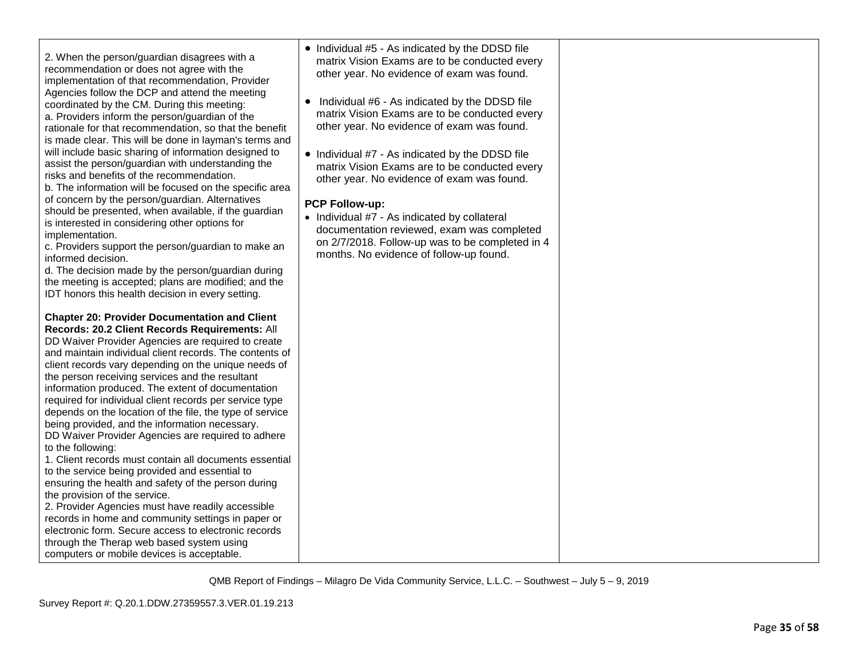| to the following:<br>1. Client records must contain all documents essential                                                                     |                                                                                                 |  |
|-------------------------------------------------------------------------------------------------------------------------------------------------|-------------------------------------------------------------------------------------------------|--|
| to the service being provided and essential to<br>ensuring the health and safety of the person during                                           |                                                                                                 |  |
| the provision of the service.<br>2. Provider Agencies must have readily accessible<br>records in home and community settings in paper or        |                                                                                                 |  |
| electronic form. Secure access to electronic records<br>through the Therap web based system using<br>computers or mobile devices is acceptable. |                                                                                                 |  |
|                                                                                                                                                 | QMB Report of Findings – Milagro De Vida Community Service, L.L.C. – Southwest – July 5 – 9, 20 |  |
| Survey Report #: Q.20.1.DDW.27359557.3.VER.01.19.213                                                                                            |                                                                                                 |  |

| 19 |  |  |  |
|----|--|--|--|
|    |  |  |  |
|    |  |  |  |
|    |  |  |  |

| <u>DD Walver Flovider Agencies are regulied to create</u> |
|-----------------------------------------------------------|
| and maintain individual client records. The contents of   |
| client records vary depending on the unique needs of      |
| the person receiving services and the resultant           |
| information produced. The extent of documentation         |
| required for individual client records per service type   |
| depends on the location of the file, the type of service  |
| being provided, and the information necessary.            |
| DD Waiver Provider Agencies are required to adhere        |
| to the following:                                         |
|                                                           |

**Chapter 20: Provider Documentation and Client Records: 20.2 Client Records Requirements:** All DD Waiver Provider Agencies are required to create

c. Providers support the person/guardian to make an informed decision. d. The decision made by the person/guardian during

b. The information will be focused on the specific area of concern by the person/guardian. Alternatives

implementation.

2. When the person/guardian disagrees with a recommendation or does not agree with the implementation of that recommendation, Provider Agencies follow the DCP and attend the meeting coordinated by the CM. During this meeting: a. Providers inform the person/guardian of the rationale for that recommendation, so that the benefit is made clear. This will be done in layman's terms and will include basic sharing of information designed to assist the person/guardian with understanding the risks and benefits of the recommendation.

the meeting is accepted; plans are modified; and the IDT honors this health decision in every setting.

should be presented, when available, if the guardian is interested in considering other options for

• Individual #5 - As indicated by the DDSD file matrix Vision Exams are to be conducted every other year. No evidence of exam was found.

• Individual #6 - As indicated by the DDSD file matrix Vision Exams are to be conducted every other year. No evidence of exam was found.

• Individual #7 - As indicated by the DDSD file matrix Vision Exams are to be conducted every other year. No evidence of exam was found.

# **PCP Follow-up:**

• Individual #7 - As indicated by collateral documentation reviewed, exam was completed on 2/7/2018. Follow-up was to be completed in 4 months. No evidence of follow-up found.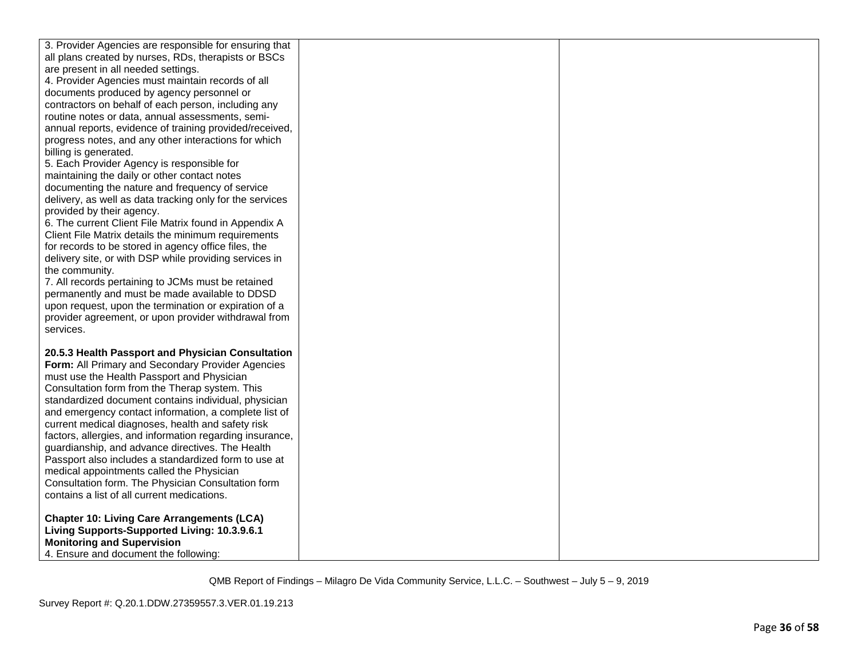| 3. Provider Agencies are responsible for ensuring that<br>all plans created by nurses, RDs, therapists or BSCs |  |
|----------------------------------------------------------------------------------------------------------------|--|
| are present in all needed settings.                                                                            |  |
| 4. Provider Agencies must maintain records of all                                                              |  |
| documents produced by agency personnel or                                                                      |  |
|                                                                                                                |  |
| contractors on behalf of each person, including any                                                            |  |
| routine notes or data, annual assessments, semi-                                                               |  |
| annual reports, evidence of training provided/received,                                                        |  |
| progress notes, and any other interactions for which                                                           |  |
| billing is generated.                                                                                          |  |
| 5. Each Provider Agency is responsible for                                                                     |  |
| maintaining the daily or other contact notes                                                                   |  |
| documenting the nature and frequency of service                                                                |  |
| delivery, as well as data tracking only for the services                                                       |  |
| provided by their agency.                                                                                      |  |
| 6. The current Client File Matrix found in Appendix A                                                          |  |
| Client File Matrix details the minimum requirements                                                            |  |
| for records to be stored in agency office files, the                                                           |  |
| delivery site, or with DSP while providing services in                                                         |  |
| the community.                                                                                                 |  |
| 7. All records pertaining to JCMs must be retained                                                             |  |
| permanently and must be made available to DDSD                                                                 |  |
| upon request, upon the termination or expiration of a                                                          |  |
| provider agreement, or upon provider withdrawal from                                                           |  |
| services.                                                                                                      |  |
| 20.5.3 Health Passport and Physician Consultation                                                              |  |
| Form: All Primary and Secondary Provider Agencies                                                              |  |
| must use the Health Passport and Physician                                                                     |  |
| Consultation form from the Therap system. This                                                                 |  |
| standardized document contains individual, physician                                                           |  |
| and emergency contact information, a complete list of                                                          |  |
| current medical diagnoses, health and safety risk                                                              |  |
| factors, allergies, and information regarding insurance,                                                       |  |
| guardianship, and advance directives. The Health                                                               |  |
| Passport also includes a standardized form to use at                                                           |  |
| medical appointments called the Physician                                                                      |  |
| Consultation form. The Physician Consultation form                                                             |  |
| contains a list of all current medications.                                                                    |  |
|                                                                                                                |  |
| <b>Chapter 10: Living Care Arrangements (LCA)</b>                                                              |  |
| Living Supports-Supported Living: 10.3.9.6.1                                                                   |  |
| <b>Monitoring and Supervision</b>                                                                              |  |
| 4. Ensure and document the following:                                                                          |  |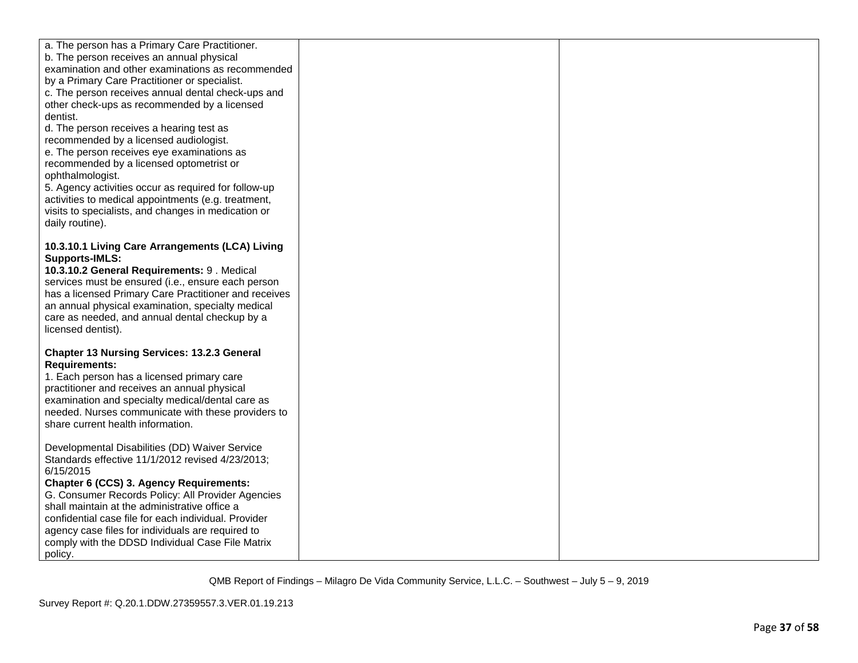| a. The person has a Primary Care Practitioner.<br>b. The person receives an annual physical<br>examination and other examinations as recommended<br>by a Primary Care Practitioner or specialist.<br>c. The person receives annual dental check-ups and<br>other check-ups as recommended by a licensed<br>dentist.<br>d. The person receives a hearing test as<br>recommended by a licensed audiologist.<br>e. The person receives eye examinations as<br>recommended by a licensed optometrist or<br>ophthalmologist.<br>5. Agency activities occur as required for follow-up<br>activities to medical appointments (e.g. treatment,<br>visits to specialists, and changes in medication or<br>daily routine). |  |
|------------------------------------------------------------------------------------------------------------------------------------------------------------------------------------------------------------------------------------------------------------------------------------------------------------------------------------------------------------------------------------------------------------------------------------------------------------------------------------------------------------------------------------------------------------------------------------------------------------------------------------------------------------------------------------------------------------------|--|
| 10.3.10.1 Living Care Arrangements (LCA) Living<br><b>Supports-IMLS:</b><br>10.3.10.2 General Requirements: 9. Medical<br>services must be ensured (i.e., ensure each person<br>has a licensed Primary Care Practitioner and receives<br>an annual physical examination, specialty medical<br>care as needed, and annual dental checkup by a<br>licensed dentist).                                                                                                                                                                                                                                                                                                                                               |  |
| <b>Chapter 13 Nursing Services: 13.2.3 General</b><br><b>Requirements:</b><br>1. Each person has a licensed primary care<br>practitioner and receives an annual physical<br>examination and specialty medical/dental care as<br>needed. Nurses communicate with these providers to<br>share current health information.                                                                                                                                                                                                                                                                                                                                                                                          |  |
| Developmental Disabilities (DD) Waiver Service<br>Standards effective 11/1/2012 revised 4/23/2013;<br>6/15/2015<br>Chapter 6 (CCS) 3. Agency Requirements:<br>G. Consumer Records Policy: All Provider Agencies<br>shall maintain at the administrative office a<br>confidential case file for each individual. Provider<br>agency case files for individuals are required to<br>comply with the DDSD Individual Case File Matrix<br>policy.                                                                                                                                                                                                                                                                     |  |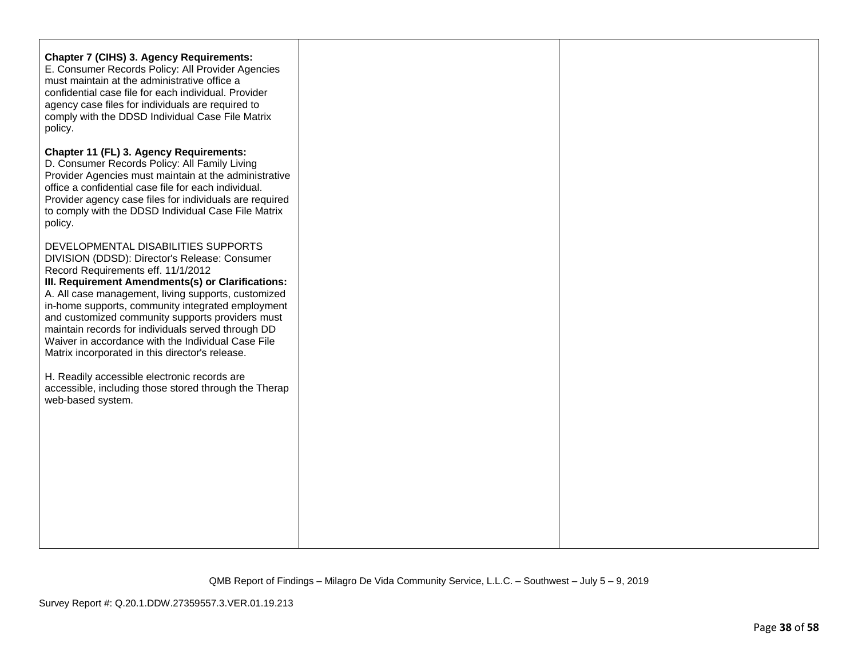| <b>Chapter 7 (CIHS) 3. Agency Requirements:</b><br>E. Consumer Records Policy: All Provider Agencies<br>must maintain at the administrative office a<br>confidential case file for each individual. Provider<br>agency case files for individuals are required to<br>comply with the DDSD Individual Case File Matrix<br>policy.                                                                                                                                                                                                                                                                                                             |  |
|----------------------------------------------------------------------------------------------------------------------------------------------------------------------------------------------------------------------------------------------------------------------------------------------------------------------------------------------------------------------------------------------------------------------------------------------------------------------------------------------------------------------------------------------------------------------------------------------------------------------------------------------|--|
| Chapter 11 (FL) 3. Agency Requirements:<br>D. Consumer Records Policy: All Family Living<br>Provider Agencies must maintain at the administrative<br>office a confidential case file for each individual.<br>Provider agency case files for individuals are required<br>to comply with the DDSD Individual Case File Matrix<br>policy.                                                                                                                                                                                                                                                                                                       |  |
| DEVELOPMENTAL DISABILITIES SUPPORTS<br>DIVISION (DDSD): Director's Release: Consumer<br>Record Requirements eff. 11/1/2012<br>III. Requirement Amendments(s) or Clarifications:<br>A. All case management, living supports, customized<br>in-home supports, community integrated employment<br>and customized community supports providers must<br>maintain records for individuals served through DD<br>Waiver in accordance with the Individual Case File<br>Matrix incorporated in this director's release.<br>H. Readily accessible electronic records are<br>accessible, including those stored through the Therap<br>web-based system. |  |
|                                                                                                                                                                                                                                                                                                                                                                                                                                                                                                                                                                                                                                              |  |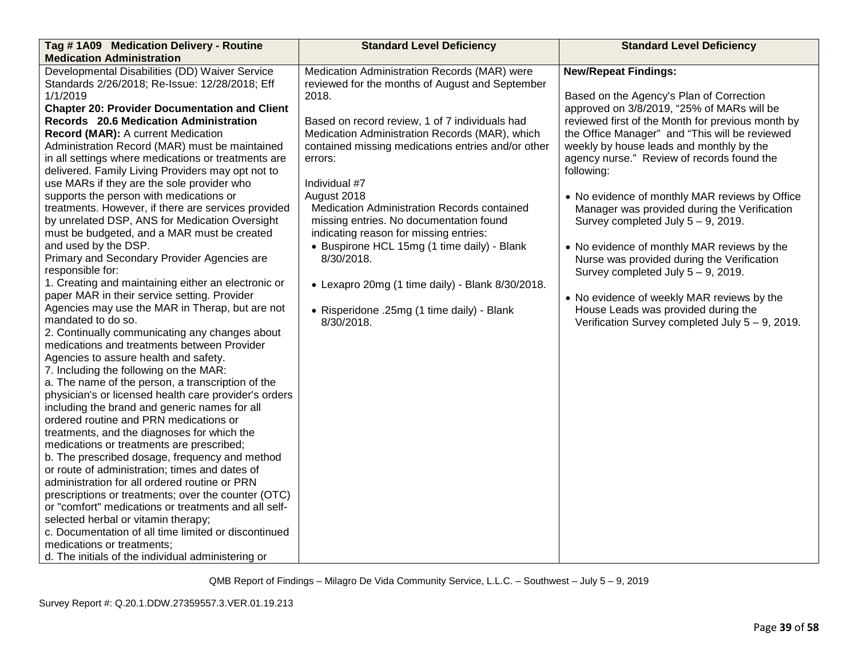| Tag #1A09 Medication Delivery - Routine                                         | <b>Standard Level Deficiency</b>                   | <b>Standard Level Deficiency</b>                  |
|---------------------------------------------------------------------------------|----------------------------------------------------|---------------------------------------------------|
| <b>Medication Administration</b>                                                |                                                    |                                                   |
| Developmental Disabilities (DD) Waiver Service                                  | Medication Administration Records (MAR) were       | <b>New/Repeat Findings:</b>                       |
| Standards 2/26/2018; Re-Issue: 12/28/2018; Eff                                  | reviewed for the months of August and September    |                                                   |
| 1/1/2019                                                                        | 2018.                                              | Based on the Agency's Plan of Correction          |
| <b>Chapter 20: Provider Documentation and Client</b>                            |                                                    | approved on 3/8/2019, "25% of MARs will be        |
| Records 20.6 Medication Administration                                          | Based on record review, 1 of 7 individuals had     | reviewed first of the Month for previous month by |
| Record (MAR): A current Medication                                              | Medication Administration Records (MAR), which     | the Office Manager" and "This will be reviewed    |
| Administration Record (MAR) must be maintained                                  | contained missing medications entries and/or other | weekly by house leads and monthly by the          |
| in all settings where medications or treatments are                             | errors:                                            | agency nurse." Review of records found the        |
| delivered. Family Living Providers may opt not to                               |                                                    | following:                                        |
| use MARs if they are the sole provider who                                      | Individual #7                                      |                                                   |
| supports the person with medications or                                         | August 2018                                        | • No evidence of monthly MAR reviews by Office    |
| treatments. However, if there are services provided                             | Medication Administration Records contained        | Manager was provided during the Verification      |
| by unrelated DSP, ANS for Medication Oversight                                  | missing entries. No documentation found            | Survey completed July $5 - 9$ , 2019.             |
| must be budgeted, and a MAR must be created                                     | indicating reason for missing entries:             |                                                   |
| and used by the DSP.                                                            | • Buspirone HCL 15mg (1 time daily) - Blank        | • No evidence of monthly MAR reviews by the       |
| Primary and Secondary Provider Agencies are                                     | 8/30/2018.                                         | Nurse was provided during the Verification        |
| responsible for:                                                                |                                                    | Survey completed July $5 - 9$ , 2019.             |
| 1. Creating and maintaining either an electronic or                             | • Lexapro 20mg (1 time daily) - Blank 8/30/2018.   |                                                   |
| paper MAR in their service setting. Provider                                    |                                                    | • No evidence of weekly MAR reviews by the        |
| Agencies may use the MAR in Therap, but are not                                 | • Risperidone .25mg (1 time daily) - Blank         | House Leads was provided during the               |
| mandated to do so.                                                              | 8/30/2018.                                         | Verification Survey completed July 5 - 9, 2019.   |
| 2. Continually communicating any changes about                                  |                                                    |                                                   |
| medications and treatments between Provider                                     |                                                    |                                                   |
| Agencies to assure health and safety.<br>7. Including the following on the MAR: |                                                    |                                                   |
| a. The name of the person, a transcription of the                               |                                                    |                                                   |
| physician's or licensed health care provider's orders                           |                                                    |                                                   |
| including the brand and generic names for all                                   |                                                    |                                                   |
| ordered routine and PRN medications or                                          |                                                    |                                                   |
| treatments, and the diagnoses for which the                                     |                                                    |                                                   |
| medications or treatments are prescribed;                                       |                                                    |                                                   |
| b. The prescribed dosage, frequency and method                                  |                                                    |                                                   |
| or route of administration; times and dates of                                  |                                                    |                                                   |
| administration for all ordered routine or PRN                                   |                                                    |                                                   |
| prescriptions or treatments; over the counter (OTC)                             |                                                    |                                                   |
| or "comfort" medications or treatments and all self-                            |                                                    |                                                   |
| selected herbal or vitamin therapy;                                             |                                                    |                                                   |
| c. Documentation of all time limited or discontinued                            |                                                    |                                                   |
| medications or treatments;                                                      |                                                    |                                                   |
| d. The initials of the individual administering or                              |                                                    |                                                   |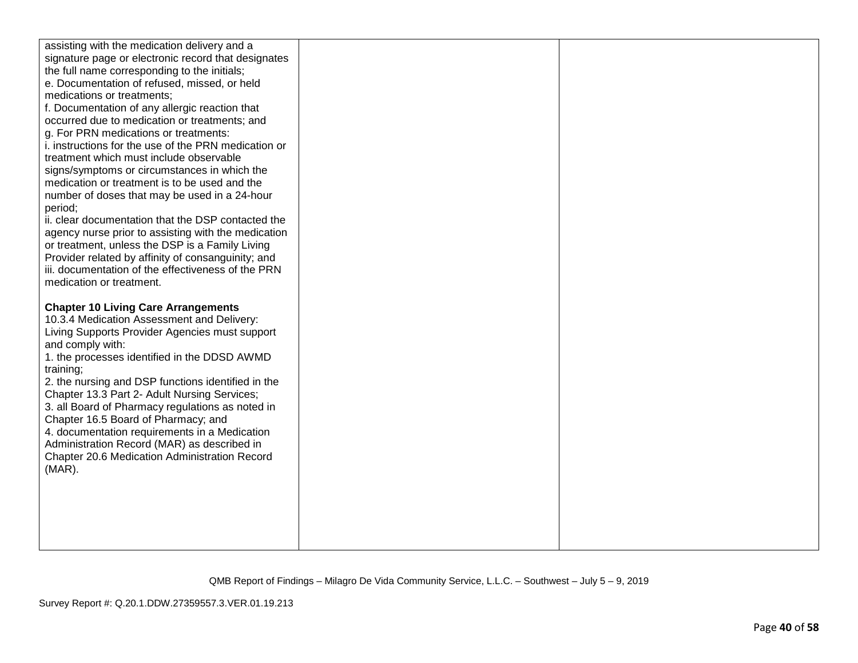| assisting with the medication delivery and a<br>signature page or electronic record that designates<br>the full name corresponding to the initials;<br>e. Documentation of refused, missed, or held<br>medications or treatments;<br>f. Documentation of any allergic reaction that<br>occurred due to medication or treatments; and<br>g. For PRN medications or treatments:<br>i. instructions for the use of the PRN medication or<br>treatment which must include observable<br>signs/symptoms or circumstances in which the<br>medication or treatment is to be used and the<br>number of doses that may be used in a 24-hour<br>period;<br>ii. clear documentation that the DSP contacted the<br>agency nurse prior to assisting with the medication<br>or treatment, unless the DSP is a Family Living<br>Provider related by affinity of consanguinity; and<br>iii. documentation of the effectiveness of the PRN<br>medication or treatment. |  |
|-------------------------------------------------------------------------------------------------------------------------------------------------------------------------------------------------------------------------------------------------------------------------------------------------------------------------------------------------------------------------------------------------------------------------------------------------------------------------------------------------------------------------------------------------------------------------------------------------------------------------------------------------------------------------------------------------------------------------------------------------------------------------------------------------------------------------------------------------------------------------------------------------------------------------------------------------------|--|
| <b>Chapter 10 Living Care Arrangements</b><br>10.3.4 Medication Assessment and Delivery:<br>Living Supports Provider Agencies must support<br>and comply with:<br>1. the processes identified in the DDSD AWMD<br>training;<br>2. the nursing and DSP functions identified in the<br>Chapter 13.3 Part 2- Adult Nursing Services;<br>3. all Board of Pharmacy regulations as noted in<br>Chapter 16.5 Board of Pharmacy; and<br>4. documentation requirements in a Medication<br>Administration Record (MAR) as described in<br>Chapter 20.6 Medication Administration Record<br>$(MAR)$ .                                                                                                                                                                                                                                                                                                                                                            |  |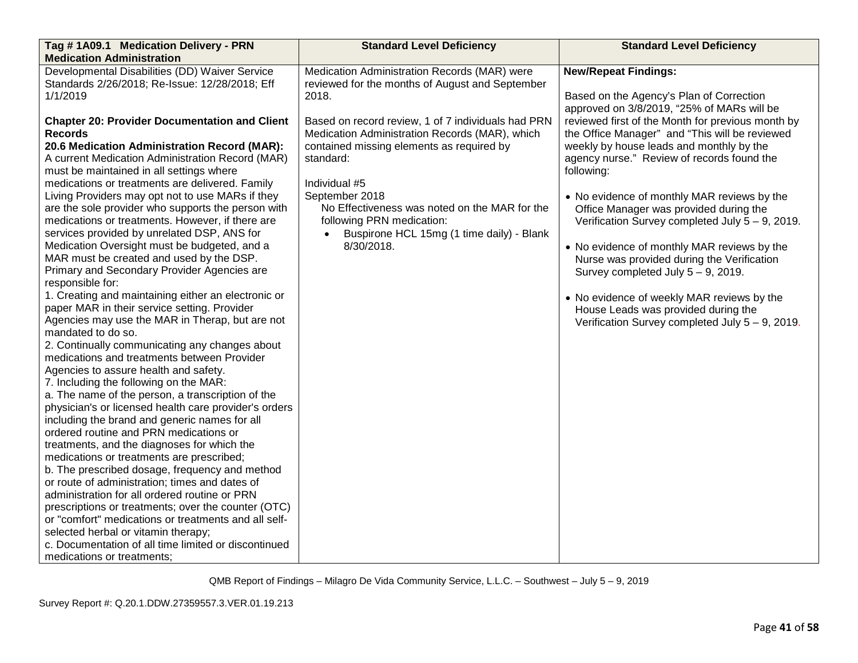| Tag #1A09.1 Medication Delivery - PRN                                                               | <b>Standard Level Deficiency</b>                   | <b>Standard Level Deficiency</b>                   |
|-----------------------------------------------------------------------------------------------------|----------------------------------------------------|----------------------------------------------------|
| <b>Medication Administration</b>                                                                    |                                                    |                                                    |
| Developmental Disabilities (DD) Waiver Service                                                      | Medication Administration Records (MAR) were       | <b>New/Repeat Findings:</b>                        |
| Standards 2/26/2018; Re-Issue: 12/28/2018; Eff                                                      | reviewed for the months of August and September    |                                                    |
| 1/1/2019                                                                                            | 2018.                                              | Based on the Agency's Plan of Correction           |
|                                                                                                     |                                                    | approved on 3/8/2019, "25% of MARs will be         |
| <b>Chapter 20: Provider Documentation and Client</b>                                                | Based on record review, 1 of 7 individuals had PRN | reviewed first of the Month for previous month by  |
| <b>Records</b>                                                                                      | Medication Administration Records (MAR), which     | the Office Manager" and "This will be reviewed     |
| 20.6 Medication Administration Record (MAR):                                                        | contained missing elements as required by          | weekly by house leads and monthly by the           |
| A current Medication Administration Record (MAR)                                                    | standard:                                          | agency nurse." Review of records found the         |
| must be maintained in all settings where                                                            |                                                    | following:                                         |
| medications or treatments are delivered. Family                                                     | Individual #5                                      |                                                    |
| Living Providers may opt not to use MARs if they                                                    | September 2018                                     | • No evidence of monthly MAR reviews by the        |
| are the sole provider who supports the person with                                                  | No Effectiveness was noted on the MAR for the      | Office Manager was provided during the             |
| medications or treatments. However, if there are                                                    | following PRN medication:                          | Verification Survey completed July $5 - 9$ , 2019. |
| services provided by unrelated DSP, ANS for                                                         | Buspirone HCL 15mg (1 time daily) - Blank          |                                                    |
| Medication Oversight must be budgeted, and a                                                        | 8/30/2018.                                         | • No evidence of monthly MAR reviews by the        |
| MAR must be created and used by the DSP.                                                            |                                                    | Nurse was provided during the Verification         |
| Primary and Secondary Provider Agencies are                                                         |                                                    | Survey completed July $5 - 9$ , 2019.              |
| responsible for:                                                                                    |                                                    |                                                    |
| 1. Creating and maintaining either an electronic or<br>paper MAR in their service setting. Provider |                                                    | • No evidence of weekly MAR reviews by the         |
| Agencies may use the MAR in Therap, but are not                                                     |                                                    | House Leads was provided during the                |
| mandated to do so.                                                                                  |                                                    | Verification Survey completed July 5 - 9, 2019.    |
| 2. Continually communicating any changes about                                                      |                                                    |                                                    |
| medications and treatments between Provider                                                         |                                                    |                                                    |
| Agencies to assure health and safety.                                                               |                                                    |                                                    |
| 7. Including the following on the MAR:                                                              |                                                    |                                                    |
| a. The name of the person, a transcription of the                                                   |                                                    |                                                    |
| physician's or licensed health care provider's orders                                               |                                                    |                                                    |
| including the brand and generic names for all                                                       |                                                    |                                                    |
| ordered routine and PRN medications or                                                              |                                                    |                                                    |
| treatments, and the diagnoses for which the                                                         |                                                    |                                                    |
| medications or treatments are prescribed;                                                           |                                                    |                                                    |
| b. The prescribed dosage, frequency and method                                                      |                                                    |                                                    |
| or route of administration; times and dates of                                                      |                                                    |                                                    |
| administration for all ordered routine or PRN                                                       |                                                    |                                                    |
| prescriptions or treatments; over the counter (OTC)                                                 |                                                    |                                                    |
| or "comfort" medications or treatments and all self-                                                |                                                    |                                                    |
| selected herbal or vitamin therapy;                                                                 |                                                    |                                                    |
| c. Documentation of all time limited or discontinued                                                |                                                    |                                                    |
| medications or treatments;                                                                          |                                                    |                                                    |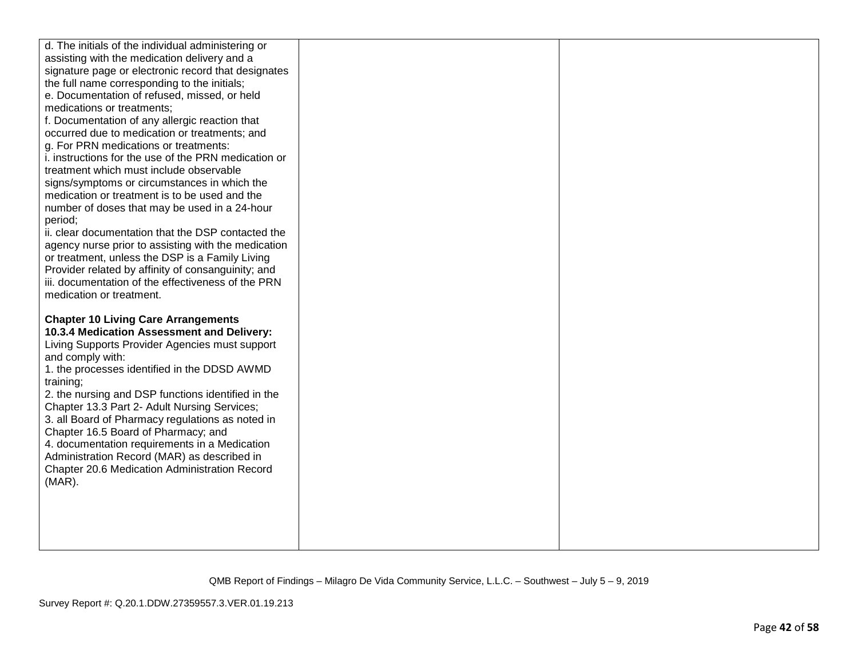| d. The initials of the individual administering or<br>assisting with the medication delivery and a |  |
|----------------------------------------------------------------------------------------------------|--|
| signature page or electronic record that designates                                                |  |
| the full name corresponding to the initials;                                                       |  |
| e. Documentation of refused, missed, or held                                                       |  |
| medications or treatments;                                                                         |  |
| f. Documentation of any allergic reaction that                                                     |  |
| occurred due to medication or treatments; and                                                      |  |
| g. For PRN medications or treatments:                                                              |  |
| i. instructions for the use of the PRN medication or                                               |  |
| treatment which must include observable                                                            |  |
| signs/symptoms or circumstances in which the                                                       |  |
| medication or treatment is to be used and the                                                      |  |
| number of doses that may be used in a 24-hour                                                      |  |
| period;                                                                                            |  |
| ii. clear documentation that the DSP contacted the                                                 |  |
| agency nurse prior to assisting with the medication                                                |  |
| or treatment, unless the DSP is a Family Living                                                    |  |
| Provider related by affinity of consanguinity; and                                                 |  |
| iii. documentation of the effectiveness of the PRN                                                 |  |
| medication or treatment.                                                                           |  |
|                                                                                                    |  |
| <b>Chapter 10 Living Care Arrangements</b>                                                         |  |
| 10.3.4 Medication Assessment and Delivery:                                                         |  |
| Living Supports Provider Agencies must support                                                     |  |
| and comply with:                                                                                   |  |
| 1. the processes identified in the DDSD AWMD                                                       |  |
| training;                                                                                          |  |
| 2. the nursing and DSP functions identified in the                                                 |  |
| Chapter 13.3 Part 2- Adult Nursing Services;                                                       |  |
| 3. all Board of Pharmacy regulations as noted in                                                   |  |
| Chapter 16.5 Board of Pharmacy; and                                                                |  |
| 4. documentation requirements in a Medication                                                      |  |
| Administration Record (MAR) as described in                                                        |  |
| Chapter 20.6 Medication Administration Record                                                      |  |
| $(MAR)$ .                                                                                          |  |
|                                                                                                    |  |
|                                                                                                    |  |
|                                                                                                    |  |
|                                                                                                    |  |
|                                                                                                    |  |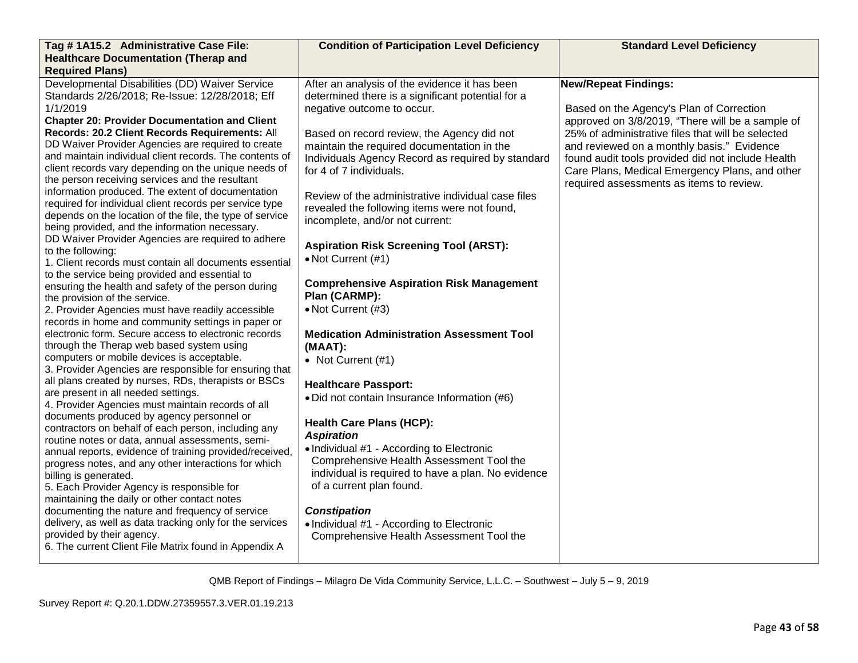| Tag # 1A15.2 Administrative Case File:                                                                                                                                                                                                                                                                                                                                                                                                                                                                                                                                                                                                                                                                                                                                                                                                                                                                                                                                                                                                                                                                                                                                                                                                                                                                                                                                                                                                                                                                                                                                                                                                                                                                                                                                                                                                                                                                                                                                                                                                             | <b>Condition of Participation Level Deficiency</b>                                                                                                                                                                                                                                                                                                                                                                                                                                                                                                                                                                                                                                                                                                                                                                                                                                                                                                                                                                                                                                                                                            | <b>Standard Level Deficiency</b>                                                                                                                                                                                                                                                                                                                                                  |
|----------------------------------------------------------------------------------------------------------------------------------------------------------------------------------------------------------------------------------------------------------------------------------------------------------------------------------------------------------------------------------------------------------------------------------------------------------------------------------------------------------------------------------------------------------------------------------------------------------------------------------------------------------------------------------------------------------------------------------------------------------------------------------------------------------------------------------------------------------------------------------------------------------------------------------------------------------------------------------------------------------------------------------------------------------------------------------------------------------------------------------------------------------------------------------------------------------------------------------------------------------------------------------------------------------------------------------------------------------------------------------------------------------------------------------------------------------------------------------------------------------------------------------------------------------------------------------------------------------------------------------------------------------------------------------------------------------------------------------------------------------------------------------------------------------------------------------------------------------------------------------------------------------------------------------------------------------------------------------------------------------------------------------------------------|-----------------------------------------------------------------------------------------------------------------------------------------------------------------------------------------------------------------------------------------------------------------------------------------------------------------------------------------------------------------------------------------------------------------------------------------------------------------------------------------------------------------------------------------------------------------------------------------------------------------------------------------------------------------------------------------------------------------------------------------------------------------------------------------------------------------------------------------------------------------------------------------------------------------------------------------------------------------------------------------------------------------------------------------------------------------------------------------------------------------------------------------------|-----------------------------------------------------------------------------------------------------------------------------------------------------------------------------------------------------------------------------------------------------------------------------------------------------------------------------------------------------------------------------------|
| <b>Healthcare Documentation (Therap and</b>                                                                                                                                                                                                                                                                                                                                                                                                                                                                                                                                                                                                                                                                                                                                                                                                                                                                                                                                                                                                                                                                                                                                                                                                                                                                                                                                                                                                                                                                                                                                                                                                                                                                                                                                                                                                                                                                                                                                                                                                        |                                                                                                                                                                                                                                                                                                                                                                                                                                                                                                                                                                                                                                                                                                                                                                                                                                                                                                                                                                                                                                                                                                                                               |                                                                                                                                                                                                                                                                                                                                                                                   |
| <b>Required Plans)</b>                                                                                                                                                                                                                                                                                                                                                                                                                                                                                                                                                                                                                                                                                                                                                                                                                                                                                                                                                                                                                                                                                                                                                                                                                                                                                                                                                                                                                                                                                                                                                                                                                                                                                                                                                                                                                                                                                                                                                                                                                             |                                                                                                                                                                                                                                                                                                                                                                                                                                                                                                                                                                                                                                                                                                                                                                                                                                                                                                                                                                                                                                                                                                                                               |                                                                                                                                                                                                                                                                                                                                                                                   |
| Developmental Disabilities (DD) Waiver Service<br>Standards 2/26/2018; Re-Issue: 12/28/2018; Eff<br>1/1/2019<br><b>Chapter 20: Provider Documentation and Client</b><br>Records: 20.2 Client Records Requirements: All<br>DD Waiver Provider Agencies are required to create<br>and maintain individual client records. The contents of<br>client records vary depending on the unique needs of<br>the person receiving services and the resultant<br>information produced. The extent of documentation<br>required for individual client records per service type<br>depends on the location of the file, the type of service<br>being provided, and the information necessary.<br>DD Waiver Provider Agencies are required to adhere<br>to the following:<br>1. Client records must contain all documents essential<br>to the service being provided and essential to<br>ensuring the health and safety of the person during<br>the provision of the service.<br>2. Provider Agencies must have readily accessible<br>records in home and community settings in paper or<br>electronic form. Secure access to electronic records<br>through the Therap web based system using<br>computers or mobile devices is acceptable.<br>3. Provider Agencies are responsible for ensuring that<br>all plans created by nurses, RDs, therapists or BSCs<br>are present in all needed settings.<br>4. Provider Agencies must maintain records of all<br>documents produced by agency personnel or<br>contractors on behalf of each person, including any<br>routine notes or data, annual assessments, semi-<br>annual reports, evidence of training provided/received,<br>progress notes, and any other interactions for which<br>billing is generated.<br>5. Each Provider Agency is responsible for<br>maintaining the daily or other contact notes<br>documenting the nature and frequency of service<br>delivery, as well as data tracking only for the services<br>provided by their agency.<br>6. The current Client File Matrix found in Appendix A | After an analysis of the evidence it has been<br>determined there is a significant potential for a<br>negative outcome to occur.<br>Based on record review, the Agency did not<br>maintain the required documentation in the<br>Individuals Agency Record as required by standard<br>for 4 of 7 individuals.<br>Review of the administrative individual case files<br>revealed the following items were not found,<br>incomplete, and/or not current:<br><b>Aspiration Risk Screening Tool (ARST):</b><br>• Not Current (#1)<br><b>Comprehensive Aspiration Risk Management</b><br>Plan (CARMP):<br>• Not Current (#3)<br><b>Medication Administration Assessment Tool</b><br>(MAAT):<br>• Not Current (#1)<br><b>Healthcare Passport:</b><br>• Did not contain Insurance Information (#6)<br><b>Health Care Plans (HCP):</b><br><b>Aspiration</b><br>• Individual #1 - According to Electronic<br>Comprehensive Health Assessment Tool the<br>individual is required to have a plan. No evidence<br>of a current plan found.<br><b>Constipation</b><br>• Individual #1 - According to Electronic<br>Comprehensive Health Assessment Tool the | <b>New/Repeat Findings:</b><br>Based on the Agency's Plan of Correction<br>approved on 3/8/2019, "There will be a sample of<br>25% of administrative files that will be selected<br>and reviewed on a monthly basis." Evidence<br>found audit tools provided did not include Health<br>Care Plans, Medical Emergency Plans, and other<br>required assessments as items to review. |
|                                                                                                                                                                                                                                                                                                                                                                                                                                                                                                                                                                                                                                                                                                                                                                                                                                                                                                                                                                                                                                                                                                                                                                                                                                                                                                                                                                                                                                                                                                                                                                                                                                                                                                                                                                                                                                                                                                                                                                                                                                                    |                                                                                                                                                                                                                                                                                                                                                                                                                                                                                                                                                                                                                                                                                                                                                                                                                                                                                                                                                                                                                                                                                                                                               |                                                                                                                                                                                                                                                                                                                                                                                   |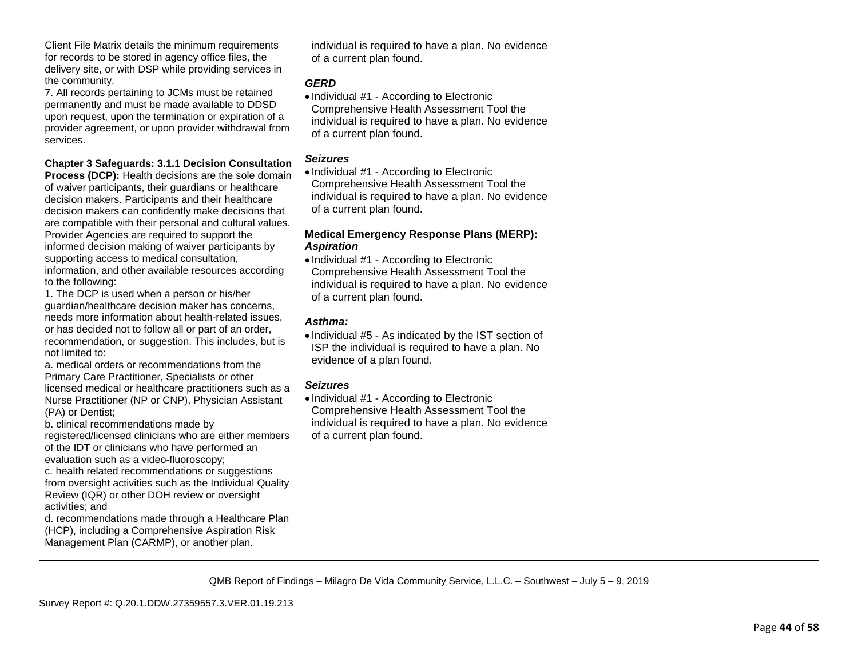| Client File Matrix details the minimum requirements<br>for records to be stored in agency office files, the<br>delivery site, or with DSP while providing services in<br>the community.<br>7. All records pertaining to JCMs must be retained<br>permanently and must be made available to DDSD<br>upon request, upon the termination or expiration of a<br>provider agreement, or upon provider withdrawal from<br>services.                                                                                                                                                                                                                                                                                                                                                                                                                                                                                                                                                                                                                                                                                                                                                                                                                                                                                                                                                                                                                                                                                                                                                                                                                                    | individual is required to have a plan. No evidence<br>of a current plan found.<br><b>GERD</b><br>• Individual #1 - According to Electronic<br>Comprehensive Health Assessment Tool the<br>individual is required to have a plan. No evidence<br>of a current plan found.                                                                                                                                                                                                                                                                                                                                                                                                                                                                                                                         |  |
|------------------------------------------------------------------------------------------------------------------------------------------------------------------------------------------------------------------------------------------------------------------------------------------------------------------------------------------------------------------------------------------------------------------------------------------------------------------------------------------------------------------------------------------------------------------------------------------------------------------------------------------------------------------------------------------------------------------------------------------------------------------------------------------------------------------------------------------------------------------------------------------------------------------------------------------------------------------------------------------------------------------------------------------------------------------------------------------------------------------------------------------------------------------------------------------------------------------------------------------------------------------------------------------------------------------------------------------------------------------------------------------------------------------------------------------------------------------------------------------------------------------------------------------------------------------------------------------------------------------------------------------------------------------|--------------------------------------------------------------------------------------------------------------------------------------------------------------------------------------------------------------------------------------------------------------------------------------------------------------------------------------------------------------------------------------------------------------------------------------------------------------------------------------------------------------------------------------------------------------------------------------------------------------------------------------------------------------------------------------------------------------------------------------------------------------------------------------------------|--|
| <b>Chapter 3 Safeguards: 3.1.1 Decision Consultation</b><br>Process (DCP): Health decisions are the sole domain<br>of waiver participants, their guardians or healthcare<br>decision makers. Participants and their healthcare<br>decision makers can confidently make decisions that<br>are compatible with their personal and cultural values.<br>Provider Agencies are required to support the<br>informed decision making of waiver participants by<br>supporting access to medical consultation,<br>information, and other available resources according<br>to the following:<br>1. The DCP is used when a person or his/her<br>guardian/healthcare decision maker has concerns,<br>needs more information about health-related issues,<br>or has decided not to follow all or part of an order,<br>recommendation, or suggestion. This includes, but is<br>not limited to:<br>a. medical orders or recommendations from the<br>Primary Care Practitioner, Specialists or other<br>licensed medical or healthcare practitioners such as a<br>Nurse Practitioner (NP or CNP), Physician Assistant<br>(PA) or Dentist;<br>b. clinical recommendations made by<br>registered/licensed clinicians who are either members<br>of the IDT or clinicians who have performed an<br>evaluation such as a video-fluoroscopy;<br>c. health related recommendations or suggestions<br>from oversight activities such as the Individual Quality<br>Review (IQR) or other DOH review or oversight<br>activities; and<br>d. recommendations made through a Healthcare Plan<br>(HCP), including a Comprehensive Aspiration Risk<br>Management Plan (CARMP), or another plan. | <b>Seizures</b><br>• Individual #1 - According to Electronic<br>Comprehensive Health Assessment Tool the<br>individual is required to have a plan. No evidence<br>of a current plan found.<br><b>Medical Emergency Response Plans (MERP):</b><br><b>Aspiration</b><br>• Individual #1 - According to Electronic<br>Comprehensive Health Assessment Tool the<br>individual is required to have a plan. No evidence<br>of a current plan found.<br>Asthma:<br>• Individual #5 - As indicated by the IST section of<br>ISP the individual is required to have a plan. No<br>evidence of a plan found.<br><b>Seizures</b><br>• Individual #1 - According to Electronic<br>Comprehensive Health Assessment Tool the<br>individual is required to have a plan. No evidence<br>of a current plan found. |  |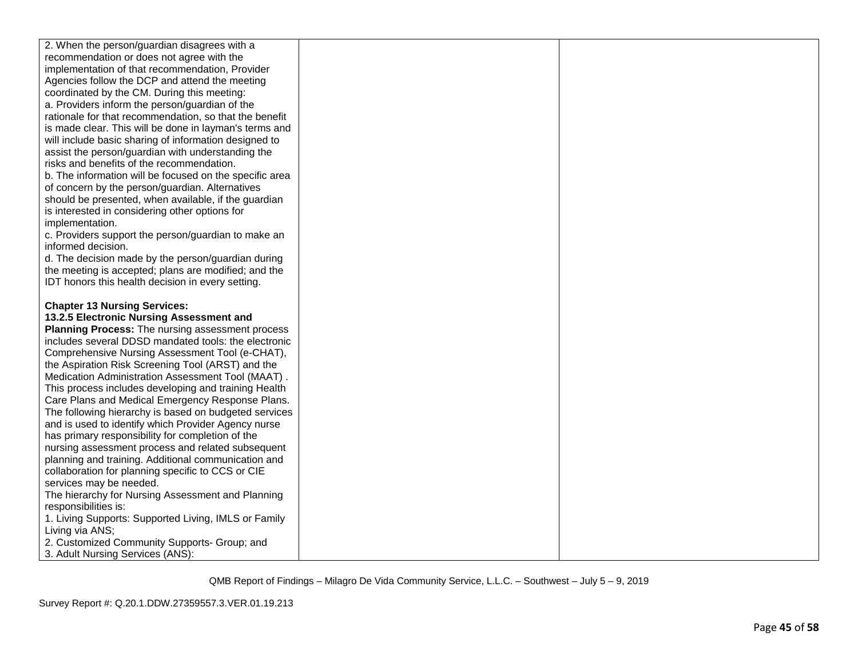| 2. When the person/guardian disagrees with a            |  |
|---------------------------------------------------------|--|
| recommendation or does not agree with the               |  |
| implementation of that recommendation, Provider         |  |
| Agencies follow the DCP and attend the meeting          |  |
| coordinated by the CM. During this meeting:             |  |
| a. Providers inform the person/guardian of the          |  |
| rationale for that recommendation, so that the benefit  |  |
| is made clear. This will be done in layman's terms and  |  |
| will include basic sharing of information designed to   |  |
| assist the person/guardian with understanding the       |  |
| risks and benefits of the recommendation.               |  |
| b. The information will be focused on the specific area |  |
| of concern by the person/guardian. Alternatives         |  |
| should be presented, when available, if the guardian    |  |
| is interested in considering other options for          |  |
| implementation.                                         |  |
| c. Providers support the person/guardian to make an     |  |
| informed decision.                                      |  |
| d. The decision made by the person/guardian during      |  |
| the meeting is accepted; plans are modified; and the    |  |
| IDT honors this health decision in every setting.       |  |
|                                                         |  |
| <b>Chapter 13 Nursing Services:</b>                     |  |
| 13.2.5 Electronic Nursing Assessment and                |  |
| Planning Process: The nursing assessment process        |  |
| includes several DDSD mandated tools: the electronic    |  |
| Comprehensive Nursing Assessment Tool (e-CHAT),         |  |
| the Aspiration Risk Screening Tool (ARST) and the       |  |
| Medication Administration Assessment Tool (MAAT).       |  |
| This process includes developing and training Health    |  |
| Care Plans and Medical Emergency Response Plans.        |  |
| The following hierarchy is based on budgeted services   |  |
| and is used to identify which Provider Agency nurse     |  |
| has primary responsibility for completion of the        |  |
| nursing assessment process and related subsequent       |  |
| planning and training. Additional communication and     |  |
| collaboration for planning specific to CCS or CIE       |  |
| services may be needed.                                 |  |
| The hierarchy for Nursing Assessment and Planning       |  |
| responsibilities is:                                    |  |
| 1. Living Supports: Supported Living, IMLS or Family    |  |
| Living via ANS;                                         |  |
| 2. Customized Community Supports- Group; and            |  |
| 3. Adult Nursing Services (ANS):                        |  |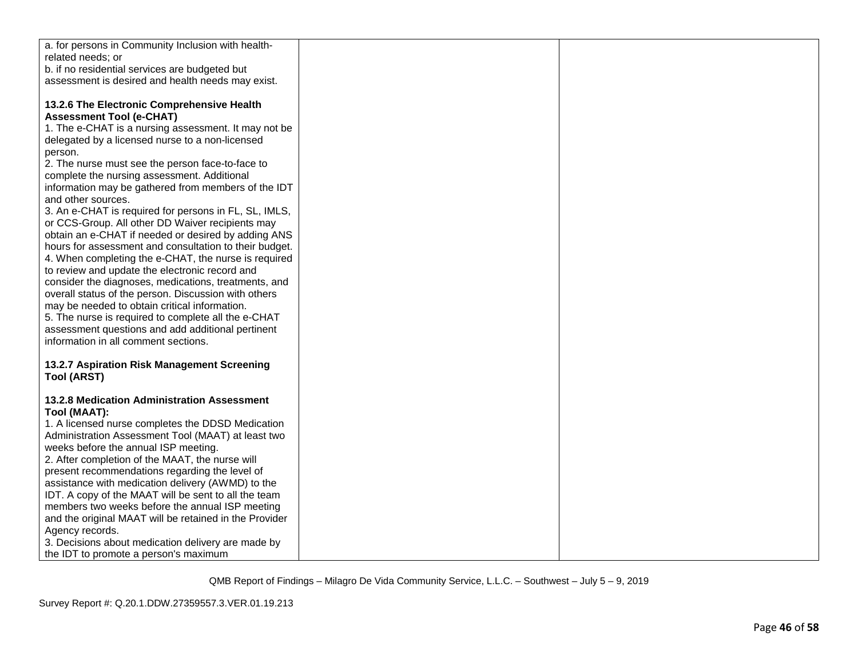| a. for persons in Community Inclusion with health-     |  |
|--------------------------------------------------------|--|
| related needs; or                                      |  |
| b. if no residential services are budgeted but         |  |
| assessment is desired and health needs may exist.      |  |
|                                                        |  |
| 13.2.6 The Electronic Comprehensive Health             |  |
| <b>Assessment Tool (e-CHAT)</b>                        |  |
| 1. The e-CHAT is a nursing assessment. It may not be   |  |
| delegated by a licensed nurse to a non-licensed        |  |
| person.                                                |  |
| 2. The nurse must see the person face-to-face to       |  |
| complete the nursing assessment. Additional            |  |
| information may be gathered from members of the IDT    |  |
| and other sources.                                     |  |
| 3. An e-CHAT is required for persons in FL, SL, IMLS,  |  |
| or CCS-Group. All other DD Waiver recipients may       |  |
| obtain an e-CHAT if needed or desired by adding ANS    |  |
| hours for assessment and consultation to their budget. |  |
| 4. When completing the e-CHAT, the nurse is required   |  |
| to review and update the electronic record and         |  |
| consider the diagnoses, medications, treatments, and   |  |
| overall status of the person. Discussion with others   |  |
| may be needed to obtain critical information.          |  |
| 5. The nurse is required to complete all the e-CHAT    |  |
| assessment questions and add additional pertinent      |  |
| information in all comment sections.                   |  |
|                                                        |  |
| 13.2.7 Aspiration Risk Management Screening            |  |
| <b>Tool (ARST)</b>                                     |  |
|                                                        |  |
| <b>13.2.8 Medication Administration Assessment</b>     |  |
| Tool (MAAT):                                           |  |
| 1. A licensed nurse completes the DDSD Medication      |  |
| Administration Assessment Tool (MAAT) at least two     |  |
| weeks before the annual ISP meeting.                   |  |
| 2. After completion of the MAAT, the nurse will        |  |
| present recommendations regarding the level of         |  |
| assistance with medication delivery (AWMD) to the      |  |
| IDT. A copy of the MAAT will be sent to all the team   |  |
| members two weeks before the annual ISP meeting        |  |
| and the original MAAT will be retained in the Provider |  |
| Agency records.                                        |  |
| 3. Decisions about medication delivery are made by     |  |
| the IDT to promote a person's maximum                  |  |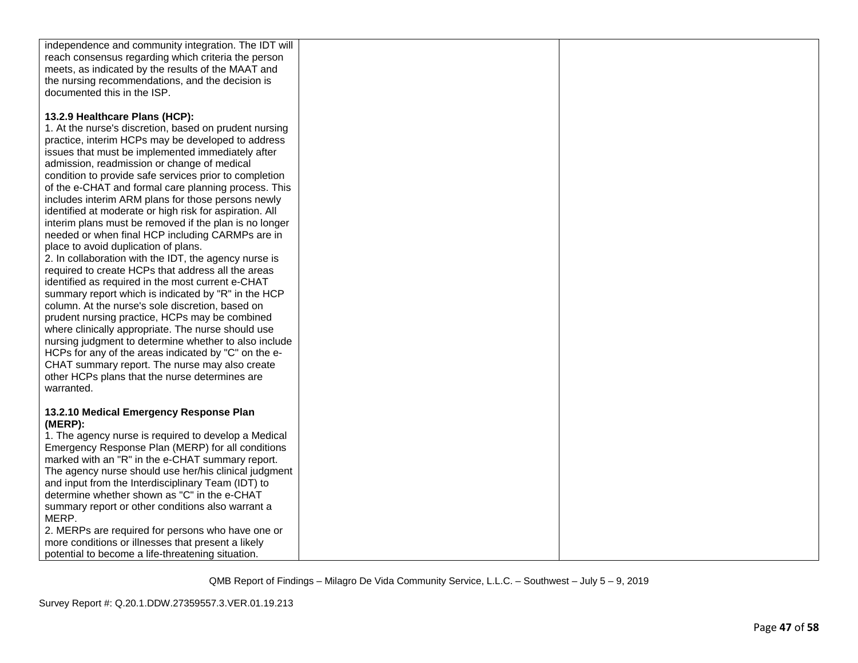| independence and community integration. The IDT will    |  |
|---------------------------------------------------------|--|
| reach consensus regarding which criteria the person     |  |
| meets, as indicated by the results of the MAAT and      |  |
| the nursing recommendations, and the decision is        |  |
| documented this in the ISP.                             |  |
|                                                         |  |
|                                                         |  |
| 13.2.9 Healthcare Plans (HCP):                          |  |
| 1. At the nurse's discretion, based on prudent nursing  |  |
| practice, interim HCPs may be developed to address      |  |
|                                                         |  |
| issues that must be implemented immediately after       |  |
| admission, readmission or change of medical             |  |
| condition to provide safe services prior to completion  |  |
| of the e-CHAT and formal care planning process. This    |  |
| includes interim ARM plans for those persons newly      |  |
| identified at moderate or high risk for aspiration. All |  |
|                                                         |  |
| interim plans must be removed if the plan is no longer  |  |
| needed or when final HCP including CARMPs are in        |  |
| place to avoid duplication of plans.                    |  |
| 2. In collaboration with the IDT, the agency nurse is   |  |
| required to create HCPs that address all the areas      |  |
| identified as required in the most current e-CHAT       |  |
| summary report which is indicated by "R" in the HCP     |  |
|                                                         |  |
| column. At the nurse's sole discretion, based on        |  |
| prudent nursing practice, HCPs may be combined          |  |
| where clinically appropriate. The nurse should use      |  |
| nursing judgment to determine whether to also include   |  |
| HCPs for any of the areas indicated by "C" on the e-    |  |
| CHAT summary report. The nurse may also create          |  |
|                                                         |  |
| other HCPs plans that the nurse determines are          |  |
| warranted.                                              |  |
|                                                         |  |
| 13.2.10 Medical Emergency Response Plan                 |  |
| (MERP):                                                 |  |
| 1. The agency nurse is required to develop a Medical    |  |
| Emergency Response Plan (MERP) for all conditions       |  |
|                                                         |  |
| marked with an "R" in the e-CHAT summary report.        |  |
| The agency nurse should use her/his clinical judgment   |  |
| and input from the Interdisciplinary Team (IDT) to      |  |
| determine whether shown as "C" in the e-CHAT            |  |
| summary report or other conditions also warrant a       |  |
| MERP.                                                   |  |
| 2. MERPs are required for persons who have one or       |  |
|                                                         |  |
| more conditions or illnesses that present a likely      |  |
| potential to become a life-threatening situation.       |  |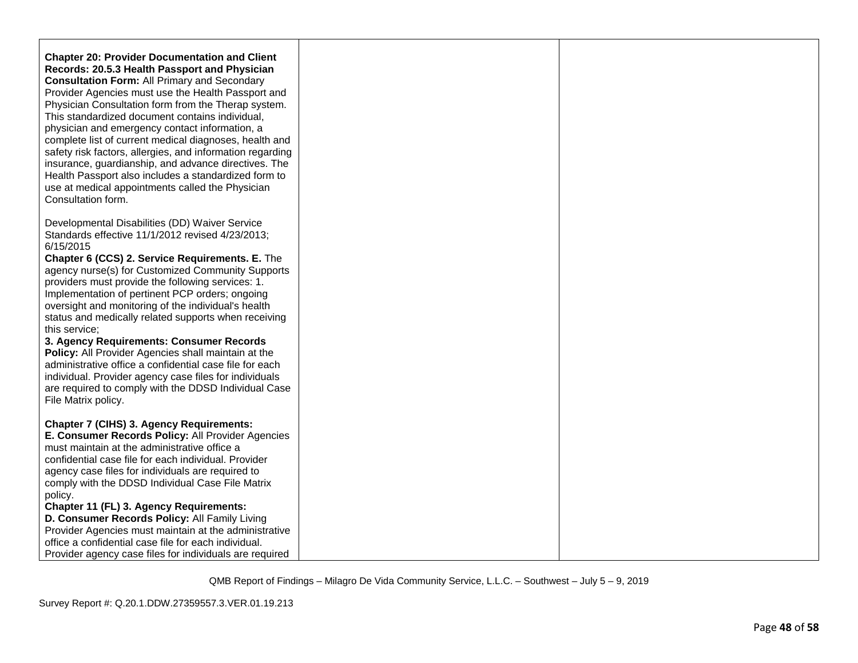**Chapter 20: Provider Documentation and Client Records: 20.5.3 Health Passport and Physician Consultation Form:** All Primary and Secondary Provider Agencies must use the Health Passport and Physician Consultation form from the Therap system. This standardized document contains individual, physician and emergency contact information, a complete list of current medical diagnoses, health and safety risk factors, allergies, and information regarding insurance, guardianship, and advance directives. The Health Passport also includes a standardized form to use at medical appointments called the Physician Consultation form.

Developmental Disabilities (DD) Waiver Service Standards effective 11/1/2012 revised 4/23/2013; 6/15/2015

**Chapter 6 (CCS) 2. Service Requirements. E.** The agency nurse(s) for Customized Community Supports providers must provide the following services: 1. Implementation of pertinent PCP orders; ongoing oversight and monitoring of the individual's health status and medically related supports when receiving this service;

**3. Agency Requirements: Consumer Records Policy:** All Provider Agencies shall maintain at the administrative office a confidential case file for each individual. Provider agency case files for individuals are required to comply with the DDSD Individual Case File Matrix policy.

**Chapter 7 (CIHS) 3. Agency Requirements: E. Consumer Records Policy:** All Provider Agencies must maintain at the administrative office a confidential case file for each individual. Provider agency case files for individuals are required to comply with the DDSD Individual Case File Matrix policy. **Chapter 11 (FL) 3. Agency Requirements: D. Consumer Records Policy:** All Family Living

Provider Agencies must maintain at the administrative office a confidential case file for each individual. Provider agency case files for individuals are required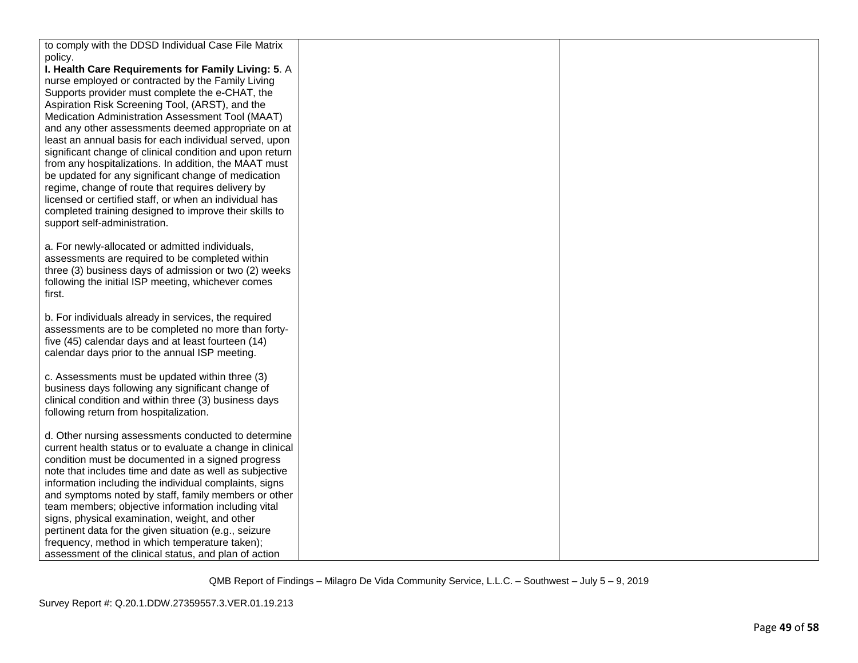| to comply with the DDSD Individual Case File Matrix                                             |  |
|-------------------------------------------------------------------------------------------------|--|
| policy.                                                                                         |  |
| I. Health Care Requirements for Family Living: 5. A                                             |  |
| nurse employed or contracted by the Family Living                                               |  |
| Supports provider must complete the e-CHAT, the                                                 |  |
| Aspiration Risk Screening Tool, (ARST), and the                                                 |  |
| Medication Administration Assessment Tool (MAAT)                                                |  |
| and any other assessments deemed appropriate on at                                              |  |
| least an annual basis for each individual served, upon                                          |  |
| significant change of clinical condition and upon return                                        |  |
| from any hospitalizations. In addition, the MAAT must                                           |  |
| be updated for any significant change of medication                                             |  |
| regime, change of route that requires delivery by                                               |  |
| licensed or certified staff, or when an individual has                                          |  |
| completed training designed to improve their skills to                                          |  |
| support self-administration.                                                                    |  |
|                                                                                                 |  |
| a. For newly-allocated or admitted individuals,                                                 |  |
| assessments are required to be completed within                                                 |  |
| three (3) business days of admission or two (2) weeks                                           |  |
| following the initial ISP meeting, whichever comes                                              |  |
| first.                                                                                          |  |
|                                                                                                 |  |
| b. For individuals already in services, the required                                            |  |
| assessments are to be completed no more than forty-                                             |  |
| five (45) calendar days and at least fourteen (14)                                              |  |
| calendar days prior to the annual ISP meeting.                                                  |  |
|                                                                                                 |  |
| c. Assessments must be updated within three (3)                                                 |  |
| business days following any significant change of                                               |  |
| clinical condition and within three (3) business days<br>following return from hospitalization. |  |
|                                                                                                 |  |
| d. Other nursing assessments conducted to determine                                             |  |
| current health status or to evaluate a change in clinical                                       |  |
| condition must be documented in a signed progress                                               |  |
| note that includes time and date as well as subjective                                          |  |
| information including the individual complaints, signs                                          |  |
| and symptoms noted by staff, family members or other                                            |  |
| team members; objective information including vital                                             |  |
| signs, physical examination, weight, and other                                                  |  |
| pertinent data for the given situation (e.g., seizure                                           |  |
| frequency, method in which temperature taken);                                                  |  |
| assessment of the clinical status, and plan of action                                           |  |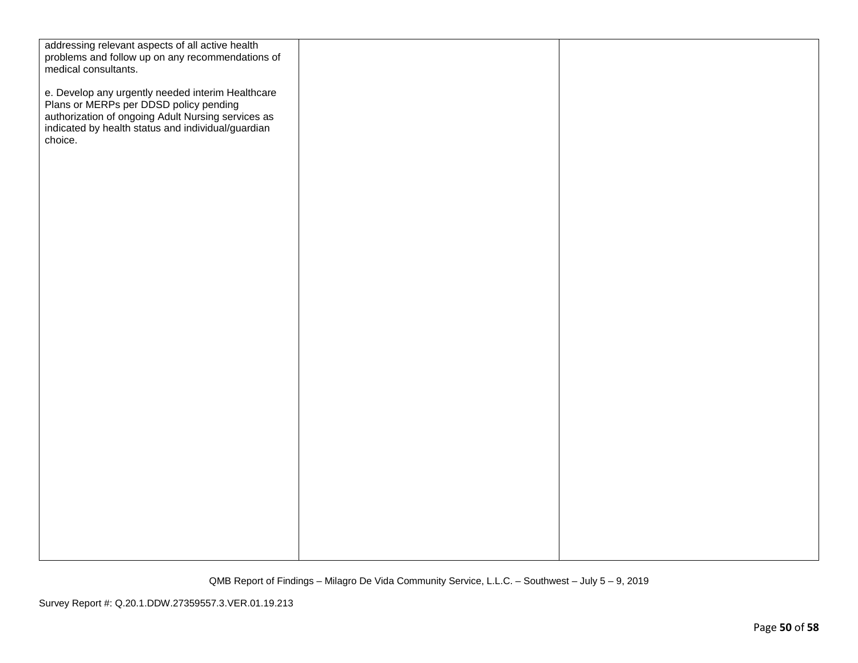| addressing relevant aspects of all active health<br>problems and follow up on any recommendations of<br>medical consultants.                                                                                       |  |
|--------------------------------------------------------------------------------------------------------------------------------------------------------------------------------------------------------------------|--|
| e. Develop any urgently needed interim Healthcare<br>Plans or MERPs per DDSD policy pending<br>authorization of ongoing Adult Nursing services as<br>indicated by health status and individual/guardian<br>choice. |  |
|                                                                                                                                                                                                                    |  |
|                                                                                                                                                                                                                    |  |
|                                                                                                                                                                                                                    |  |
|                                                                                                                                                                                                                    |  |
|                                                                                                                                                                                                                    |  |
|                                                                                                                                                                                                                    |  |
|                                                                                                                                                                                                                    |  |
|                                                                                                                                                                                                                    |  |
|                                                                                                                                                                                                                    |  |
|                                                                                                                                                                                                                    |  |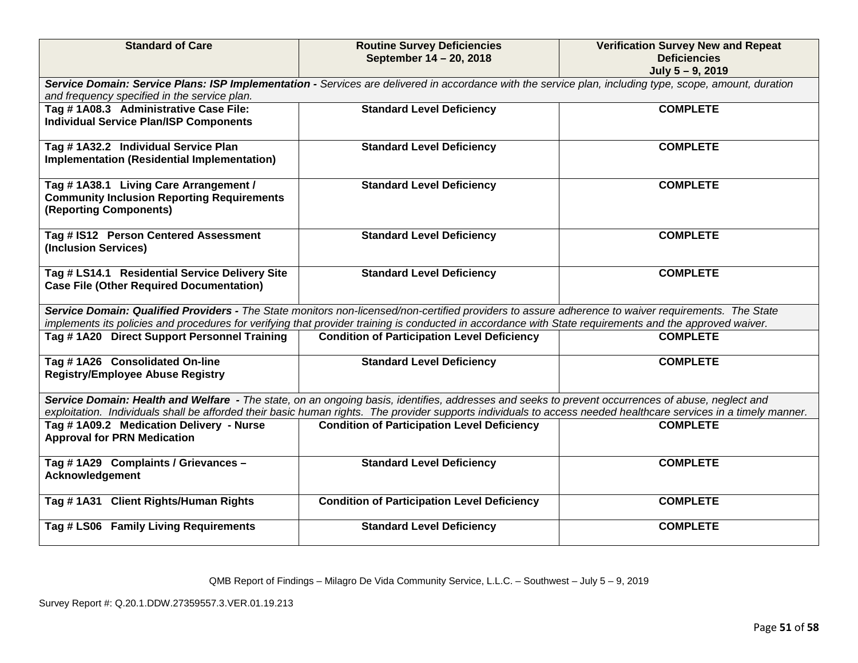| <b>Standard of Care</b>                                                                                              | <b>Routine Survey Deficiencies</b><br>September 14 - 20, 2018                                                                                                                                                                                                                                                         | <b>Verification Survey New and Repeat</b><br><b>Deficiencies</b><br>July 5-9, 2019 |
|----------------------------------------------------------------------------------------------------------------------|-----------------------------------------------------------------------------------------------------------------------------------------------------------------------------------------------------------------------------------------------------------------------------------------------------------------------|------------------------------------------------------------------------------------|
| and frequency specified in the service plan.                                                                         | Service Domain: Service Plans: ISP Implementation - Services are delivered in accordance with the service plan, including type, scope, amount, duration                                                                                                                                                               |                                                                                    |
| Tag #1A08.3 Administrative Case File:<br><b>Individual Service Plan/ISP Components</b>                               | <b>Standard Level Deficiency</b>                                                                                                                                                                                                                                                                                      | <b>COMPLETE</b>                                                                    |
| Tag #1A32.2 Individual Service Plan<br>Implementation (Residential Implementation)                                   | <b>Standard Level Deficiency</b>                                                                                                                                                                                                                                                                                      | <b>COMPLETE</b>                                                                    |
| Tag #1A38.1 Living Care Arrangement /<br><b>Community Inclusion Reporting Requirements</b><br>(Reporting Components) | <b>Standard Level Deficiency</b>                                                                                                                                                                                                                                                                                      | <b>COMPLETE</b>                                                                    |
| Tag # IS12 Person Centered Assessment<br>(Inclusion Services)                                                        | <b>Standard Level Deficiency</b>                                                                                                                                                                                                                                                                                      | <b>COMPLETE</b>                                                                    |
| Tag # LS14.1 Residential Service Delivery Site<br><b>Case File (Other Required Documentation)</b>                    | <b>Standard Level Deficiency</b>                                                                                                                                                                                                                                                                                      | <b>COMPLETE</b>                                                                    |
|                                                                                                                      | Service Domain: Qualified Providers - The State monitors non-licensed/non-certified providers to assure adherence to waiver requirements. The State<br>implements its policies and procedures for verifying that provider training is conducted in accordance with State requirements and the approved waiver.        |                                                                                    |
| Tag #1A20 Direct Support Personnel Training                                                                          | <b>Condition of Participation Level Deficiency</b>                                                                                                                                                                                                                                                                    | <b>COMPLETE</b>                                                                    |
| Tag #1A26 Consolidated On-line<br><b>Registry/Employee Abuse Registry</b>                                            | <b>Standard Level Deficiency</b>                                                                                                                                                                                                                                                                                      | <b>COMPLETE</b>                                                                    |
|                                                                                                                      | Service Domain: Health and Welfare - The state, on an ongoing basis, identifies, addresses and seeks to prevent occurrences of abuse, neglect and<br>exploitation. Individuals shall be afforded their basic human rights. The provider supports individuals to access needed healthcare services in a timely manner. |                                                                                    |
| Tag #1A09.2 Medication Delivery - Nurse<br><b>Approval for PRN Medication</b>                                        | <b>Condition of Participation Level Deficiency</b>                                                                                                                                                                                                                                                                    | <b>COMPLETE</b>                                                                    |
| Tag #1A29 Complaints / Grievances -<br><b>Acknowledgement</b>                                                        | <b>Standard Level Deficiency</b>                                                                                                                                                                                                                                                                                      | <b>COMPLETE</b>                                                                    |
| Tag #1A31 Client Rights/Human Rights                                                                                 | <b>Condition of Participation Level Deficiency</b>                                                                                                                                                                                                                                                                    | <b>COMPLETE</b>                                                                    |
| Tag # LS06 Family Living Requirements                                                                                | <b>Standard Level Deficiency</b>                                                                                                                                                                                                                                                                                      | <b>COMPLETE</b>                                                                    |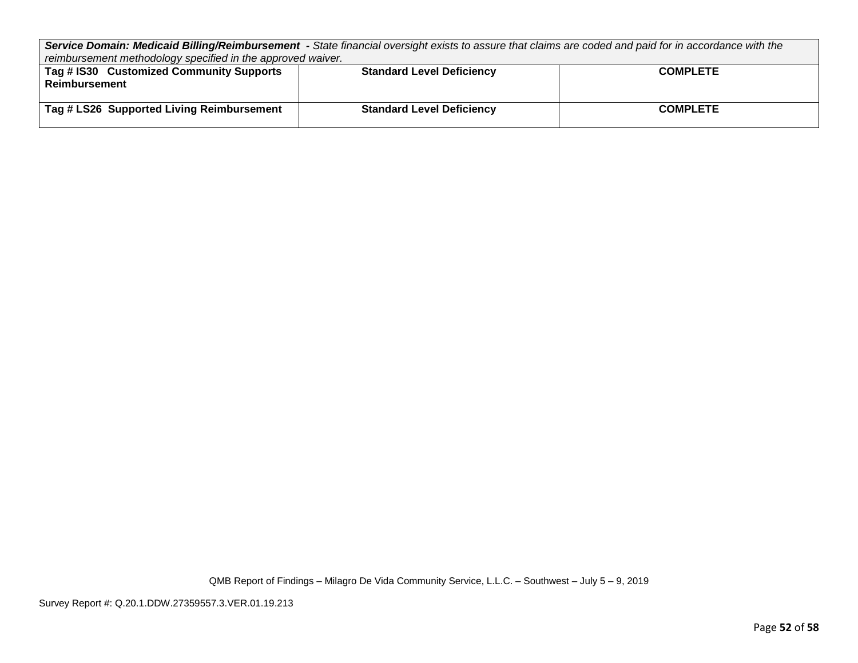*Service Domain: Medicaid Billing/Reimbursement - State financial oversight exists to assure that claims are coded and paid for in accordance with the reimbursement methodology specified in the approved waiver.*

| Tag # IS30 Customized Community Supports<br>Reimbursement | <b>Standard Level Deficiency</b> | <b>COMPLETE</b> |
|-----------------------------------------------------------|----------------------------------|-----------------|
| Tag # LS26 Supported Living Reimbursement                 | <b>Standard Level Deficiency</b> | <b>COMPLETE</b> |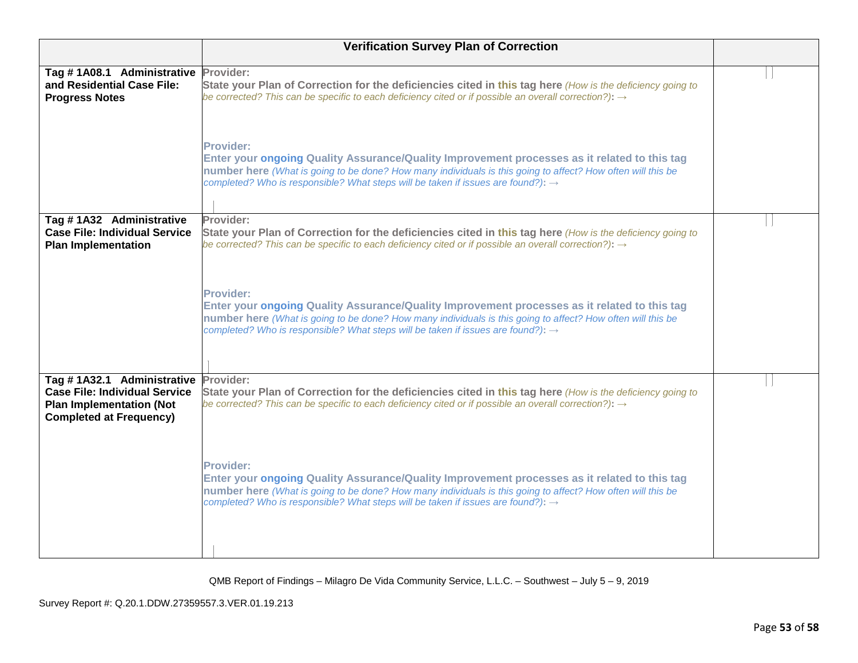| <b>Verification Survey Plan of Correction</b>                                                                                           |                                                                                                                                                                                                                                                                                                                                 |  |  |
|-----------------------------------------------------------------------------------------------------------------------------------------|---------------------------------------------------------------------------------------------------------------------------------------------------------------------------------------------------------------------------------------------------------------------------------------------------------------------------------|--|--|
| Tag #1A08.1 Administrative<br>and Residential Case File:<br><b>Progress Notes</b>                                                       | Provider:<br>State your Plan of Correction for the deficiencies cited in this tag here (How is the deficiency going to<br>be corrected? This can be specific to each deficiency cited or if possible an overall correction?): $\rightarrow$                                                                                     |  |  |
|                                                                                                                                         | <b>Provider:</b><br>Enter your ongoing Quality Assurance/Quality Improvement processes as it related to this tag<br>number here (What is going to be done? How many individuals is this going to affect? How often will this be<br>completed? Who is responsible? What steps will be taken if issues are found?): $\rightarrow$ |  |  |
| Tag #1A32 Administrative<br><b>Case File: Individual Service</b><br><b>Plan Implementation</b>                                          | Provider:<br>State your Plan of Correction for the deficiencies cited in this tag here (How is the deficiency going to<br>be corrected? This can be specific to each deficiency cited or if possible an overall correction?): $\rightarrow$                                                                                     |  |  |
|                                                                                                                                         | <b>Provider:</b><br>Enter your ongoing Quality Assurance/Quality Improvement processes as it related to this tag<br>number here (What is going to be done? How many individuals is this going to affect? How often will this be<br>completed? Who is responsible? What steps will be taken if issues are found?): $\rightarrow$ |  |  |
| Tag #1A32.1 Administrative<br><b>Case File: Individual Service</b><br><b>Plan Implementation (Not</b><br><b>Completed at Frequency)</b> | Provider:<br>State your Plan of Correction for the deficiencies cited in this tag here (How is the deficiency going to<br>be corrected? This can be specific to each deficiency cited or if possible an overall correction?): $\rightarrow$                                                                                     |  |  |
|                                                                                                                                         | Provider:<br>Enter your ongoing Quality Assurance/Quality Improvement processes as it related to this tag<br>number here (What is going to be done? How many individuals is this going to affect? How often will this be<br>completed? Who is responsible? What steps will be taken if issues are found?): $\rightarrow$        |  |  |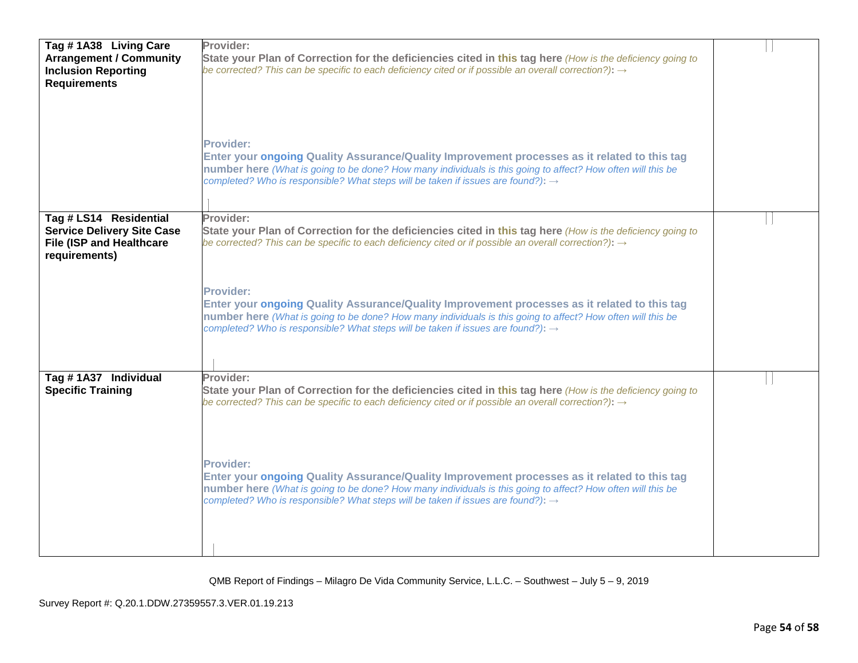| Tag #1A38 Living Care<br><b>Arrangement / Community</b><br><b>Inclusion Reporting</b><br><b>Requirements</b>    | Provider:<br>State your Plan of Correction for the deficiencies cited in this tag here (How is the deficiency going to<br>be corrected? This can be specific to each deficiency cited or if possible an overall correction?): $\rightarrow$<br>Provider:<br>Enter your ongoing Quality Assurance/Quality Improvement processes as it related to this tag<br>number here (What is going to be done? How many individuals is this going to affect? How often will this be<br>completed? Who is responsible? What steps will be taken if issues are found?): $\rightarrow$        |  |
|-----------------------------------------------------------------------------------------------------------------|--------------------------------------------------------------------------------------------------------------------------------------------------------------------------------------------------------------------------------------------------------------------------------------------------------------------------------------------------------------------------------------------------------------------------------------------------------------------------------------------------------------------------------------------------------------------------------|--|
| Tag # LS14 Residential<br><b>Service Delivery Site Case</b><br><b>File (ISP and Healthcare</b><br>requirements) | Provider:<br>State your Plan of Correction for the deficiencies cited in this tag here (How is the deficiency going to<br>be corrected? This can be specific to each deficiency cited or if possible an overall correction?): $\rightarrow$<br><b>Provider:</b><br>Enter your ongoing Quality Assurance/Quality Improvement processes as it related to this tag<br>number here (What is going to be done? How many individuals is this going to affect? How often will this be<br>completed? Who is responsible? What steps will be taken if issues are found?): $\rightarrow$ |  |
| Tag #1A37 Individual<br><b>Specific Training</b>                                                                | Provider:<br>State your Plan of Correction for the deficiencies cited in this tag here (How is the deficiency going to<br>be corrected? This can be specific to each deficiency cited or if possible an overall correction?): $\rightarrow$<br>Provider:<br>Enter your ongoing Quality Assurance/Quality Improvement processes as it related to this tag<br>number here (What is going to be done? How many individuals is this going to affect? How often will this be<br>completed? Who is responsible? What steps will be taken if issues are found?): $\rightarrow$        |  |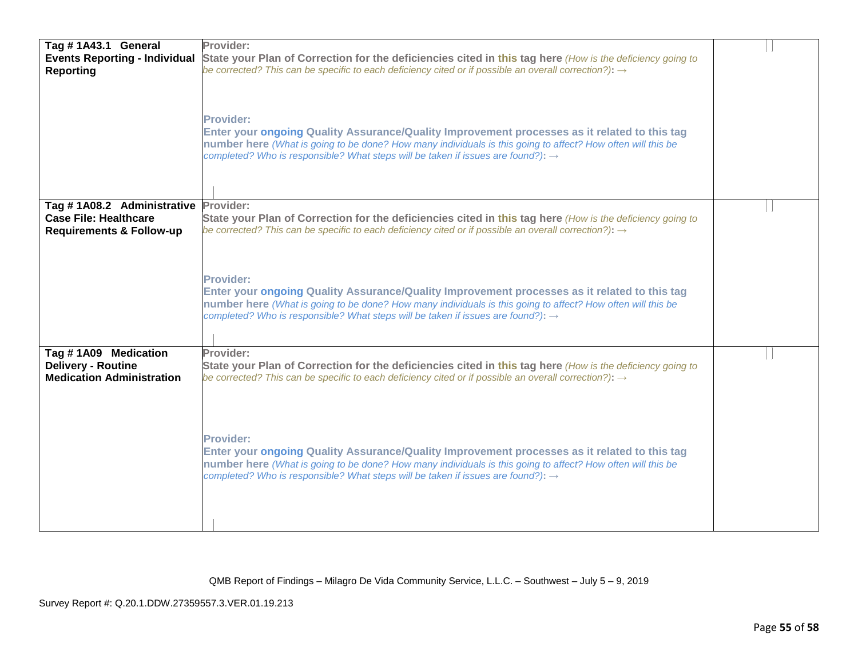| Tag #1A43.1 General                                                                   | Provider:                                                                                                                                                                                                                                                                                                                       |  |
|---------------------------------------------------------------------------------------|---------------------------------------------------------------------------------------------------------------------------------------------------------------------------------------------------------------------------------------------------------------------------------------------------------------------------------|--|
| <b>Events Reporting - Individual</b><br><b>Reporting</b>                              | State your Plan of Correction for the deficiencies cited in this tag here (How is the deficiency going to<br>be corrected? This can be specific to each deficiency cited or if possible an overall correction?): $\rightarrow$                                                                                                  |  |
|                                                                                       | <b>Provider:</b><br>Enter your ongoing Quality Assurance/Quality Improvement processes as it related to this tag<br>number here (What is going to be done? How many individuals is this going to affect? How often will this be<br>completed? Who is responsible? What steps will be taken if issues are found?): $\rightarrow$ |  |
| Tag #1A08.2 Administrative<br><b>Case File: Healthcare</b>                            | Provider:<br>State your Plan of Correction for the deficiencies cited in this tag here (How is the deficiency going to                                                                                                                                                                                                          |  |
| <b>Requirements &amp; Follow-up</b>                                                   | be corrected? This can be specific to each deficiency cited or if possible an overall correction?): $\rightarrow$                                                                                                                                                                                                               |  |
|                                                                                       | Provider:<br>Enter your ongoing Quality Assurance/Quality Improvement processes as it related to this tag<br>number here (What is going to be done? How many individuals is this going to affect? How often will this be<br>completed? Who is responsible? What steps will be taken if issues are found?): $\rightarrow$        |  |
| Tag #1A09 Medication<br><b>Delivery - Routine</b><br><b>Medication Administration</b> | Provider:<br>State your Plan of Correction for the deficiencies cited in this tag here (How is the deficiency going to<br>be corrected? This can be specific to each deficiency cited or if possible an overall correction?): $\rightarrow$                                                                                     |  |
|                                                                                       | <b>Provider:</b><br>Enter your ongoing Quality Assurance/Quality Improvement processes as it related to this tag<br>number here (What is going to be done? How many individuals is this going to affect? How often will this be<br>completed? Who is responsible? What steps will be taken if issues are found?): $\rightarrow$ |  |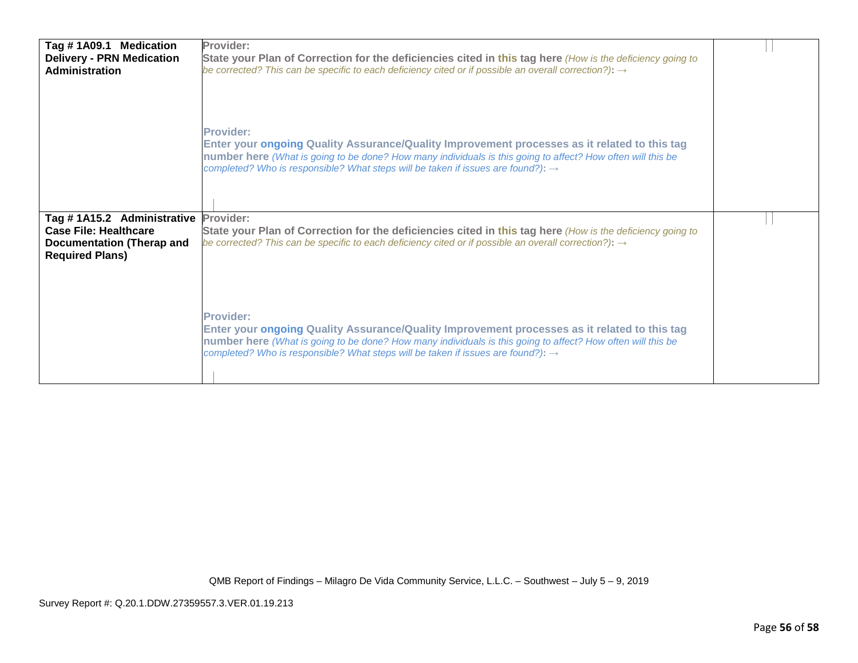| Tag #1A09.1 Medication<br><b>Delivery - PRN Medication</b><br><b>Administration</b>            | Provider:<br>State your Plan of Correction for the deficiencies cited in this tag here (How is the deficiency going to<br>be corrected? This can be specific to each deficiency cited or if possible an overall correction?): $\rightarrow$<br><b>Provider:</b><br>Enter your ongoing Quality Assurance/Quality Improvement processes as it related to this tag                                                                                            |  |
|------------------------------------------------------------------------------------------------|------------------------------------------------------------------------------------------------------------------------------------------------------------------------------------------------------------------------------------------------------------------------------------------------------------------------------------------------------------------------------------------------------------------------------------------------------------|--|
| Tag #1A15.2 Administrative<br><b>Case File: Healthcare</b><br><b>Documentation (Therap and</b> | number here (What is going to be done? How many individuals is this going to affect? How often will this be<br>completed? Who is responsible? What steps will be taken if issues are found?): $\rightarrow$<br>Provider:<br>State your Plan of Correction for the deficiencies cited in this tag here (How is the deficiency going to<br>be corrected? This can be specific to each deficiency cited or if possible an overall correction?): $\rightarrow$ |  |
| <b>Required Plans)</b>                                                                         | <b>Provider:</b><br>Enter your ongoing Quality Assurance/Quality Improvement processes as it related to this tag<br>number here (What is going to be done? How many individuals is this going to affect? How often will this be<br>completed? Who is responsible? What steps will be taken if issues are found?): $\rightarrow$                                                                                                                            |  |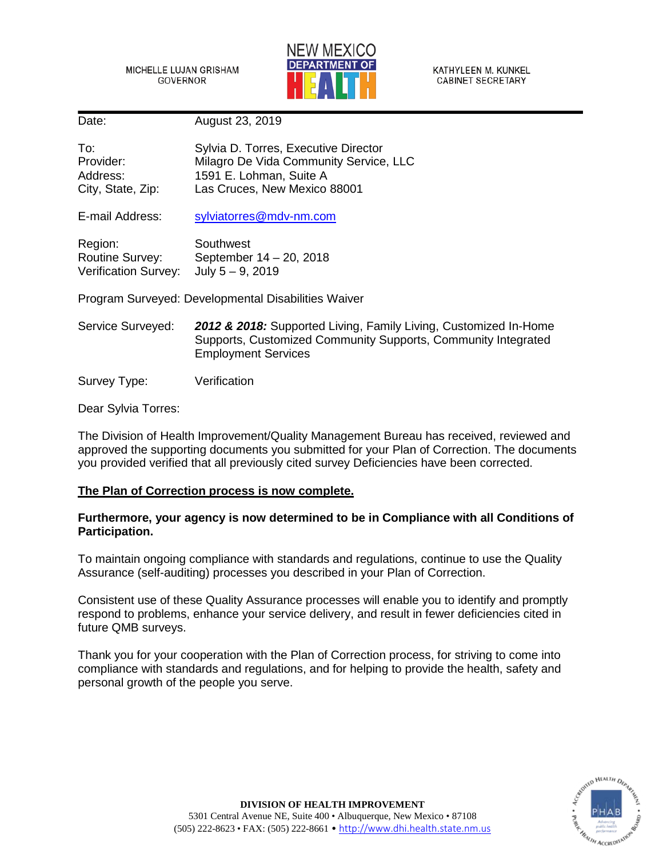MICHELLE LUJAN GRISHAM GOVERNOR



KATHYLEEN M. KUNKEL **CABINET SECRETARY** 

Date: August 23, 2019

| To:               | Sylvia D. Torres, Executive Director   |
|-------------------|----------------------------------------|
| Provider:         | Milagro De Vida Community Service, LLC |
| Address:          | 1591 E. Lohman, Suite A                |
| City, State, Zip: | Las Cruces, New Mexico 88001           |

E-mail Address: [sylviatorres@mdv-nm.com](mailto:sylviatorres@mdv-nm.com)

| Region:                     | Southwest               |
|-----------------------------|-------------------------|
| <b>Routine Survey:</b>      | September 14 - 20, 2018 |
| <b>Verification Survey:</b> | July $5 - 9$ , 2019     |

Program Surveyed: Developmental Disabilities Waiver

Service Surveyed: *2012 & 2018:* Supported Living, Family Living, Customized In-Home Supports, Customized Community Supports, Community Integrated Employment Services

Survey Type: Verification

Dear Sylvia Torres:

The Division of Health Improvement/Quality Management Bureau has received, reviewed and approved the supporting documents you submitted for your Plan of Correction. The documents you provided verified that all previously cited survey Deficiencies have been corrected.

# **The Plan of Correction process is now complete.**

# **Furthermore, your agency is now determined to be in Compliance with all Conditions of Participation.**

To maintain ongoing compliance with standards and regulations, continue to use the Quality Assurance (self-auditing) processes you described in your Plan of Correction.

Consistent use of these Quality Assurance processes will enable you to identify and promptly respond to problems, enhance your service delivery, and result in fewer deficiencies cited in future QMB surveys.

Thank you for your cooperation with the Plan of Correction process, for striving to come into compliance with standards and regulations, and for helping to provide the health, safety and personal growth of the people you serve.